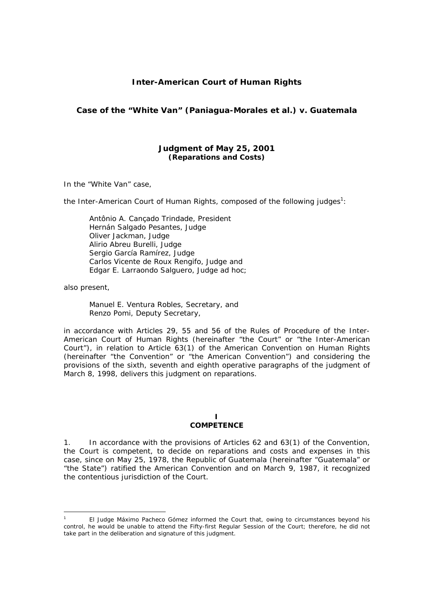## **Inter-American Court of Human Rights**

## **Case of the "White Van" (Paniagua-Morales** *et al.***)** *v.* **Guatemala**

### **Judgment of May 25, 2001**  *(Reparations and Costs)*

In the "White Van" case,

the Inter-American Court of Human Rights, composed of the following judges<sup>1</sup>:

Antônio A. Cançado Trindade, President Hernán Salgado Pesantes, Judge Oliver Jackman, Judge Alirio Abreu Burelli, Judge Sergio García Ramírez, Judge Carlos Vicente de Roux Rengifo, Judge and Edgar E. Larraondo Salguero, Judge *ad hoc*;

also present,

Manuel E. Ventura Robles, Secretary, and Renzo Pomi, Deputy Secretary,

in accordance with Articles 29, 55 and 56 of the Rules of Procedure of the Inter-American Court of Human Rights (hereinafter "the Court" or "the Inter-American Court"), in relation to Article 63(1) of the American Convention on Human Rights (hereinafter "the Convention" or "the American Convention") and considering the provisions of the sixth, seventh and eighth operative paragraphs of the judgment of March 8, 1998, delivers this judgment on reparations.

#### **I COMPETENCE**

1. In accordance with the provisions of Articles 62 and 63(1) of the Convention, the Court is competent, to decide on reparations and costs and expenses in this case, since on May 25, 1978, the Republic of Guatemala (hereinafter "Guatemala" or "the State") ratified the American Convention and on March 9, 1987, it recognized the contentious jurisdiction of the Court.

<sup>1</sup> El Judge Máximo Pacheco Gómez informed the Court that, owing to circumstances beyond his control, he would be unable to attend the Fifty-first Regular Session of the Court; therefore, he did not take part in the deliberation and signature of this judgment.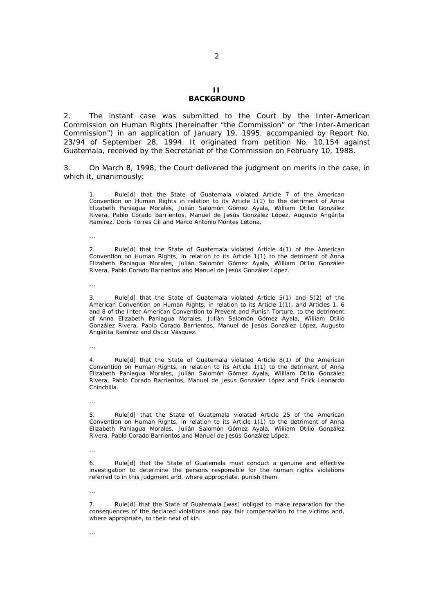#### **II BACKGROUND**

2. The instant case was submitted to the Court by the Inter-American Commission on Human Rights (hereinafter "the Commission" or "the Inter-American Commission") in an application of January 19, 1995, accompanied by Report No. 23/94 of September 28, 1994. It originated from petition No. 10,154 against Guatemala, received by the Secretariat of the Commission on February 10, 1988.

3. On March 8, 1998, the Court delivered the judgment on merits in the case, in which it, unanimously:

Rule[d] that the State of Guatemala violated Article 7 of the American Convention on Human Rights in relation to its Article 1(1) to the detriment of Anna Elizabeth Paniagua Morales, Julián Salomón Gómez Ayala, William Otilio González Rivera, Pablo Corado Barrientos, Manuel de Jesús González López, Augusto Angárita Ramírez, Doris Torres Gil and Marco Antonio Montes Letona.

...

2. Rule[d] that the State of Guatemala violated Article 4(1) of the American Convention on Human Rights, in relation to its Article 1(1) to the detriment of Anna Elizabeth Paniagua Morales, Julián Salomón Gómez Ayala, William Otilio González Rivera, Pablo Corado Barrientos and Manuel de Jesús González López.

...

Rule[d] that the State of Guatemala violated Article 5(1) and 5(2) of the American Convention on Human Rights, in relation to its Article 1(1), and Articles 1, 6 and 8 of the Inter-American Convention to Prevent and Punish Torture, to the detriment of Anna Elizabeth Paniagua Morales, Julián Salomón Gómez Ayala, William Otilio González Rivera, Pablo Corado Barrientos, Manuel de Jesús González López, Augusto Angárita Ramírez and Oscar Vásquez.

...

Rule[d] that the State of Guatemala violated Article 8(1) of the American Convention on Human Rights, in relation to its Article 1(1) to the detriment of Anna Elizabeth Paniagua Morales, Julián Salomón Gómez Ayala, William Otilio González Rivera, Pablo Corado Barrientos, Manuel de Jesús González López and Erick Leonardo Chinchilla.

...

5. Rule[d] that the State of Guatemala violated Article 25 of the American Convention on Human Rights, in relation to its Article 1(1) to the detriment of Anna Elizabeth Paniagua Morales, Julián Salomón Gómez Ayala, William Otilio González Rivera, Pablo Corado Barrientos and Manuel de Jesús González López.

...

6. Rule[d] that the State of Guatemala must conduct a genuine and effective investigation to determine the persons responsible for the human rights violations referred to in this judgment and, where appropriate, punish them.

...

7. Rule[d] that the State of Guatemala [was] obliged to make reparation for the consequences of the declared violations and pay fair compensation to the victims and, where appropriate, to their next of kin.

 $\mathcal{L}$ 

...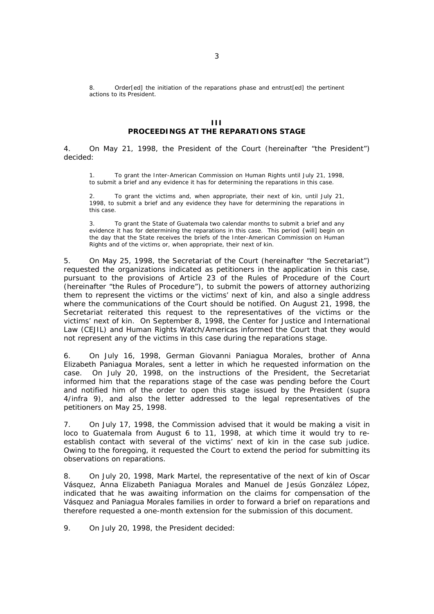8. Order[ed] the initiation of the reparations phase and entrust[ed] the pertinent actions to its President.

#### **III PROCEEDINGS AT THE REPARATIONS STAGE**

4. On May 21, 1998, the President of the Court (hereinafter "the President") decided:

1. To grant the Inter-American Commission on Human Rights until July 21, 1998, to submit a brief and any evidence it has for determining the reparations in this case.

2. To grant the victims and, when appropriate, their next of kin, until July 21, 1998, to submit a brief and any evidence they have for determining the reparations in this case.

3. To grant the State of Guatemala two calendar months to submit a brief and any evidence it has for determining the reparations in this case. This period {will] begin on the day that the State receives the briefs of the Inter-American Commission on Human Rights and of the victims or, when appropriate, their next of kin.

5. On May 25, 1998, the Secretariat of the Court (hereinafter "the Secretariat") requested the organizations indicated as petitioners in the application in this case, pursuant to the provisions of Article 23 of the Rules of Procedure of the Court (hereinafter "the Rules of Procedure"), to submit the powers of attorney authorizing them to represent the victims or the victims' next of kin, and also a single address where the communications of the Court should be notified. On August 21, 1998, the Secretariat reiterated this request to the representatives of the victims or the victims' next of kin. On September 8, 1998, the Center for Justice and International Law (CEJIL) and Human Rights Watch/Americas informed the Court that they would not represent any of the victims in this case during the reparations stage.

6. On July 16, 1998, German Giovanni Paniagua Morales, brother of Anna Elizabeth Paniagua Morales, sent a letter in which he requested information on the case. On July 20, 1998, on the instructions of the President, the Secretariat informed him that the reparations stage of the case was pending before the Court and notified him of the order to open this stage issued by the President (*supra*  4*/infra* 9), and also the letter addressed to the legal representatives of the petitioners on May 25, 1998.

7. On July 17, 1998, the Commission advised that it would be making a visit *in loco* to Guatemala from August 6 to 11, 1998, at which time it would try to reestablish contact with several of the victims' next of kin in the case *sub judice*. Owing to the foregoing, it requested the Court to extend the period for submitting its observations on reparations.

8. On July 20, 1998, Mark Martel, the representative of the next of kin of Oscar Vásquez, Anna Elizabeth Paniagua Morales and Manuel de Jesús González López, indicated that he was awaiting information on the claims for compensation of the Vásquez and Paniagua Morales families in order to forward a brief on reparations and therefore requested a one-month extension for the submission of this document.

9. On July 20, 1998, the President decided: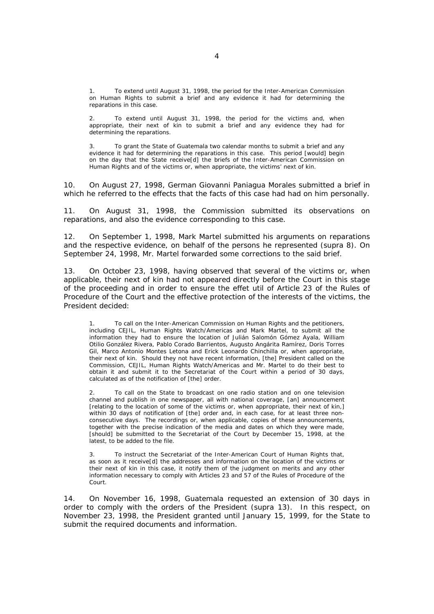1. To extend until August 31, 1998, the period for the Inter-American Commission on Human Rights to submit a brief and any evidence it had for determining the reparations in this case.

To extend until August 31, 1998, the period for the victims and, when appropriate, their next of kin to submit a brief and any evidence they had for determining the reparations.

3. To grant the State of Guatemala two calendar months to submit a brief and any evidence it had for determining the reparations in this case. This period [would] begin on the day that the State receive[d] the briefs of the Inter-American Commission on Human Rights and of the victims or, when appropriate, the victims' next of kin.

10. On August 27, 1998, German Giovanni Paniagua Morales submitted a brief in which he referred to the effects that the facts of this case had had on him personally.

11. On August 31, 1998, the Commission submitted its observations on reparations, and also the evidence corresponding to this case.

12. On September 1, 1998, Mark Martel submitted his arguments on reparations and the respective evidence, on behalf of the persons he represented (*supra* 8). On September 24, 1998, Mr. Martel forwarded some corrections to the said brief.

13. On October 23, 1998, having observed that several of the victims or, when applicable, their next of kin had not appeared directly before the Court in this stage of the proceeding and in order to ensure the *effet util* of Article 23 of the Rules of Procedure of the Court and the effective protection of the interests of the victims, the President decided:

1. To call on the Inter-American Commission on Human Rights and the petitioners, including CEJIL, Human Rights Watch/Americas and Mark Martel, to submit all the information they had to ensure the location of Julián Salomón Gómez Ayala, William Otilio González Rivera, Pablo Corado Barrientos, Augusto Angárita Ramírez, Doris Torres Gil, Marco Antonio Montes Letona and Erick Leonardo Chinchilla or, when appropriate, their next of kin. Should they not have recent information, [the] President called on the Commission, CEJIL, Human Rights Watch/Americas and Mr. Martel to do their best to obtain it and submit it to the Secretariat of the Court within a period of 30 days, calculated as of the notification of [the] order.

To call on the State to broadcast on one radio station and on one television channel and publish in one newspaper, all with national coverage, [an] announcement [relating to the location of some of the victims or, when appropriate, their next of kin,] within 30 days of notification of [the] order and, in each case, for at least three nonconsecutive days. The recordings or, when applicable, copies of these announcements, together with the precise indication of the media and dates on which they were made, [should] be submitted to the Secretariat of the Court by December 15, 1998, at the latest, to be added to the file.

3. To instruct the Secretariat of the Inter-American Court of Human Rights that, as soon as it receive[d] the addresses and information on the location of the victims or their next of kin in this case, it notify them of the judgment on merits and any other information necessary to comply with Articles 23 and 57 of the Rules of Procedure of the Court.

14. On November 16, 1998, Guatemala requested an extension of 30 days in order to comply with the orders of the President (*supra* 13). In this respect, on November 23, 1998, the President granted until January 15, 1999, for the State to submit the required documents and information.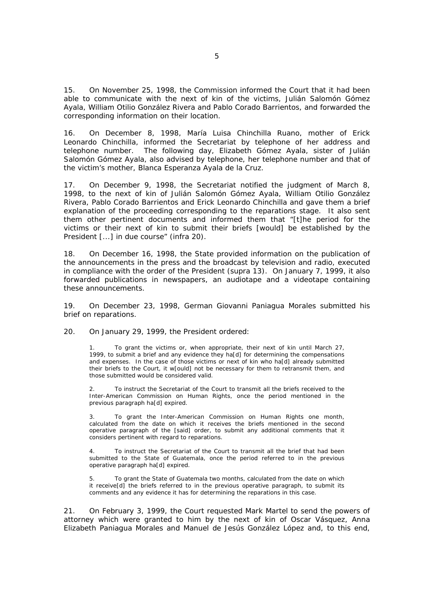15. On November 25, 1998, the Commission informed the Court that it had been able to communicate with the next of kin of the victims, Julián Salomón Gómez Ayala, William Otilio González Rivera and Pablo Corado Barrientos, and forwarded the corresponding information on their location.

16. On December 8, 1998, María Luisa Chinchilla Ruano, mother of Erick Leonardo Chinchilla, informed the Secretariat by telephone of her address and telephone number. The following day, Elizabeth Gómez Ayala, sister of Julián Salomón Gómez Ayala, also advised by telephone, her telephone number and that of the victim's mother, Blanca Esperanza Ayala de la Cruz.

17. On December 9, 1998, the Secretariat notified the judgment of March 8, 1998, to the next of kin of Julián Salomón Gómez Ayala, William Otilio González Rivera, Pablo Corado Barrientos and Erick Leonardo Chinchilla and gave them a brief explanation of the proceeding corresponding to the reparations stage. It also sent them other pertinent documents and informed them that "[t]he period for the victims or their next of kin to submit their briefs [would] be established by the President [...] in due course" (*infra* 20).

18. On December 16, 1998, the State provided information on the publication of the announcements in the press and the broadcast by television and radio, executed in compliance with the order of the President (*supra* 13). On January 7, 1999, it also forwarded publications in newspapers, an audiotape and a videotape containing these announcements.

19. On December 23, 1998, German Giovanni Paniagua Morales submitted his brief on reparations.

20. On January 29, 1999, the President ordered:

1. To grant the victims or, when appropriate, their next of kin until March 27, 1999, to submit a brief and any evidence they ha[d] for determining the compensations and expenses. In the case of those victims or next of kin who ha[d] already submitted their briefs to the Court, it w[ould] not be necessary for them to retransmit them, and those submitted would be considered valid.

2. To instruct the Secretariat of the Court to transmit all the briefs received to the Inter-American Commission on Human Rights, once the period mentioned in the previous paragraph ha[d] expired.

To grant the Inter-American Commission on Human Rights one month, calculated from the date on which it receives the briefs mentioned in the second operative paragraph of the [said] order, to submit any additional comments that it considers pertinent with regard to reparations.

4. To instruct the Secretariat of the Court to transmit all the brief that had been submitted to the State of Guatemala, once the period referred to in the previous operative paragraph ha[d] expired.

5. To grant the State of Guatemala two months, calculated from the date on which it receive[d] the briefs referred to in the previous operative paragraph, to submit its comments and any evidence it has for determining the reparations in this case.

21. On February 3, 1999, the Court requested Mark Martel to send the powers of attorney which were granted to him by the next of kin of Oscar Vásquez, Anna Elizabeth Paniagua Morales and Manuel de Jesús González López and, to this end,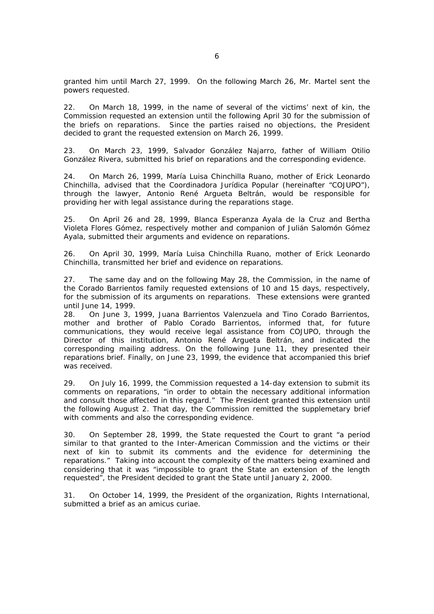granted him until March 27, 1999. On the following March 26, Mr. Martel sent the powers requested.

22. On March 18, 1999, in the name of several of the victims' next of kin, the Commission requested an extension until the following April 30 for the submission of the briefs on reparations. Since the parties raised no objections, the President decided to grant the requested extension on March 26, 1999.

23. On March 23, 1999, Salvador González Najarro, father of William Otilio González Rivera, submitted his brief on reparations and the corresponding evidence.

24. On March 26, 1999, María Luisa Chinchilla Ruano, mother of Erick Leonardo Chinchilla, advised that the *Coordinadora Jurídica Popular* (hereinafter "COJUPO"), through the lawyer, Antonio René Argueta Beltrán, would be responsible for providing her with legal assistance during the reparations stage.

25. On April 26 and 28, 1999, Blanca Esperanza Ayala de la Cruz and Bertha Violeta Flores Gómez, respectively mother and companion of Julián Salomón Gómez Ayala, submitted their arguments and evidence on reparations.

26. On April 30, 1999, María Luisa Chinchilla Ruano, mother of Erick Leonardo Chinchilla, transmitted her brief and evidence on reparations.

27. The same day and on the following May 28, the Commission, in the name of the Corado Barrientos family requested extensions of 10 and 15 days, respectively, for the submission of its arguments on reparations. These extensions were granted until June 14, 1999.

28. On June 3, 1999, Juana Barrientos Valenzuela and Tino Corado Barrientos, mother and brother of Pablo Corado Barrientos, informed that, for future communications, they would receive legal assistance from COJUPO, through the Director of this institution, Antonio René Argueta Beltrán, and indicated the corresponding mailing address. On the following June 11, they presented their reparations brief. Finally, on June 23, 1999, the evidence that accompanied this brief was received.

29. On July 16, 1999, the Commission requested a 14-day extension to submit its comments on reparations, "in order to obtain the necessary additional information and consult those affected in this regard." The President granted this extension until the following August 2. That day, the Commission remitted the supplemetary brief with comments and also the corresponding evidence.

30. On September 28, 1999, the State requested the Court to grant "a period similar to that granted to the Inter-American Commission and the victims or their next of kin to submit its comments and the evidence for determining the reparations." Taking into account the complexity of the matters being examined and considering that it was "impossible to grant the State an extension of the length requested", the President decided to grant the State until January 2, 2000.

31. On October 14, 1999, the President of the organization, Rights International, submitted a brief as an *amicus curiae*.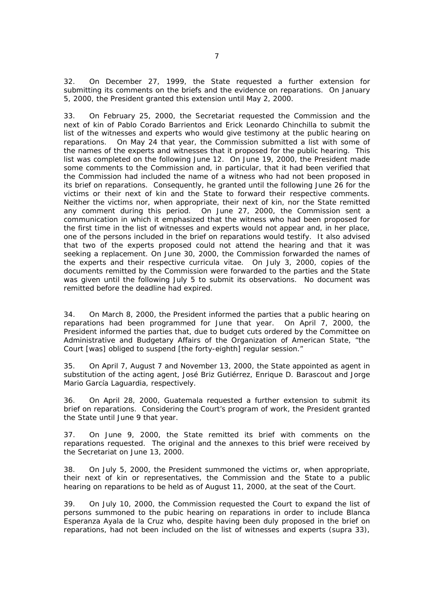32. On December 27, 1999, the State requested a further extension for submitting its comments on the briefs and the evidence on reparations. On January 5, 2000, the President granted this extension until May 2, 2000.

33. On February 25, 2000, the Secretariat requested the Commission and the next of kin of Pablo Corado Barrientos and Erick Leonardo Chinchilla to submit the list of the witnesses and experts who would give testimony at the public hearing on reparations. On May 24 that year, the Commission submitted a list with some of the names of the experts and witnesses that it proposed for the public hearing. This list was completed on the following June 12. On June 19, 2000, the President made some comments to the Commission and, in particular, that it had been verified that the Commission had included the name of a witness who had not been proposed in its brief on reparations. Consequently, he granted until the following June 26 for the victims or their next of kin and the State to forward their respective comments. Neither the victims nor, when appropriate, their next of kin, nor the State remitted any comment during this period. On June 27, 2000, the Commission sent a communication in which it emphasized that the witness who had been proposed for the first time in the list of witnesses and experts would not appear and, in her place, one of the persons included in the brief on reparations would testify. It also advised that two of the experts proposed could not attend the hearing and that it was seeking a replacement. On June 30, 2000, the Commission forwarded the names of the experts and their respective *curricula vitae*. On July 3, 2000, copies of the documents remitted by the Commission were forwarded to the parties and the State was given until the following July 5 to submit its observations. No document was remitted before the deadline had expired.

34. On March 8, 2000, the President informed the parties that a public hearing on reparations had been programmed for June that year. On April 7, 2000, the President informed the parties that, due to budget cuts ordered by the Committee on Administrative and Budgetary Affairs of the Organization of American State, "the Court [was] obliged to suspend [the forty-eighth] regular session."

35. On April 7, August 7 and November 13, 2000, the State appointed as agent in substitution of the acting agent, José Briz Gutiérrez, Enrique D. Barascout and Jorge Mario García Laguardia, respectively.

36. On April 28, 2000, Guatemala requested a further extension to submit its brief on reparations. Considering the Court's program of work, the President granted the State until June 9 that year.

37. On June 9, 2000, the State remitted its brief with comments on the reparations requested. The original and the annexes to this brief were received by the Secretariat on June 13, 2000.

38. On July 5, 2000, the President summoned the victims or, when appropriate, their next of kin or representatives, the Commission and the State to a public hearing on reparations to be held as of August 11, 2000, at the seat of the Court.

39. On July 10, 2000, the Commission requested the Court to expand the list of persons summoned to the pubic hearing on reparations in order to include Blanca Esperanza Ayala de la Cruz who, despite having been duly proposed in the brief on reparations, had not been included on the list of witnesses and experts (*supra* 33),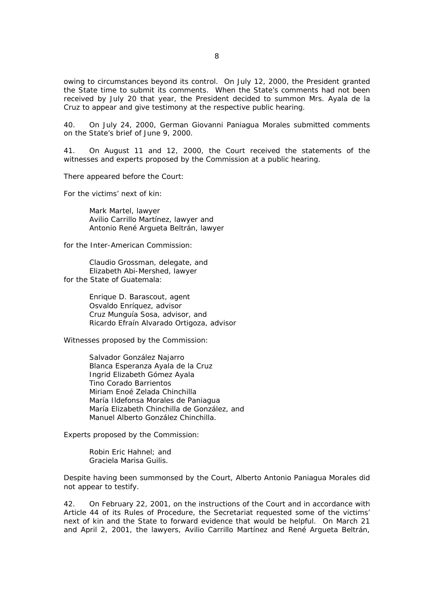owing to circumstances beyond its control. On July 12, 2000, the President granted the State time to submit its comments. When the State's comments had not been received by July 20 that year, the President decided to summon Mrs. Ayala de la Cruz to appear and give testimony at the respective public hearing.

40. On July 24, 2000, German Giovanni Paniagua Morales submitted comments on the State's brief of June 9, 2000.

41. On August 11 and 12, 2000, the Court received the statements of the witnesses and experts proposed by the Commission at a public hearing.

There appeared before the Court:

For the victims' next of kin:

Mark Martel, lawyer Avilio Carrillo Martínez, lawyer and Antonio René Argueta Beltrán, lawyer

for the Inter-American Commission:

Claudio Grossman, delegate, and Elizabeth Abi-Mershed, lawyer for the State of Guatemala:

> Enrique D. Barascout, agent Osvaldo Enríquez, advisor Cruz Munguía Sosa, advisor, and Ricardo Efraín Alvarado Ortigoza, advisor

Witnesses proposed by the Commission:

Salvador González Najarro Blanca Esperanza Ayala de la Cruz Ingrid Elizabeth Gómez Ayala Tino Corado Barrientos Miriam Enoé Zelada Chinchilla María Ildefonsa Morales de Paniagua María Elizabeth Chinchilla de González, and Manuel Alberto González Chinchilla.

Experts proposed by the Commission:

Robin Eric Hahnel; and Graciela Marisa Guilis.

Despite having been summonsed by the Court, Alberto Antonio Paniagua Morales did not appear to testify.

42. On February 22, 2001, on the instructions of the Court and in accordance with Article 44 of its Rules of Procedure, the Secretariat requested some of the victims' next of kin and the State to forward evidence that would be helpful. On March 21 and April 2, 2001, the lawyers, Avilio Carrillo Martínez and René Argueta Beltrán,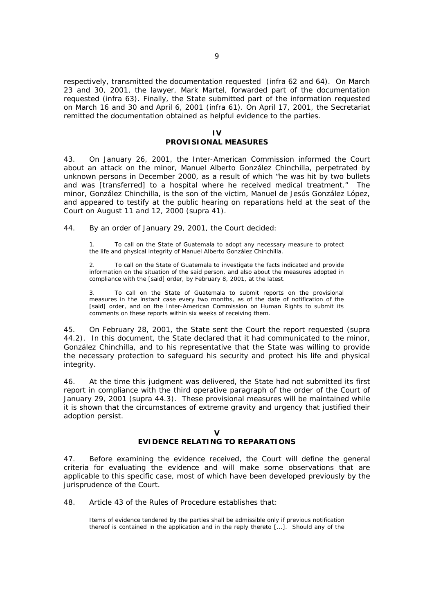respectively, transmitted the documentation requested (*infra* 62 and 64). On March 23 and 30, 2001, the lawyer, Mark Martel, forwarded part of the documentation requested (*infra* 63). Finally, the State submitted part of the information requested on March 16 and 30 and April 6, 2001 (*infra* 61). On April 17, 2001, the Secretariat remitted the documentation obtained as helpful evidence to the parties.

# **IV**

## **PROVISIONAL MEASURES**

43. On January 26, 2001, the Inter-American Commission informed the Court about an attack on the minor, Manuel Alberto González Chinchilla, perpetrated by unknown persons in December 2000, as a result of which "he was hit by two bullets and was [transferred] to a hospital where he received medical treatment." The minor, González Chinchilla, is the son of the victim, Manuel de Jesús González López, and appeared to testify at the public hearing on reparations held at the seat of the Court on August 11 and 12, 2000 (*supra* 41).

44. By an order of January 29, 2001, the Court decided:

To call on the State of Guatemala to adopt any necessary measure to protect the life and physical integrity of Manuel Alberto González Chinchilla.

2. To call on the State of Guatemala to investigate the facts indicated and provide information on the situation of the said person, and also about the measures adopted in compliance with the [said] order, by February 8, 2001, at the latest.

3. To call on the State of Guatemala to submit reports on the provisional measures in the instant case every two months, as of the date of notification of the [said] order, and on the Inter-American Commission on Human Rights to submit its comments on these reports within six weeks of receiving them.

45. On February 28, 2001, the State sent the Court the report requested (*supra* 44.2). In this document, the State declared that it had communicated to the minor, González Chinchilla, and to his representative that the State was willing to provide the necessary protection to safeguard his security and protect his life and physical integrity.

46. At the time this judgment was delivered, the State had not submitted its first report in compliance with the third operative paragraph of the order of the Court of January 29, 2001 (*supra* 44.3). These provisional measures will be maintained while it is shown that the circumstances of extreme gravity and urgency that justified their adoption persist.

### $\mathbf{v}$

## **EVIDENCE RELATING TO REPARATIONS**

47. Before examining the evidence received, the Court will define the general criteria for evaluating the evidence and will make some observations that are applicable to this specific case, most of which have been developed previously by the jurisprudence of the Court.

48. Article 43 of the Rules of Procedure establishes that:

Items of evidence tendered by the parties shall be admissible only if previous notification thereof is contained in the application and in the reply thereto [...]. Should any of the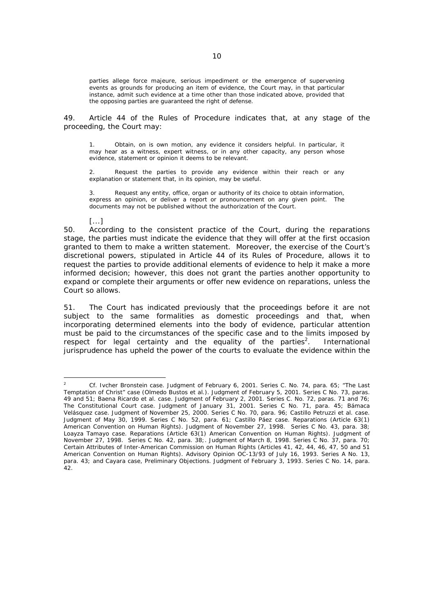parties allege *force majeure*, serious impediment or the emergence of supervening events as grounds for producing an item of evidence, the Court may, in that particular instance, admit such evidence at a time other than those indicated above, provided that the opposing parties are guaranteed the right of defense.

49. Article 44 of the Rules of Procedure indicates that, at any stage of the proceeding, the Court may:

1. Obtain, on is own motion, any evidence it considers helpful. In particular, it may hear as a witness, expert witness, or in any other capacity, any person whose evidence, statement or opinion it deems to be relevant.

2. Request the parties to provide any evidence within their reach or any explanation or statement that, in its opinion, may be useful.

3. Request any entity, office, organ or authority of its choice to obtain information, express an opinion, or deliver a report or pronouncement on any given point. The documents may not be published without the authorization of the Court.

[...]

50. According to the consistent practice of the Court, during the reparations stage, the parties must indicate the evidence that they will offer at the first occasion granted to them to make a written statement. Moreover, the exercise of the Court's discretional powers, stipulated in Article 44 of its Rules of Procedure, allows it to request the parties to provide additional elements of evidence to help it make a more informed decision; however, this does not grant the parties another opportunity to expand or complete their arguments or offer new evidence on reparations, unless the Court so allows.

51. The Court has indicated previously that the proceedings before it are not subject to the same formalities as domestic proceedings and that, when incorporating determined elements into the body of evidence, particular attention must be paid to the circumstances of the specific case and to the limits imposed by respect for legal certainty and the equality of the parties<sup>2</sup>. . International jurisprudence has upheld the power of the courts to evaluate the evidence within the

 $\frac{1}{2}$  *Cf. Ivcher Bronstein case.* Judgment of February 6, 2001. Series C. No. 74, para. 65; *"The Last Temptation of Christ" case (Olmedo Bustos et al.)*. Judgment of February 5, 2001. Series C No. 73, paras. 49 and 51; *Baena Ricardo et al. case.* Judgment of February 2, 2001. Series C. No. 72, paras. 71 and 76; *The Constitutional Court case.* Judgment of January 31, 2001. Series C No. 71, para. 45; *Bámaca Velásquez case*. Judgment of November 25, 2000. Series C No. 70, para. 96; *Castillo Petruzzi et al. case.* Judgment of May 30, 1999. Series C No. 52, para. 61; *Castillo Páez case. Reparations* (Article 63(1) American Convention on Human Rights). Judgment of November 27, 1998. Series C No. 43, para. 38; *Loayza Tamayo case. Reparations* (Article 63(1) American Convention on Human Rights). Judgment of November 27, 1998. Series C No. 42, para. 38;. Judgment of March 8, 1998. Series C No. 37, para. 70; *Certain Attributes of Inter-American Commission on Human Rights* (Articles 41, 42, 44, 46, 47, 50 and 51 American Convention on Human Rights). Advisory Opinion OC-13/93 of July 16, 1993. Series A No. 13, para. 43; and *Cayara case, Preliminary Objections*. Judgment of February 3, 1993. Series C No. 14, para. 42.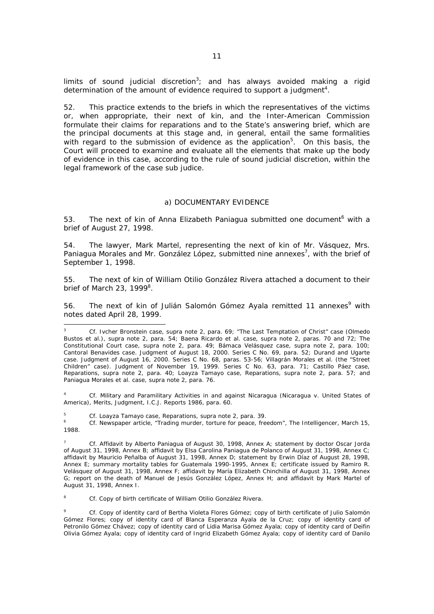limits of sound judicial discretion<sup>3</sup>; and has always avoided making a rigid determination of the amount of evidence required to support a judgment<sup>4</sup>.

52. This practice extends to the briefs in which the representatives of the victims or, when appropriate, their next of kin, and the Inter-American Commission formulate their claims for reparations and to the State's answering brief, which are the principal documents at this stage and, in general, entail the same formalities with regard to the submission of evidence as the application<sup>5</sup>. On this basis, the Court will proceed to examine and evaluate all the elements that make up the body of evidence in this case, according to the rule of sound judicial discretion, within the legal framework of the case *sub judice*.

#### *a) DOCUMENTARY EVIDENCE*

53. The next of kin of Anna Elizabeth Paniagua submitted one document<sup>6</sup> with a brief of August 27, 1998.

54. The lawyer, Mark Martel, representing the next of kin of Mr. Vásquez, Mrs. Paniagua Morales and Mr. González López, submitted nine annexes<sup>7</sup>, with the brief of September 1, 1998.

55. The next of kin of William Otilio González Rivera attached a document to their brief of March 23, 1999<sup>8</sup>.

56. The next of kin of Julián Salomón Gómez Ayala remitted 11 annexes<sup>9</sup> with notes dated April 28, 1999.

4 *Cf. Military and Paramilitary Activities in and against Nicaragua (Nicaragua v. United States of America), Merits, Judgment, I.C.J. Reports 1986,* para. 60.

5 *Cf. Loayza Tamayo case, Reparations, supra* note 2, para. 39. 6

 *Cf.* Newspaper article, "Trading murder, torture for peace, freedom", The Intelligencer, March 15, 1988.

7 *Cf.* Affidavit by Alberto Paniagua of August 30, 1998, Annex A; statement by doctor Oscar Jorda of August 31, 1998, Annex B; affidavit by Elsa Carolina Paniagua de Polanco of August 31, 1998, Annex C; affidavit by Mauricio Peñalba of August 31, 1998, Annex D; statement by Erwin Díaz of August 28, 1998, Annex E; summary mortality tables for Guatemala 1990-1995, Annex E; certificate issued by Ramiro R. Velásquez of August 31, 1998, Annex F; affidavit by María Elizabeth Chinchilla of August 31, 1998, Annex G; report on the death of Manuel de Jesús González López, Annex H; and affidavit by Mark Martel of August 31, 1998, Annex I.

8 *Cf.* Copy of birth certificate of William Otilio González Rivera.

9 *Cf.* Copy of identity card of Bertha Violeta Flores Gómez; copy of birth certificate of Julio Salomón Gómez Flores; copy of identity card of Blanca Esperanza Ayala de la Cruz; copy of identity card of Petronilo Gómez Chávez; copy of identity card of Lidia Marisa Gómez Ayala; copy of identity card of Deifin Olivia Gómez Ayala; copy of identity card of Ingrid Elizabeth Gómez Ayala; copy of identity card of Danilo

<sup>3</sup> *Cf. Ivcher Bronstein case, supra* note 2, para. 69; *"The Last Temptation of Christ" case (Olmedo Bustos et al.)*, *supra* note 2, para. 54; *Baena Ricardo et al. case, supra* note 2, paras. 70 and 72; *The Constitutional Court case*, *supra* note 2, para. 49; *Bámaca Velásquez case*, *supra* note 2, para. 100; *Cantoral Benavides case.* Judgment of August 18, 2000. Series C No. 69, para. 52; *Durand and Ugarte case.* Judgment of August 16, 2000. Series C No. 68, paras. 53-56; *Villagrán Morales et al. (the "Street Children" case).* Judgment of November 19, 1999. Series C No. 63, para. 71; *Castillo Páez case, Reparations, supra* note 2, para. 40; *Loayza Tamayo case, Reparations*, *supra* note 2, para. 57; and *Paniagua Morales et al. case, supra* note 2, para. 76.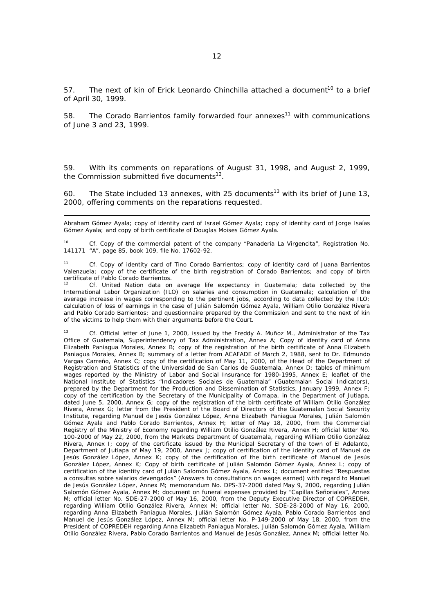57. The next of kin of Erick Leonardo Chinchilla attached a document<sup>10</sup> to a brief of April 30, 1999.

58. The Corado Barrientos family forwarded four annexes<sup>11</sup> with communications of June 3 and 23, 1999.

59. With its comments on reparations of August 31, 1998, and August 2, 1999, the Commission submitted five documents $12$ .

60. The State included 13 annexes, with 25 documents<sup>13</sup> with its brief of June 13, 2000, offering comments on the reparations requested.

Abraham Gómez Ayala; copy of identity card of Israel Gómez Ayala; copy of identity card of Jorge Isaías Gómez Ayala; and copy of birth certificate of Douglas Moises Gómez Ayala.

10 *Cf.* Copy of the commercial patent of the company "Panadería La Virgencita", Registration No. 141171 "A", page 85, book 109, file No. 17602-92.

11 *Cf.* Copy of identity card of Tino Corado Barrientos; copy of identity card of Juana Barrientos Valenzuela; copy of the certificate of the birth registration of Corado Barrientos; and copy of birth certificate of Pablo Corado Barrientos.

12 *Cf.* United Nation data on average life expectancy in Guatemala; data collected by the International Labor Organization (ILO) on salaries and consumption in Guatemala; calculation of the average increase in wages corresponding to the pertinent jobs, according to data collected by the ILO; calculation of loss of earnings in the case of Julián Salomón Gómez Ayala, William Otilio González Rivera and Pablo Corado Barrientos; and questionnaire prepared by the Commission and sent to the next of kin of the victims to help them with their arguments before the Court.

13 *Cf.* Official letter of June 1, 2000, issued by the Freddy A. Muñoz M., Administrator of the Tax Office of Guatemala, Superintendency of Tax Administration, Annex A; Copy of identity card of Anna Elizabeth Paniagua Morales, Annex B; copy of the registration of the birth certificate of Anna Elizabeth Paniagua Morales, Annex B; summary of a letter from ACAFADE of March 2, 1988, sent to Dr. Edmundo Vargas Carreño, Annex C; copy of the certification of May 11, 2000, of the Head of the Department of Registration and Statistics of the Universidad de San Carlos de Guatemala, Annex D; tables of minimum wages reported by the Ministry of Labor and Social Insurance for 1980-1995, Annex E; leaflet of the National Institute of Statistics "*Indicadores Sociales de Guatemala*" (Guatemalan Social Indicators), prepared by the Department for the Production and Dissemination of Statistics, January 1999, Annex F; copy of the certification by the Secretary of the Municipality of Comapa, in the Department of Jutiapa, dated June 5, 2000, Annex G; copy of the registration of the birth certificate of William Otilio González Rivera, Annex G; letter from the President of the Board of Directors of the Guatemalan Social Security Institute, regarding Manuel de Jesús González López, Anna Elizabeth Paniagua Morales, Julián Salomón Gómez Ayala and Pablo Corado Barrientos, Annex H; letter of May 18, 2000, from the Commercial Registry of the Ministry of Economy regarding William Otilio González Rivera, Annex H; official letter No. 100-2000 of May 22, 2000, from the Markets Department of Guatemala, regarding William Otilio González Rivera, Annex I; copy of the certificate issued by the Municipal Secretary of the town of El Adelanto, Department of Jutiapa of May 19, 2000, Annex J; copy of certification of the identity card of Manuel de Jesús González López, Annex K; copy of the certification of the birth certificate of Manuel de Jesús González López, Annex K; Copy of birth certificate of Julián Salomón Gómez Ayala, Annex L; copy of certification of the identity card of Julián Salomón Gómez Ayala, Annex L; document entitled "*Respuestas a consultas sobre salarios devengados*" (Answers to consultations on wages earned) with regard to Manuel de Jesús González López, Annex M; memorandum No. DPS-37-2000 dated May 9, 2000, regarding Julián Salomón Gómez Ayala, Annex M; document on funeral expenses provided by "*Capillas Señoriales*", Annex M; official letter No. SDE-27-2000 of May 16, 2000, from the Deputy Executive Director of COPREDEH, regarding William Otilio González Rivera, Annex M; official letter No. SDE-28-2000 of May 16, 2000, regarding Anna Elizabeth Paniagua Morales, Julián Salomón Gómez Ayala, Pablo Corado Barrientos and Manuel de Jesús González López, Annex M; official letter No. P-149-2000 of May 18, 2000, from the President of COPREDEH regarding Anna Elizabeth Paniagua Morales, Julián Salomón Gómez Ayala, William Otilio González Rivera, Pablo Corado Barrientos and Manuel de Jesús González, Annex M; official letter No.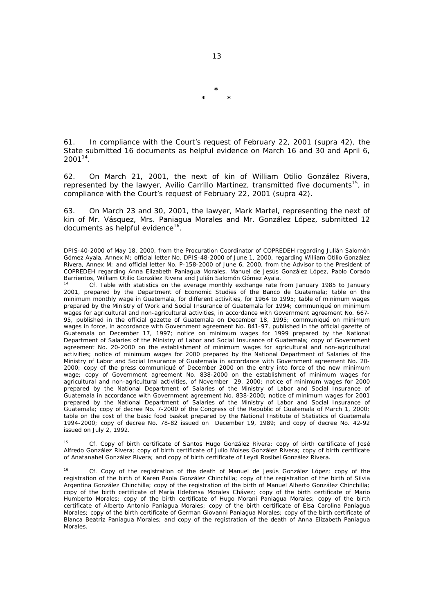61. In compliance with the Court's request of February 22, 2001 (*supra* 42), the State submitted 16 documents as helpful evidence on March 16 and 30 and April 6,  $2001^{14}$ .

62. On March 21, 2001, the next of kin of William Otilio González Rivera, represented by the lawyer, Avilio Carrillo Martínez, transmitted five documents<sup>15</sup>, in compliance with the Court's request of February 22, 2001 (*supra* 42).

63. On March 23 and 30, 2001, the lawyer, Mark Martel, representing the next of kin of Mr. Vásquez, Mrs. Paniagua Morales and Mr. González López, submitted 12 documents as helpful evidence $16$ .

15 *Cf.* Copy of birth certificate of Santos Hugo González Rivera; copy of birth certificate of José Alfredo González Rivera; copy of birth certificate of Julio Moises González Rivera; copy of birth certificate of Anatanahel González Rivera; and copy of birth certificate of Leydi Rosibel González Rivera.

16 *Cf.* Copy of the registration of the death of Manuel de Jesús González López; copy of the registration of the birth of Karen Paola González Chinchilla; copy of the registration of the birth of Silvia Argentina González Chinchilla; copy of the registration of the birth of Manuel Alberto González Chinchilla; copy of the birth certificate of María Ildefonsa Morales Chávez; copy of the birth certificate of Mario Humberto Morales; copy of the birth certificate of Hugo Morani Paniagua Morales; copy of the birth certificate of Alberto Antonio Paniagua Morales; copy of the birth certificate of Elsa Carolina Paniagua Morales; copy of the birth certificate of German Giovanni Paniagua Morales; copy of the birth certificate of Blanca Beatriz Paniagua Morales; and copy of the registration of the death of Anna Elizabeth Paniagua Morales.

**\* \* \*** 

DPIS-40-2000 of May 18, 2000, from the Procuration Coordinator of COPREDEH regarding Julián Salomón Gómez Ayala, Annex M; official letter No. DPIS-48-2000 of June 1, 2000, regarding William Otilio González Rivera, Annex M; and official letter No. P-158-2000 of June 6, 2000, from the Advisor to the President of COPREDEH regarding Anna Elizabeth Paniagua Morales, Manuel de Jesús González López, Pablo Corado Barrientos, William Otilio González Rivera and Julián Salomón Gómez Ayala.

<sup>14</sup> *Cf.* Table with statistics on the average monthly exchange rate from January 1985 to January 2001, prepared by the Department of Economic Studies of the *Banco de Guatemala*; table on the minimum monthly wage in Guatemala, for different activities, for 1964 to 1995; table of minimum wages prepared by the Ministry of Work and Social Insurance of Guatemala for 1994; communiqué on minimum wages for agricultural and non-agricultural activities, in accordance with Government agreement No. 667- 95, published in the official gazette of Guatemala on December 18, 1995; communiqué on minimum wages in force, in accordance with Government agreement No. 841-97, published in the official gazette of Guatemala on December 17, 1997; notice on minimum wages for 1999 prepared by the National Department of Salaries of the Ministry of Labor and Social Insurance of Guatemala; copy of Government agreement No. 20-2000 on the establishment of minimum wages for agricultural and non-agricultural activities; notice of minimum wages for 2000 prepared by the National Department of Salaries of the Ministry of Labor and Social Insurance of Guatemala in accordance with Government agreement No. 20- 2000; copy of the press communiqué of December 2000 on the entry into force of the new minimum wage; copy of Government agreement No. 838-2000 on the establishment of minimum wages for agricultural and non-agricultural activities, of November 29, 2000; notice of minimum wages for 2000 prepared by the National Department of Salaries of the Ministry of Labor and Social Insurance of Guatemala in accordance with Government agreement No. 838-2000; notice of minimum wages for 2001 prepared by the National Department of Salaries of the Ministry of Labor and Social Insurance of Guatemala; copy of decree No. 7-2000 of the Congress of the Republic of Guatemala of March 1, 2000; table on the cost of the basic food basket prepared by the National Institute of Statistics of Guatemala 1994-2000; copy of decree No. 78-82 issued on December 19, 1989; and copy of decree No. 42-92 issued on July 2, 1992.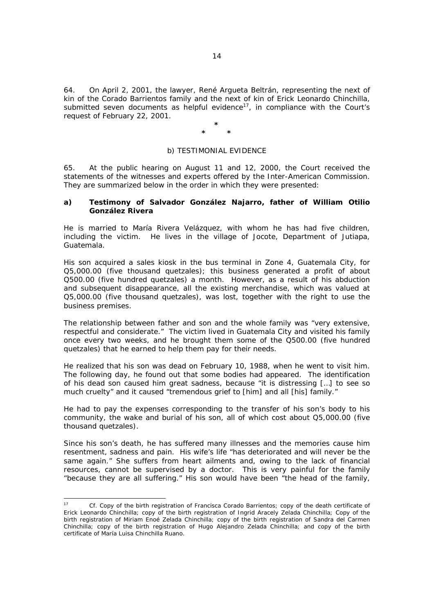64. On April 2, 2001, the lawyer, René Argueta Beltrán, representing the next of kin of the Corado Barrientos family and the next of kin of Erick Leonardo Chinchilla, submitted seven documents as helpful evidence<sup>17</sup>, in compliance with the Court's request of February 22, 2001.

#### **\* \* \***

### *b) TESTIMONIAL EVIDENCE*

65. At the public hearing on August 11 and 12, 2000, the Court received the statements of the witnesses and experts offered by the Inter-American Commission. They are summarized below in the order in which they were presented:

### **a) Testimony of Salvador González Najarro, father of William Otilio González Rivera**

He is married to María Rivera Velázquez, with whom he has had five children, including the victim. He lives in the village of Jocote, Department of Jutiapa, Guatemala.

His son acquired a sales kiosk in the bus terminal in Zone 4, Guatemala City, for Q5,000.00 (five thousand quetzales); this business generated a profit of about Q500.00 (five hundred quetzales) a month. However, as a result of his abduction and subsequent disappearance, all the existing merchandise, which was valued at Q5,000.00 (five thousand quetzales), was lost, together with the right to use the business premises.

The relationship between father and son and the whole family was "very extensive, respectful and considerate." The victim lived in Guatemala City and visited his family once every two weeks, and he brought them some of the Q500.00 (five hundred quetzales) that he earned to help them pay for their needs.

He realized that his son was dead on February 10, 1988, when he went to visit him. The following day, he found out that some bodies had appeared. The identification of his dead son caused him great sadness, because "it is distressing […] to see so much cruelty" and it caused "tremendous grief to [him] and all [his] family."

He had to pay the expenses corresponding to the transfer of his son's body to his community, the wake and burial of his son, all of which cost about Q5,000.00 (five thousand quetzales).

Since his son's death, he has suffered many illnesses and the memories cause him resentment, sadness and pain. His wife's life "has deteriorated and will never be the same again." She suffers from heart ailments and, owing to the lack of financial resources, cannot be supervised by a doctor. This is very painful for the family "because they are all suffering." His son would have been "the head of the family,

 $17$ 17 *Cf.* Copy of the birth registration of Francisca Corado Barrientos; copy of the death certificate of Erick Leonardo Chinchilla; copy of the birth registration of Ingrid Aracely Zelada Chinchilla; Copy of the birth registration of Miriam Enoé Zelada Chinchilla; copy of the birth registration of Sandra del Carmen Chinchilla; copy of the birth registration of Hugo Alejandro Zelada Chinchilla; and copy of the birth certificate of María Luisa Chinchilla Ruano.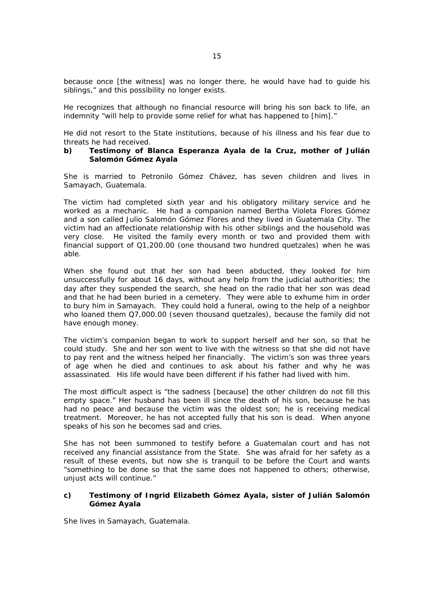because once [the witness] was no longer there, he would have had to guide his siblings," and this possibility no longer exists.

He recognizes that although no financial resource will bring his son back to life, an indemnity "will help to provide some relief for what has happened to [him]."

He did not resort to the State institutions, because of his illness and his fear due to threats he had received.

### **b) Testimony of Blanca Esperanza Ayala de la Cruz, mother of Julián Salomón Gómez Ayala**

She is married to Petronilo Gómez Chávez, has seven children and lives in Samayach, Guatemala.

The victim had completed sixth year and his obligatory military service and he worked as a mechanic. He had a companion named Bertha Violeta Flores Gómez and a son called Julio Salomón Gómez Flores and they lived in Guatemala City. The victim had an affectionate relationship with his other siblings and the household was very close. He visited the family every month or two and provided them with financial support of Q1,200.00 (one thousand two hundred quetzales) when he was able.

When she found out that her son had been abducted, they looked for him unsuccessfully for about 16 days, without any help from the judicial authorities; the day after they suspended the search, she head on the radio that her son was dead and that he had been buried in a cemetery. They were able to exhume him in order to bury him in Samayach. They could hold a funeral, owing to the help of a neighbor who loaned them Q7,000.00 (seven thousand quetzales), because the family did not have enough money.

The victim's companion began to work to support herself and her son, so that he could study. She and her son went to live with the witness so that she did not have to pay rent and the witness helped her financially. The victim's son was three years of age when he died and continues to ask about his father and why he was assassinated. His life would have been different if his father had lived with him.

The most difficult aspect is "the sadness [because] the other children do not fill this empty space." Her husband has been ill since the death of his son, because he has had no peace and because the victim was the oldest son; he is receiving medical treatment. Moreover, he has not accepted fully that his son is dead. When anyone speaks of his son he becomes sad and cries.

She has not been summoned to testify before a Guatemalan court and has not received any financial assistance from the State. She was afraid for her safety as a result of these events, but now she is tranquil to be before the Court and wants "something to be done so that the same does not happened to others; otherwise, unjust acts will continue."

### **c) Testimony of Ingrid Elizabeth Gómez Ayala, sister of Julián Salomón Gómez Ayala**

She lives in Samayach, Guatemala.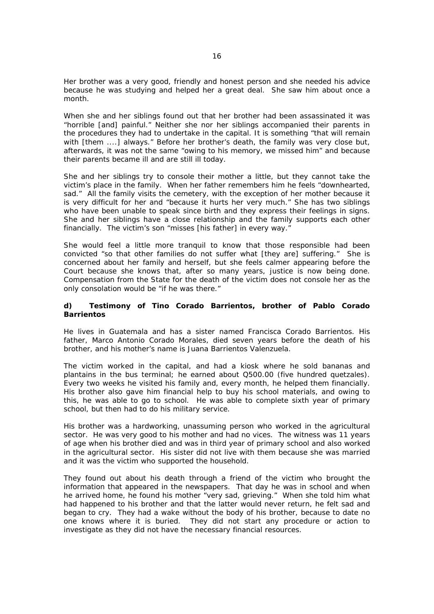Her brother was a very good, friendly and honest person and she needed his advice because he was studying and helped her a great deal. She saw him about once a month.

When she and her siblings found out that her brother had been assassinated it was "horrible [and] painful." Neither she nor her siblings accompanied their parents in the procedures they had to undertake in the capital. It is something "that will remain with [them ....] always." Before her brother's death, the family was very close but, afterwards, it was not the same "owing to his memory, we missed him" and because their parents became ill and are still ill today.

She and her siblings try to console their mother a little, but they cannot take the victim's place in the family. When her father remembers him he feels "downhearted, sad." All the family visits the cemetery, with the exception of her mother because it is very difficult for her and "because it hurts her very much." She has two siblings who have been unable to speak since birth and they express their feelings in signs. She and her siblings have a close relationship and the family supports each other financially. The victim's son "misses [his father] in every way."

She would feel a little more tranquil to know that those responsible had been convicted "so that other families do not suffer what [they are] suffering." She is concerned about her family and herself, but she feels calmer appearing before the Court because she knows that, after so many years, justice is now being done. Compensation from the State for the death of the victim does not console her as the only consolation would be "if he was there."

### **d) Testimony of Tino Corado Barrientos, brother of Pablo Corado Barrientos**

He lives in Guatemala and has a sister named Francisca Corado Barrientos. His father, Marco Antonio Corado Morales, died seven years before the death of his brother, and his mother's name is Juana Barrientos Valenzuela.

The victim worked in the capital, and had a kiosk where he sold bananas and plantains in the bus terminal; he earned about Q500.00 (five hundred quetzales). Every two weeks he visited his family and, every month, he helped them financially. His brother also gave him financial help to buy his school materials, and owing to this, he was able to go to school. He was able to complete sixth year of primary school, but then had to do his military service.

His brother was a hardworking, unassuming person who worked in the agricultural sector. He was very good to his mother and had no vices. The witness was 11 years of age when his brother died and was in third year of primary school and also worked in the agricultural sector. His sister did not live with them because she was married and it was the victim who supported the household.

They found out about his death through a friend of the victim who brought the information that appeared in the newspapers. That day he was in school and when he arrived home, he found his mother "very sad, grieving." When she told him what had happened to his brother and that the latter would never return, he felt sad and began to cry. They had a wake without the body of his brother, because to date no one knows where it is buried. They did not start any procedure or action to investigate as they did not have the necessary financial resources.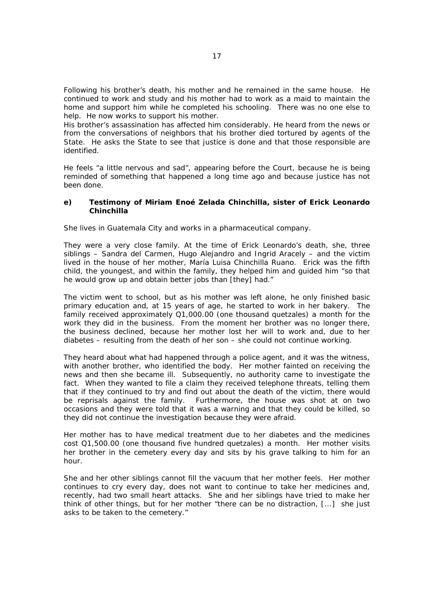Following his brother's death, his mother and he remained in the same house. He continued to work and study and his mother had to work as a maid to maintain the home and support him while he completed his schooling. There was no one else to help. He now works to support his mother.

His brother's assassination has affected him considerably. He heard from the news or from the conversations of neighbors that his brother died tortured by agents of the State. He asks the State to see that justice is done and that those responsible are identified.

He feels "a little nervous and sad", appearing before the Court, because he is being reminded of something that happened a long time ago and because justice has not been done.

### **e) Testimony of Miriam Enoé Zelada Chinchilla, sister of Erick Leonardo Chinchilla**

She lives in Guatemala City and works in a pharmaceutical company.

They were a very close family. At the time of Erick Leonardo's death, she, three siblings – Sandra del Carmen, Hugo Alejandro and Ingrid Aracely – and the victim lived in the house of her mother, María Luisa Chinchilla Ruano. Erick was the fifth child, the youngest, and within the family, they helped him and guided him "so that he would grow up and obtain better jobs than [they] had."

The victim went to school, but as his mother was left alone, he only finished basic primary education and, at 15 years of age, he started to work in her bakery. The family received approximately Q1,000.00 (one thousand quetzales) a month for the work they did in the business. From the moment her brother was no longer there, the business declined, because her mother lost her will to work and, due to her diabetes – resulting from the death of her son – she could not continue working.

They heard about what had happened through a police agent, and it was the witness, with another brother, who identified the body. Her mother fainted on receiving the news and then she became ill. Subsequently, no authority came to investigate the fact. When they wanted to file a claim they received telephone threats, telling them that if they continued to try and find out about the death of the victim, there would be reprisals against the family. Furthermore, the house was shot at on two occasions and they were told that it was a warning and that they could be killed, so they did not continue the investigation because they were afraid.

Her mother has to have medical treatment due to her diabetes and the medicines cost Q1,500.00 (one thousand five hundred quetzales) a month. Her mother visits her brother in the cemetery every day and sits by his grave talking to him for an hour.

She and her other siblings cannot fill the vacuum that her mother feels. Her mother continues to cry every day, does not want to continue to take her medicines and, recently, had two small heart attacks. She and her siblings have tried to make her think of other things, but for her mother "there can be no distraction, [...] she just asks to be taken to the cemetery."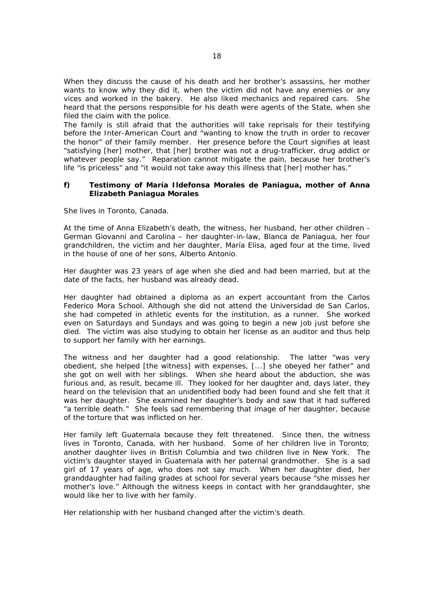When they discuss the cause of his death and her brother's assassins, her mother wants to know why they did it, when the victim did not have any enemies or any vices and worked in the bakery. He also liked mechanics and repaired cars. She heard that the persons responsible for his death were agents of the State, when she filed the claim with the police.

The family is still afraid that the authorities will take reprisals for their testifying before the Inter-American Court and "wanting to know the truth in order to recover the honor" of their family member. Her presence before the Court signifies at least "satisfying [her] mother, that [her] brother was not a drug-trafficker, drug addict or whatever people say." Reparation cannot mitigate the pain, because her brother's life "is priceless" and "it would not take away this illness that [her] mother has."

### **f) Testimony of María Ildefonsa Morales de Paniagua, mother of Anna Elizabeth Paniagua Morales**

She lives in Toronto, Canada.

At the time of Anna Elizabeth's death, the witness, her husband, her other children - German Giovanni and Carolina – her daughter-in-law, Blanca de Paniagua, her four grandchildren, the victim and her daughter, María Elisa, aged four at the time, lived in the house of one of her sons, Alberto Antonio.

Her daughter was 23 years of age when she died and had been married, but at the date of the facts, her husband was already dead.

Her daughter had obtained a diploma as an expert accountant from the Carlos Federico Mora School. Although she did not attend the Universidad de San Carlos, she had competed in athletic events for the institution, as a runner.She worked even on Saturdays and Sundays and was going to begin a new job just before she died. The victim was also studying to obtain her license as an auditor and thus help to support her family with her earnings.

The witness and her daughter had a good relationship. The latter "was very obedient, she helped [the witness] with expenses, [...] she obeyed her father" and she got on well with her siblings. When she heard about the abduction, she was furious and, as result, became ill. They looked for her daughter and, days later, they heard on the television that an unidentified body had been found and she felt that it was her daughter. She examined her daughter's body and saw that it had suffered "a terrible death." She feels sad remembering that image of her daughter, because of the torture that was inflicted on her.

Her family left Guatemala because they felt threatened. Since then, the witness lives in Toronto, Canada, with her husband. Some of her children live in Toronto; another daughter lives in British Columbia and two children live in New York. The victim's daughter stayed in Guatemala with her paternal grandmother. She is a sad girl of 17 years of age, who does not say much. When her daughter died, her granddaughter had failing grades at school for several years because "she misses her mother's love." Although the witness keeps in contact with her granddaughter, she would like her to live with her family.

Her relationship with her husband changed after the victim's death.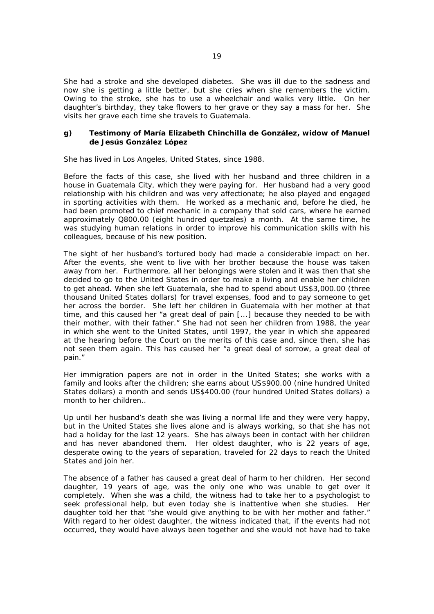She had a stroke and she developed diabetes. She was ill due to the sadness and now she is getting a little better, but she cries when she remembers the victim. Owing to the stroke, she has to use a wheelchair and walks very little. On her daughter's birthday, they take flowers to her grave or they say a mass for her. She visits her grave each time she travels to Guatemala.

### **g) Testimony of María Elizabeth Chinchilla de González, widow of Manuel de Jesús González López**

She has lived in Los Angeles, United States, since 1988.

Before the facts of this case, she lived with her husband and three children in a house in Guatemala City, which they were paying for. Her husband had a very good relationship with his children and was very affectionate; he also played and engaged in sporting activities with them. He worked as a mechanic and, before he died, he had been promoted to chief mechanic in a company that sold cars, where he earned approximately Q800.00 (eight hundred quetzales) a month. At the same time, he was studying human relations in order to improve his communication skills with his colleagues, because of his new position.

The sight of her husband's tortured body had made a considerable impact on her. After the events, she went to live with her brother because the house was taken away from her. Furthermore, all her belongings were stolen and it was then that she decided to go to the United States in order to make a living and enable her children to get ahead. When she left Guatemala, she had to spend about US\$3,000.00 (three thousand United States dollars) for travel expenses, food and to pay someone to get her across the border. She left her children in Guatemala with her mother at that time, and this caused her "a great deal of pain [...] because they needed to be with their mother, with their father." She had not seen her children from 1988, the year in which she went to the United States, until 1997, the year in which she appeared at the hearing before the Court on the merits of this case and, since then, she has not seen them again. This has caused her "a great deal of sorrow, a great deal of pain."

Her immigration papers are not in order in the United States; she works with a family and looks after the children; she earns about US\$900.00 (nine hundred United States dollars) a month and sends US\$400.00 (four hundred United States dollars) a month to her children..

Up until her husband's death she was living a normal life and they were very happy, but in the United States she lives alone and is always working, so that she has not had a holiday for the last 12 years. She has always been in contact with her children and has never abandoned them. Her oldest daughter, who is 22 years of age, desperate owing to the years of separation, traveled for 22 days to reach the United States and join her.

The absence of a father has caused a great deal of harm to her children. Her second daughter, 19 years of age, was the only one who was unable to get over it completely. When she was a child, the witness had to take her to a psychologist to seek professional help, but even today she is inattentive when she studies. Her daughter told her that "she would give anything to be with her mother and father." With regard to her oldest daughter, the witness indicated that, if the events had not occurred, they would have always been together and she would not have had to take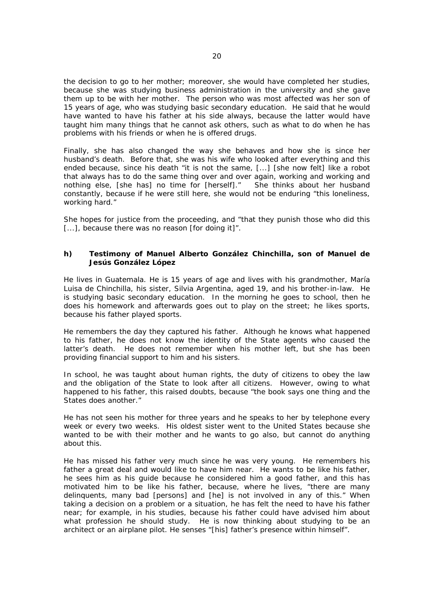the decision to go to her mother; moreover, she would have completed her studies, because she was studying business administration in the university and she gave them up to be with her mother. The person who was most affected was her son of 15 years of age, who was studying basic secondary education. He said that he would have wanted to have his father at his side always, because the latter would have taught him many things that he cannot ask others, such as what to do when he has problems with his friends or when he is offered drugs.

Finally, she has also changed the way she behaves and how she is since her husband's death. Before that, she was his wife who looked after everything and this ended because, since his death "it is not the same, [...] [she now felt] like a robot that always has to do the same thing over and over again, working and working and nothing else, [she has] no time for [herself]." She thinks about her husband constantly, because if he were still here, she would not be enduring "this loneliness, working hard."

She hopes for justice from the proceeding, and "that they punish those who did this [...], because there was no reason [for doing it]".

### **h) Testimony of Manuel Alberto González Chinchilla, son of Manuel de Jesús González López**

He lives in Guatemala. He is 15 years of age and lives with his grandmother, María Luisa de Chinchilla, his sister, Silvia Argentina, aged 19, and his brother-in-law. He is studying basic secondary education. In the morning he goes to school, then he does his homework and afterwards goes out to play on the street; he likes sports, because his father played sports.

He remembers the day they captured his father. Although he knows what happened to his father, he does not know the identity of the State agents who caused the latter's death. He does not remember when his mother left, but she has been providing financial support to him and his sisters.

In school, he was taught about human rights, the duty of citizens to obey the law and the obligation of the State to look after all citizens. However, owing to what happened to his father, this raised doubts, because "the book says one thing and the States does another."

He has not seen his mother for three years and he speaks to her by telephone every week or every two weeks. His oldest sister went to the United States because she wanted to be with their mother and he wants to go also, but cannot do anything about this.

He has missed his father very much since he was very young. He remembers his father a great deal and would like to have him near. He wants to be like his father, he sees him as his guide because he considered him a good father, and this has motivated him to be like his father, because, where he lives, "there are many delinquents, many bad [persons] and [he] is not involved in any of this." When taking a decision on a problem or a situation, he has felt the need to have his father near; for example, in his studies, because his father could have advised him about what profession he should study. He is now thinking about studying to be an architect or an airplane pilot. He senses "[his] father's presence within himself".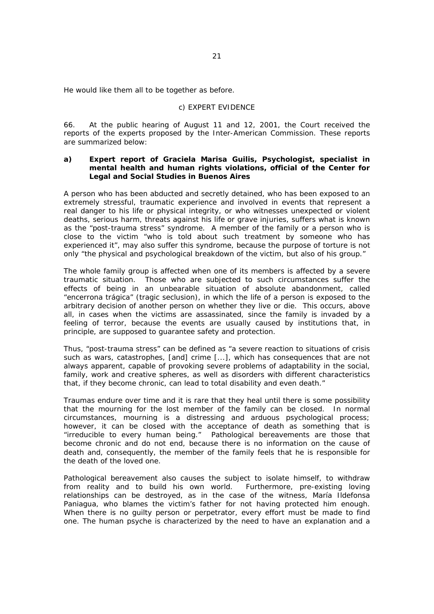He would like them all to be together as before.

### *c) EXPERT EVIDENCE*

66. At the public hearing of August 11 and 12, 2001, the Court received the reports of the experts proposed by the Inter-American Commission. These reports are summarized below:

### **a) Expert report of Graciela Marisa Guilis, Psychologist, specialist in mental health and human rights violations, official of the Center for Legal and Social Studies in Buenos Aires**

A person who has been abducted and secretly detained, who has been exposed to an extremely stressful, traumatic experience and involved in events that represent a real danger to his life or physical integrity, or who witnesses unexpected or violent deaths, serious harm, threats against his life or grave injuries, suffers what is known as the "*post-trauma stress*" syndrome. A member of the family or a person who is close to the victim "who is told about such treatment by someone who has experienced it", may also suffer this syndrome, because the purpose of torture is not only "the physical and psychological breakdown of the victim, but also of his group."

The whole family group is affected when one of its members is affected by a severe traumatic situation. Those who are subjected to such circumstances suffer the effects of being in an unbearable situation of absolute abandonment, called "*encerrona trágica*" (tragic seclusion), in which the life of a person is exposed to the arbitrary decision of another person on whether they live or die. This occurs, above all, in cases when the victims are assassinated, since the family is invaded by a feeling of terror, because the events are usually caused by institutions that, in principle, are supposed to guarantee safety and protection.

Thus, "*post-trauma stress*" can be defined as "a severe reaction to situations of crisis such as wars, catastrophes, [and] crime [...], which has consequences that are not always apparent, capable of provoking severe problems of adaptability in the social, family, work and creative spheres, as well as disorders with different characteristics that, if they become chronic, can lead to total disability and even death."

Traumas endure over time and it is rare that they heal until there is some possibility that the mourning for the lost member of the family can be closed. In normal circumstances, mourning is a distressing and arduous psychological process; however, it can be closed with the acceptance of death as something that is "irreducible to every human being." Pathological bereavements are those that become chronic and do not end, because there is no information on the cause of death and, consequently, the member of the family feels that he is responsible for the death of the loved one.

Pathological bereavement also causes the subject to isolate himself, to withdraw from reality and to build his own world. Furthermore, pre-existing loving relationships can be destroyed, as in the case of the witness, María Ildefonsa Paniagua, who blames the victim's father for not having protected him enough. When there is no guilty person or perpetrator, every effort must be made to find one. The human psyche is characterized by the need to have an explanation and a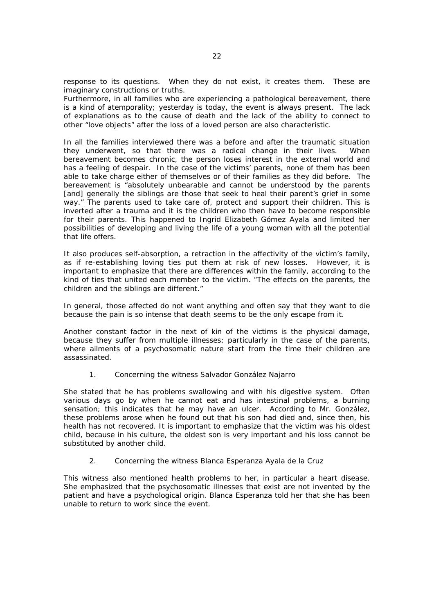response to its questions. When they do not exist, it creates them. These are imaginary constructions or truths.

Furthermore, in all families who are experiencing a pathological bereavement, there is a kind of atemporality; yesterday is today, the event is always present. The lack of explanations as to the cause of death and the lack of the ability to connect to other "love objects" after the loss of a loved person are also characteristic.

In all the families interviewed there was a before and after the traumatic situation they underwent, so that there was a radical change in their lives. When bereavement becomes chronic, the person loses interest in the external world and has a feeling of despair. In the case of the victims' parents, none of them has been able to take charge either of themselves or of their families as they did before. The bereavement is "absolutely unbearable and cannot be understood by the parents [and] generally the siblings are those that seek to heal their parent's grief in some way." The parents used to take care of, protect and support their children. This is inverted after a trauma and it is the children who then have to become responsible for their parents. This happened to Ingrid Elizabeth Gómez Ayala and limited her possibilities of developing and living the life of a young woman with all the potential that life offers.

It also produces self-absorption, a retraction in the affectivity of the victim's family, as if re-establishing loving ties put them at risk of new losses. However, it is important to emphasize that there are differences within the family, according to the kind of ties that united each member to the victim. "The effects on the parents, the children and the siblings are different."

In general, those affected do not want anything and often say that they want to die because the pain is so intense that death seems to be the only escape from it.

Another constant factor in the next of kin of the victims is the physical damage, because they suffer from multiple illnesses; particularly in the case of the parents, where ailments of a psychosomatic nature start from the time their children are assassinated.

1. Concerning the witness Salvador González Najarro

She stated that he has problems swallowing and with his digestive system. Often various days go by when he cannot eat and has intestinal problems, a burning sensation; this indicates that he may have an ulcer. According to Mr. González, these problems arose when he found out that his son had died and, since then, his health has not recovered. It is important to emphasize that the victim was his oldest child, because in his culture, the oldest son is very important and his loss cannot be substituted by another child.

2. Concerning the witness Blanca Esperanza Ayala de la Cruz

This witness also mentioned health problems to her, in particular a heart disease. She emphasized that the psychosomatic illnesses that exist are not invented by the patient and have a psychological origin. Blanca Esperanza told her that she has been unable to return to work since the event.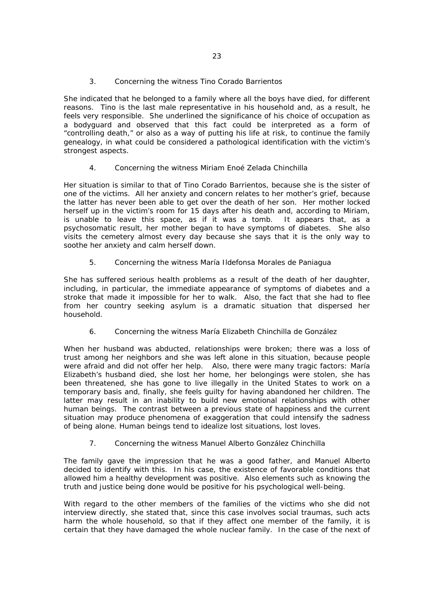## 3. Concerning the witness Tino Corado Barrientos

She indicated that he belonged to a family where all the boys have died, for different reasons. Tino is the last male representative in his household and, as a result, he feels very responsible. She underlined the significance of his choice of occupation as a bodyguard and observed that this fact could be interpreted as a form of "controlling death," or also as a way of putting his life at risk, to continue the family genealogy, in what could be considered a pathological identification with the victim's strongest aspects.

## 4. Concerning the witness Miriam Enoé Zelada Chinchilla

Her situation is similar to that of Tino Corado Barrientos, because she is the sister of one of the victims. All her anxiety and concern relates to her mother's grief, because the latter has never been able to get over the death of her son. Her mother locked herself up in the victim's room for 15 days after his death and, according to Miriam, is unable to leave this space, as if it was a tomb. It appears that, as a psychosomatic result, her mother began to have symptoms of diabetes. She also visits the cemetery almost every day because she says that it is the only way to soothe her anxiety and calm herself down.

## 5. Concerning the witness María Ildefonsa Morales de Paniagua

She has suffered serious health problems as a result of the death of her daughter, including, in particular, the immediate appearance of symptoms of diabetes and a stroke that made it impossible for her to walk. Also, the fact that she had to flee from her country seeking asylum is a dramatic situation that dispersed her household.

## 6. Concerning the witness María Elizabeth Chinchilla de González

When her husband was abducted, relationships were broken; there was a loss of trust among her neighbors and she was left alone in this situation, because people were afraid and did not offer her help. Also, there were many tragic factors: María Elizabeth's husband died, she lost her home, her belongings were stolen, she has been threatened, she has gone to live illegally in the United States to work on a temporary basis and, finally, she feels guilty for having abandoned her children. The latter may result in an inability to build new emotional relationships with other human beings. The contrast between a previous state of happiness and the current situation may produce phenomena of exaggeration that could intensify the sadness of being alone. Human beings tend to idealize lost situations, lost loves.

## 7. Concerning the witness Manuel Alberto González Chinchilla

The family gave the impression that he was a good father, and Manuel Alberto decided to identify with this. In his case, the existence of favorable conditions that allowed him a healthy development was positive. Also elements such as knowing the truth and justice being done would be positive for his psychological well-being.

With regard to the other members of the families of the victims who she did not interview directly, she stated that, since this case involves social traumas, such acts harm the whole household, so that if they affect one member of the family, it is certain that they have damaged the whole nuclear family. In the case of the next of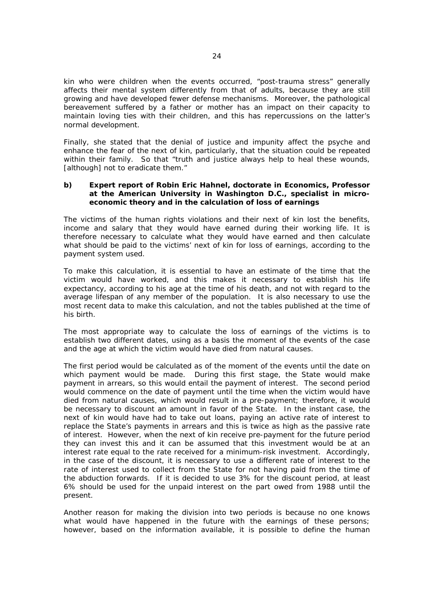kin who were children when the events occurred, "*post-trauma stress*" generally affects their mental system differently from that of adults, because they are still growing and have developed fewer defense mechanisms. Moreover, the pathological bereavement suffered by a father or mother has an impact on their capacity to maintain loving ties with their children, and this has repercussions on the latter's normal development.

Finally, she stated that the denial of justice and impunity affect the psyche and enhance the fear of the next of kin, particularly, that the situation could be repeated within their family. So that "truth and justice always help to heal these wounds, [although] not to eradicate them."

### **b) Expert report of Robin Eric Hahnel, doctorate in Economics, Professor at the American University in Washington D.C., specialist in microeconomic theory and in the calculation of loss of earnings**

The victims of the human rights violations and their next of kin lost the benefits, income and salary that they would have earned during their working life. It is therefore necessary to calculate what they would have earned and then calculate what should be paid to the victims' next of kin for loss of earnings, according to the payment system used.

To make this calculation, it is essential to have an estimate of the time that the victim would have worked, and this makes it necessary to establish his life expectancy, according to his age at the time of his death, and not with regard to the average lifespan of any member of the population. It is also necessary to use the most recent data to make this calculation, and not the tables published at the time of his birth.

The most appropriate way to calculate the loss of earnings of the victims is to establish two different dates, using as a basis the moment of the events of the case and the age at which the victim would have died from natural causes.

The first period would be calculated as of the moment of the events until the date on which payment would be made. During this first stage, the State would make payment in arrears, so this would entail the payment of interest. The second period would commence on the date of payment until the time when the victim would have died from natural causes, which would result in a pre-payment; therefore, it would be necessary to discount an amount in favor of the State. In the instant case, the next of kin would have had to take out loans, paying an active rate of interest to replace the State's payments in arrears and this is twice as high as the passive rate of interest. However, when the next of kin receive pre-payment for the future period they can invest this and it can be assumed that this investment would be at an interest rate equal to the rate received for a minimum-risk investment. Accordingly, in the case of the discount, it is necessary to use a different rate of interest to the rate of interest used to collect from the State for not having paid from the time of the abduction forwards. If it is decided to use 3% for the discount period, at least 6% should be used for the unpaid interest on the part owed from 1988 until the present.

Another reason for making the division into two periods is because no one knows what would have happened in the future with the earnings of these persons; however, based on the information available, it is possible to define the human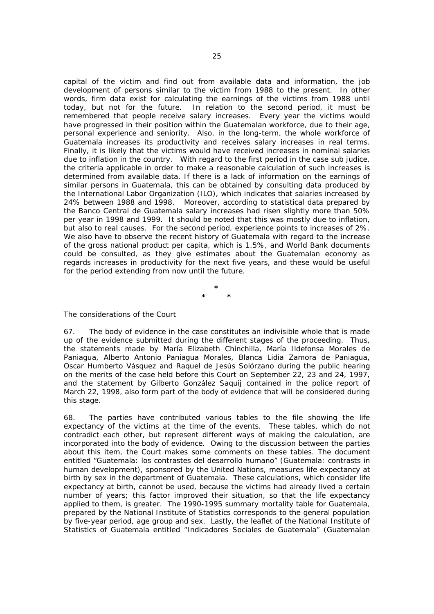capital of the victim and find out from available data and information, the job development of persons similar to the victim from 1988 to the present. In other words, firm data exist for calculating the earnings of the victims from 1988 until today, but not for the future. In relation to the second period, it must be remembered that people receive salary increases. Every year the victims would have progressed in their position within the Guatemalan workforce, due to their age, personal experience and seniority. Also, in the long-term, the whole workforce of Guatemala increases its productivity and receives salary increases in real terms. Finally, it is likely that the victims would have received increases in nominal salaries due to inflation in the country. With regard to the first period in the case *sub judice*, the criteria applicable in order to make a reasonable calculation of such increases is determined from available data. If there is a lack of information on the earnings of similar persons in Guatemala, this can be obtained by consulting data produced by the International Labor Organization (ILO), which indicates that salaries increased by 24% between 1988 and 1998. Moreover, according to statistical data prepared by the *Banco Central de Guatemala* salary increases had risen slightly more than 50% per year in 1998 and 1999. It should be noted that this was mostly due to inflation, but also to real causes. For the second period, experience points to increases of 2%. We also have to observe the recent history of Guatemala with regard to the increase of the gross national product *per capita*, which is 1.5%, and World Bank documents could be consulted, as they give estimates about the Guatemalan economy as regards increases in productivity for the next five years, and these would be useful for the period extending from now until the future.

> **\* \* \***

### *The considerations of the Court*

67. The body of evidence in the case constitutes an indivisible whole that is made up of the evidence submitted during the different stages of the proceeding. Thus, the statements made by María Elizabeth Chinchilla, María Ildefonsa Morales de Paniagua, Alberto Antonio Paniagua Morales, Blanca Lidia Zamora de Paniagua, Oscar Humberto Vásquez and Raquel de Jesús Solórzano during the public hearing on the merits of the case held before this Court on September 22, 23 and 24, 1997, and the statement by Gilberto González Saquij contained in the police report of March 22, 1998, also form part of the body of evidence that will be considered during this stage.

68. The parties have contributed various tables to the file showing the life expectancy of the victims at the time of the events. These tables, which do not contradict each other, but represent different ways of making the calculation, are incorporated into the body of evidence. Owing to the discussion between the parties about this item, the Court makes some comments on these tables. The document entitled "*Guatemala: los contrastes del desarrollo humano*" (Guatemala: contrasts in human development), sponsored by the United Nations, measures life expectancy at birth by sex in the department of Guatemala. These calculations, which consider life expectancy at birth, cannot be used, because the victims had already lived a certain number of years; this factor improved their situation, so that the life expectancy applied to them, is greater. The 1990-1995 summary mortality table for Guatemala, prepared by the National Institute of Statistics corresponds to the general population by five-year period, age group and sex. Lastly, the leaflet of the National Institute of Statistics of Guatemala entitled "*Indicadores Sociales de Guatemala*" (Guatemalan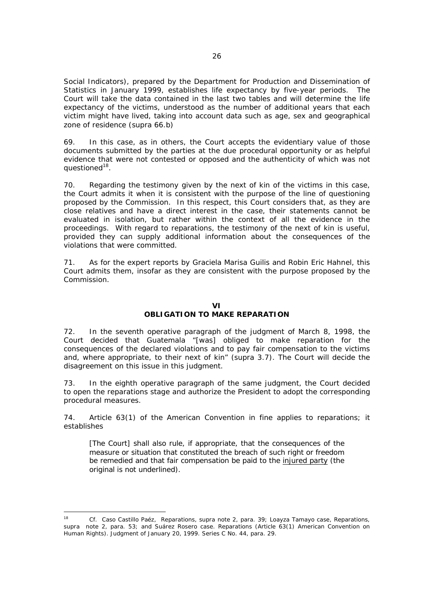Social Indicators), prepared by the Department for Production and Dissemination of Statistics in January 1999, establishes life expectancy by five-year periods. The Court will take the data contained in the last two tables and will determine the life expectancy of the victims, understood as the number of additional years that each victim might have lived, taking into account data such as age, sex and geographical zone of residence (*supra* 66.b)

69. In this case, as in others, the Court accepts the evidentiary value of those documents submitted by the parties at the due procedural opportunity or as helpful evidence that were not contested or opposed and the authenticity of which was not questioned<sup>18</sup>.

70. Regarding the testimony given by the next of kin of the victims in this case, the Court admits it when it is consistent with the purpose of the line of questioning proposed by the Commission. In this respect, this Court considers that, as they are close relatives and have a direct interest in the case, their statements cannot be evaluated in isolation, but rather within the context of all the evidence in the proceedings. With regard to reparations, the testimony of the next of kin is useful, provided they can supply additional information about the consequences of the violations that were committed.

71. As for the expert reports by Graciela Marisa Guilis and Robin Eric Hahnel, this Court admits them, insofar as they are consistent with the purpose proposed by the Commission.

### **VI OBLIGATION TO MAKE REPARATION**

72. In the seventh operative paragraph of the judgment of March 8, 1998, the Court decided that Guatemala "[was] obliged to make reparation for the consequences of the declared violations and to pay fair compensation to the victims and, where appropriate, to their next of kin" (*supra* 3.7). The Court will decide the disagreement on this issue in this judgment.

73. In the eighth operative paragraph of the same judgment, the Court decided to open the reparations stage and authorize the President to adopt the corresponding procedural measures.

74. Article 63(1) of the American Convention *in fine* applies to reparations; it establishes

[The Court] shall also rule, if appropriate, that the consequences of the measure or situation that constituted the breach of such right or freedom be remedied and that fair compensation be paid to the injured party (the original is not underlined).

<sup>18</sup> *Cf. Caso Castillo Paéz, Reparations*, *supra* note 2, para. 39; *Loayza Tamayo case, Reparations, supra* note 2, para. 53; and *Suárez Rosero case. Reparations* (Article 63(1) American Convention on Human Rights). Judgment of January 20, 1999. Series C No. 44, para. 29.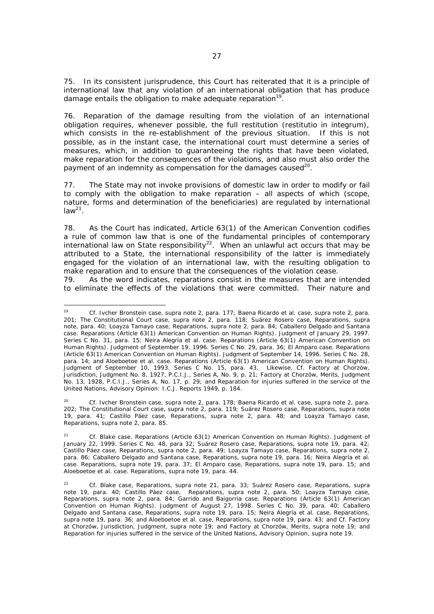75. In its consistent jurisprudence, this Court has reiterated that it is a principle of international law that any violation of an international obligation that has produce damage entails the obligation to make adequate reparation<sup>19</sup>.

76. Reparation of the damage resulting from the violation of an international obligation requires, whenever possible, the full restitution (*restitutio in integrum*), which consists in the re-establishment of the previous situation. If this is not possible, as in the instant case, the international court must determine a series of measures, which, in addition to guaranteeing the rights that have been violated, make reparation for the consequences of the violations, and also must also order the payment of an indemnity as compensation for the damages caused<sup>20</sup>.

77. The State may not invoke provisions of domestic law in order to modify or fail to comply with the obligation to make reparation – all aspects of which (scope, nature, forms and determination of the beneficiaries) are regulated by international  $law<sup>21</sup>$ .

78. As the Court has indicated, Article 63(1) of the American Convention codifies a rule of common law that is one of the fundamental principles of contemporary international law on State responsibility<sup>22</sup>. When an unlawful act occurs that may be attributed to a State, the international responsibility of the latter is immediately engaged for the violation of an international law, with the resulting obligation to make reparation and to ensure that the consequences of the violation cease.

79. As the word indicates, reparations consist in the measures that are intended to eliminate the effects of the violations that were committed. Their nature and

 19 *Cf. Ivcher Bronstein case, supra* note 2, para. 177; *Baena Ricardo et al. case, supra* note 2, para. 201; *The Constitutional Court case, supra* note 2, para. 118; *Suárez Rosero case, Reparations*, *supra* note, para. 40; *Loayza Tamayo case, Reparations, supra* note 2, para. 84*; Caballero Delgado and Santana case. Reparations* (Article 63(1) American Convention on Human Rights). Judgment of January 29, 1997. Series C No. 31, para. 15; *Neira Alegría et al. case. Reparations* (Article 63(1) American Convention on Human Rights). Judgment of September 19, 1996. Series C No. 29, para. 36; *El Amparo case. Reparations* (Article 63(1) American Convention on Human Rights). Judgment of September 14, 1996. Series C No. 28, para. 14; and *Aloeboetoe et al. case. Reparations* (Article 63(1) American Convention on Human Rights). Judgment of September 10, 1993. Series C No. 15, para. 43. Likewise, *Cf. Factory at Chorzów*, Jurisdiction, Judgment No. 8, 1927, P.C.I.J., Series A, No. 9, p. 21; *Factory at Chorzów*, Merits, Judgment No. 13, 1928, P.C.I.J., Series A, No. 17, p. 29; and *Reparation for injuries suffered in the service of the United Nations*, *Advisory Opinion: I.C.J. Reports* 1949, p. 184.

<sup>20</sup> *Cf. Ivcher Bronstein case, supra* note 2, para. 178; *Baena Ricardo et al. case, supra* note 2, para. 202; *The Constitutional Court case, supra* note 2*,* para. 119; *Suárez Rosero case, Reparations, supra* note 19*,* para. 41; *Castillo Páez case, Reparations, supra* note 2, para. 48; and *Loayza Tamayo case, Reparations, supra* note 2, para. 85.

<sup>21</sup> *Cf. Blake case. Reparations* (Article 63(1) American Convention on Human Rights). Judgment of January 22, 1999. Series C No. 48, para 32; *Suárez Rosero case, Reparations, supra* note 19, para. 42; *Castillo Páez case, Reparations, supra* note 2*,* para. 49; *Loayza Tamayo case, Reparations*, *supra* note 2, para. 86; *Caballero Delgado and Santana case, Reparations, supra* note 19, para. 16; *Neira Alegría et al. case. Reparations, supra* note 19, para. 37; *El Amparo case, Reparations, supra* note 19, para. 15; and *Aloeboetoe et al. case. Reparations, supra* note 19, para. 44.

<sup>22</sup> *Cf. Blake case, Reparations*, *supra* note 21, para. 33; *Suárez Rosero case, Reparations, supra*  note 19, para. 40; *Castillo Páez case, Reparations, supra* note 2*,* para. 50; *Loayza Tamayo case, Reparations*, *supra* note 2, para. 84; *Garrido and Baigorria case. Reparations* (Article 63(1) American Convention on Human Rights). Judgment of August 27, 1998. Series C No. 39, para. 40; *Caballero Delgado and Santana case, Reparations*, *supra* note 19, para. 15; *Neira Alegría et al. case, Reparations*, *supra* note 19, para. 36; and *Aloeboetoe et al. case, Reparations*, *supra* note 19, para. 43; and *Cf. Factory at Chorzów*, Jurisdiction, Judgment, *supra* note 19; and *Factory at Chorzów*, Merits, *supra* note 19; and *Reparation for injuries suffered in the service of the United Nations*, *Advisory Opinion, supra* note 19.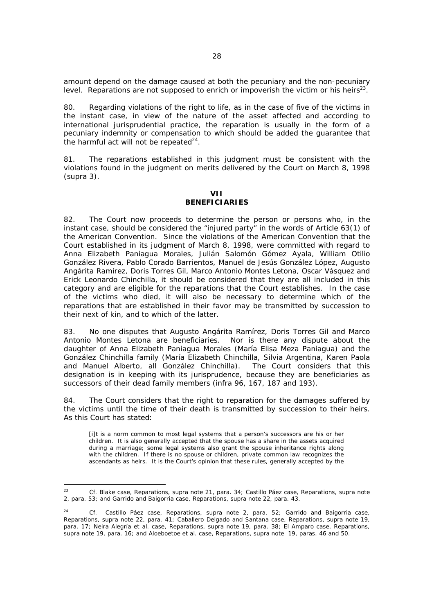amount depend on the damage caused at both the pecuniary and the non-pecuniary level. Reparations are not supposed to enrich or impoverish the victim or his heirs<sup>23</sup>.

80. Regarding violations of the right to life, as in the case of five of the victims in the instant case, in view of the nature of the asset affected and according to international jurisprudential practice, the reparation is usually in the form of a pecuniary indemnity or compensation to which should be added the guarantee that the harmful act will not be repeated $^{24}$ .

81. The reparations established in this judgment must be consistent with the violations found in the judgment on merits delivered by the Court on March 8, 1998 (*supra* 3).

### **VII BENEFICIARIES**

82. The Court now proceeds to determine the person or persons who, in the instant case, should be considered the "injured party" in the words of Article 63(1) of the American Convention. Since the violations of the American Convention that the Court established in its judgment of March 8, 1998, were committed with regard to Anna Elizabeth Paniagua Morales, Julián Salomón Gómez Ayala, William Otilio González Rivera, Pablo Corado Barrientos, Manuel de Jesús González López, Augusto Angárita Ramírez, Doris Torres Gil, Marco Antonio Montes Letona, Oscar Vásquez and Erick Leonardo Chinchilla, it should be considered that they are all included in this category and are eligible for the reparations that the Court establishes. In the case of the victims who died, it will also be necessary to determine which of the reparations that are established in their favor may be transmitted by succession to their next of kin, and to which of the latter.

83. No one disputes that Augusto Angárita Ramírez, Doris Torres Gil and Marco Antonio Montes Letona are beneficiaries. Nor is there any dispute about the daughter of Anna Elizabeth Paniagua Morales (María Elisa Meza Paniagua) and the González Chinchilla family (María Elizabeth Chinchilla, Silvia Argentina, Karen Paola and Manuel Alberto, all González Chinchilla). The Court considers that this designation is in keeping with its jurisprudence, because they are beneficiaries as successors of their dead family members (*infra* 96, 167, 187 and 193).

84. The Court considers that the right to reparation for the damages suffered by the victims until the time of their death is transmitted by succession to their heirs. As this Court has stated:

[i]t is a norm common to most legal systems that a person's successors are his or her children. It is also generally accepted that the spouse has a share in the assets acquired during a marriage; some legal systems also grant the spouse inheritance rights along with the children. If there is no spouse or children, private common law recognizes the ascendants as heirs. It is the Court's opinion that these rules, generally accepted by the

 $23$ 23 *Cf. Blake case, Reparations, supra* note 21, para. 34; *Castillo Páez case, Reparations*, *supra* note 2, para. 53; and *Garrido and Baigorria case, Reparations, supra* note 22, para. 43.

<sup>24</sup> *Cf. Castillo Páez case, Reparations*, *supra* note 2, para. 52; *Garrido and Baigorria case, Reparations, supra* note 22, para. 41; *Caballero Delgado and Santana case, Reparations, supra* note 19, para. 17; *Neira Alegría et al. case, Reparations, supra* note 19, para. 38; *El Amparo case, Reparations, supra* note 19, para. 16; and *Aloeboetoe et al. case, Reparations, supra* note 19, paras. 46 and 50.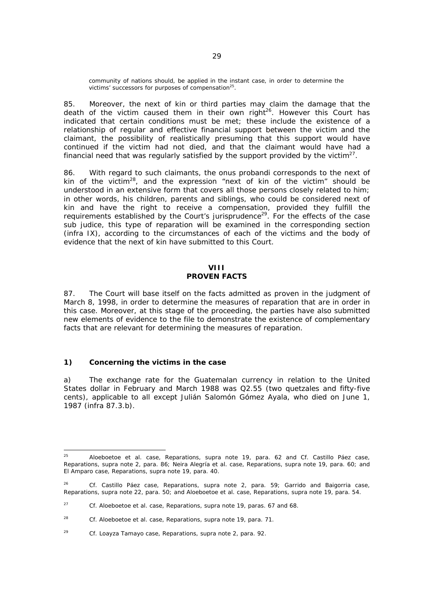community of nations should, be applied in the instant case, in order to determine the victims' successors for purposes of compensation<sup>25</sup>.

85. Moreover, the next of kin or third parties may claim the damage that the death of the victim caused them in their own right<sup>26</sup>. However this Court has indicated that certain conditions must be met; these include the existence of a relationship of regular and effective financial support between the victim and the claimant, the possibility of realistically presuming that this support would have continued if the victim had not died, and that the claimant would have had a financial need that was regularly satisfied by the support provided by the victim<sup>27</sup>.

86. With regard to such claimants, the *onus probandi* corresponds to the next of kin of the victim<sup>28</sup>, and the expression "next of kin of the victim" should be understood in an extensive form that covers all those persons closely related to him; in other words, his children, parents and siblings, who could be considered next of kin and have the right to receive a compensation, provided they fulfill the requirements established by the Court's jurisprudence<sup>29</sup>. For the effects of the case *sub judice*, this type of reparation will be examined in the corresponding section (*infra* IX), according to the circumstances of each of the victims and the body of evidence that the next of kin have submitted to this Court.

#### **VIII PROVEN FACTS**

87. The Court will base itself on the facts admitted as proven in the judgment of March 8, 1998, in order to determine the measures of reparation that are in order in this case. Moreover, at this stage of the proceeding, the parties have also submitted new elements of evidence to the file to demonstrate the existence of complementary facts that are relevant for determining the measures of reparation.

### **1) Concerning the victims in the case**

a) The exchange rate for the Guatemalan currency in relation to the United States dollar in February and March 1988 was Q2.55 (two quetzales and fifty-five cents), applicable to all except Julián Salomón Gómez Ayala, who died on June 1, 1987 (*infra* 87.3.b).

 $25$ 25 *Aloeboetoe et al. case, Reparations, supra* note 19, para. 62 and *Cf. Castillo Páez case, Reparations, supra* note 2, para. 86*; Neira Alegría et al. case, Reparations, supra* note 19, para. 60; and *El Amparo case, Reparations, supra* note 19, para. 40.

<sup>26</sup> *Cf. Castillo Páez case*, *Reparations*, *supra* note 2, para. 59; *Garrido and Baigorria case, Reparations, supra* note 22, para. 50; and *Aloeboetoe et al. case, Reparations, supra* note 19, para. 54.

<sup>27</sup> *Cf. Aloeboetoe et al. case, Reparations, supra* note 19, paras. 67 and 68.

<sup>28</sup> *Cf. Aloeboetoe et al. case, Reparations, supra* note 19, para. 71.

<sup>29</sup> *Cf. Loayza Tamayo case, Reparations, supra* note 2, para. 92.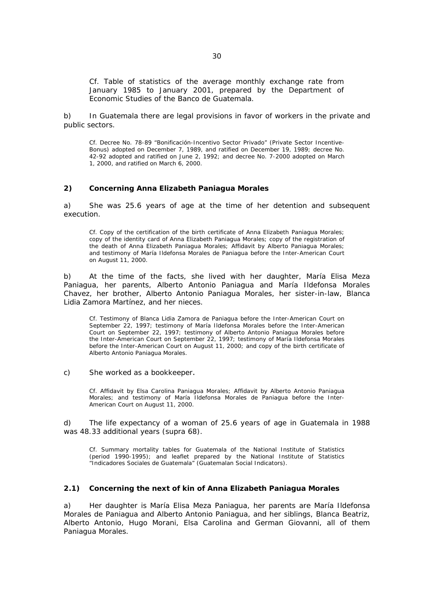*Cf. Table of statistics of the average monthly exchange rate from*  January 1985 to January 2001, prepared by the Department of *Economic Studies of the Banco de Guatemala.* 

b) In Guatemala there are legal provisions in favor of workers in the private and public sectors.

Cf. Decree No. 78-89 "Bonificación-Incentivo Sector Privado" (Private Sector Incentive-Bonus) adopted on December 7, 1989, and ratified on December 19, 1989; decree No. 42-92 adopted and ratified on June 2, 1992; and decree No. 7-2000 adopted on March 1, 2000, and ratified on March 6, 2000.

### **2) Concerning Anna Elizabeth Paniagua Morales**

a) She was 25.6 years of age at the time of her detention and subsequent execution.

*Cf. Copy of the certification of the birth certificate of Anna Elizabeth Paniagua Morales;*  copy of the identity card of Anna Elizabeth Paniagua Morales; copy of the registration of *the death of Anna Elizabeth Paniagua Morales; Affidavit by Alberto Paniagua Morales; and testimony of María Ildefonsa Morales de Paniagua before the Inter-American Court on August 11, 2000.* 

b) At the time of the facts, she lived with her daughter, María Elisa Meza Paniagua, her parents, Alberto Antonio Paniagua and María Ildefonsa Morales Chavez, her brother, Alberto Antonio Paniagua Morales, her sister-in-law, Blanca Lidia Zamora Martínez, and her nieces.

*Cf. Testimony of Blanca Lidia Zamora de Paniagua before the Inter-American Court on September 22, 1997; testimony of María Ildefonsa Morales before the Inter-American Court on September 22, 1997; testimony of Alberto Antonio Paniagua Morales before the Inter-American Court on September 22, 1997; testimony of María Ildefonsa Morales before the Inter-American Court on August 11, 2000; and copy of the birth certificate of Alberto Antonio Paniagua Morales.* 

c) She worked as a bookkeeper.

*Cf. Affidavit by Elsa Carolina Paniagua Morales; Affidavit by Alberto Antonio Paniagua Morales; and testimony of María Ildefonsa Morales de Paniagua before the Inter-American Court on August 11, 2000.* 

d) The life expectancy of a woman of 25.6 years of age in Guatemala in 1988 was 48.33 additional years (*supra* 68).

*Cf. Summary mortality tables for Guatemala of the National Institute of Statistics (period 1990-1995); and leaflet prepared by the National Institute of Statistics "Indicadores Sociales de Guatemala" (Guatemalan Social Indicators).* 

#### **2.1) Concerning the next of kin of Anna Elizabeth Paniagua Morales**

a) Her daughter is María Elisa Meza Paniagua, her parents are María Ildefonsa Morales de Paniagua and Alberto Antonio Paniagua, and her siblings, Blanca Beatriz, Alberto Antonio, Hugo Morani, Elsa Carolina and German Giovanni, all of them Paniagua Morales.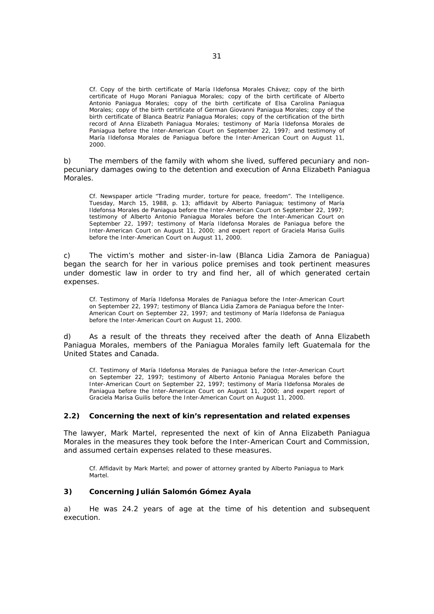*Cf. Copy of the birth certificate of María Ildefonsa Morales Chávez; copy of the birth certificate of Hugo Morani Paniagua Morales; copy of the birth certificate of Alberto Antonio Paniagua Morales; copy of the birth certificate of Elsa Carolina Paniagua Morales; copy of the birth certificate of German Giovanni Paniagua Morales; copy of the birth certificate of Blanca Beatriz Paniagua Morales; copy of the certification of the birth record of Anna Elizabeth Paniagua Morales; testimony of María Ildefonsa Morales de*  Paniagua before the Inter-American Court on September 22, 1997; and testimony of *María Ildefonsa Morales de Paniagua before the Inter-American Court on August 11, 2000.*

b) The members of the family with whom she lived, suffered pecuniary and nonpecuniary damages owing to the detention and execution of Anna Elizabeth Paniagua Morales.

*Cf. Newspaper article "Trading murder, torture for peace, freedom". The Intelligence. Tuesday, March 15, 1988, p. 13; affidavit by Alberto Paniagua; testimony of María Ildefonsa Morales de Paniagua before the Inter-American Court on September 22, 1997; testimony of Alberto Antonio Paniagua Morales before the Inter-American Court on September 22, 1997; testimony of María Ildefonsa Morales de Paniagua before the Inter-American Court on August 11, 2000; and expert report of Graciela Marisa Guilis before the Inter-American Court on August 11, 2000.* 

c) The victim's mother and sister-in-law (Blanca Lidia Zamora de Paniagua) began the search for her in various police premises and took pertinent measures under domestic law in order to try and find her, all of which generated certain expenses.

*Cf. Testimony of María Ildefonsa Morales de Paniagua before the Inter-American Court on September 22, 1997; testimony of Blanca Lidia Zamora de Paniagua before the Inter-American Court on September 22, 1997; and testimony of María Ildefonsa de Paniagua before the Inter-American Court on August 11, 2000.* 

d) As a result of the threats they received after the death of Anna Elizabeth Paniagua Morales, members of the Paniagua Morales family left Guatemala for the United States and Canada.

*Cf. Testimony of María Ildefonsa Morales de Paniagua before the Inter-American Court on September 22, 1997; testimony of Alberto Antonio Paniagua Morales before the Inter-American Court on September 22, 1997; testimony of María Ildefonsa Morales de Paniagua before the Inter-American Court on August 11, 2000; and expert report of Graciela Marisa Guilis before the Inter-American Court on August 11, 2000.* 

### **2.2) Concerning the next of kin's representation and related expenses**

The lawyer, Mark Martel, represented the next of kin of Anna Elizabeth Paniagua Morales in the measures they took before the Inter-American Court and Commission, and assumed certain expenses related to these measures.

*Cf. Affidavit by Mark Martel; and power of attorney granted by Alberto Paniagua to Mark Martel.*

### **3) Concerning Julián Salomón Gómez Ayala**

a) He was 24.2 years of age at the time of his detention and subsequent execution.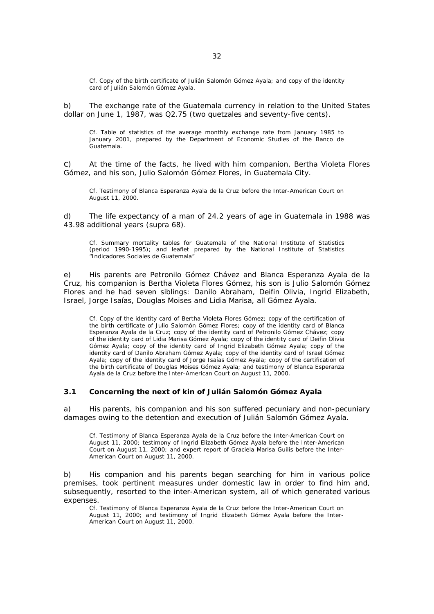*Cf. Copy of the birth certificate of Julián Salomón Gómez Ayala; and copy of the identity card of Julián Salomón Gómez Ayala.* 

b) The exchange rate of the Guatemala currency in relation to the United States dollar on June 1, 1987, was Q2.75 (two quetzales and seventy-five cents).

*Cf. Table of statistics of the average monthly exchange rate from January 1985 to January 2001, prepared by the Department of Economic Studies of the Banco de Guatemala.* 

c) At the time of the facts, he lived with him companion, Bertha Violeta Flores Gómez, and his son, Julio Salomón Gómez Flores, in Guatemala City.

*Cf. Testimony of Blanca Esperanza Ayala de la Cruz before the Inter-American Court on August 11, 2000.* 

d) The life expectancy of a man of 24.2 years of age in Guatemala in 1988 was 43.98 additional years (*supra* 68).

*Cf. Summary mortality tables for Guatemala of the National Institute of Statistics (period 1990-1995); and leaflet prepared by the National Institute of Statistics "Indicadores Sociales de Guatemala"* 

e) His parents are Petronilo Gómez Chávez and Blanca Esperanza Ayala de la Cruz, his companion is Bertha Violeta Flores Gómez, his son is Julio Salomón Gómez Flores and he had seven siblings: Danilo Abraham, Deifin Olivia, Ingrid Elizabeth, Israel, Jorge Isaías, Douglas Moises and Lidia Marisa, all Gómez Ayala.

*Cf. Copy of the identity card of Bertha Violeta Flores Gómez; copy of the certification of the birth certificate of Julio Salomón Gómez Flores; copy of the identity card of Blanca Esperanza Ayala de la Cruz; copy of the identity card of Petronilo Gómez Chávez; copy of the identity card of Lidia Marisa Gómez Ayala; copy of the identity card of Deifin Olivia Gómez Ayala; copy of the identity card of Ingrid Elizabeth Gómez Ayala; copy of the identity card of Danilo Abraham Gómez Ayala; copy of the identity card of Israel Gómez Ayala; copy of the identity card of Jorge Isaías Gómez Ayala; copy of the certification of the birth certificate of Douglas Moises Gómez Ayala; and testimony of Blanca Esperanza Ayala de la Cruz before the Inter-American Court on August 11, 2000.* 

### **3.1 Concerning the next of kin of Julián Salomón Gómez Ayala**

a) His parents, his companion and his son suffered pecuniary and non-pecuniary damages owing to the detention and execution of Julián Salomón Gómez Ayala.

*Cf. Testimony of Blanca Esperanza Ayala de la Cruz before the Inter-American Court on August 11, 2000; testimony of Ingrid Elizabeth Gómez Ayala before the Inter-American Court on August 11, 2000; and expert report of Graciela Marisa Guilis before the Inter-American Court on August 11, 2000.* 

b) His companion and his parents began searching for him in various police premises, took pertinent measures under domestic law in order to find him and, subsequently, resorted to the inter-American system, all of which generated various expenses.

*Cf. Testimony of Blanca Esperanza Ayala de la Cruz before the Inter-American Court on August 11, 2000; and testimony of Ingrid Elizabeth Gómez Ayala before the Inter-American Court on August 11, 2000.*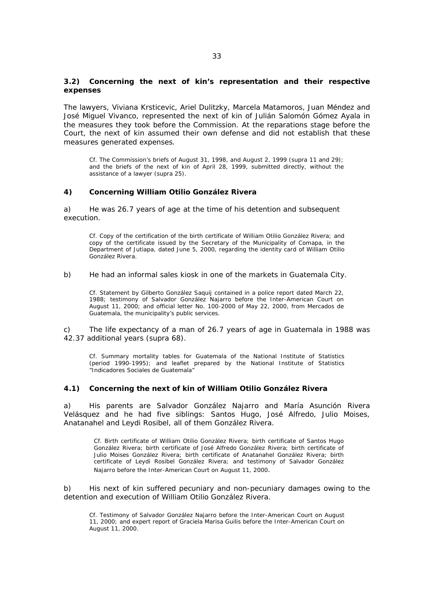### **3.2) Concerning the next of kin's representation and their respective expenses**

The lawyers, Viviana Krsticevic, Ariel Dulitzky, Marcela Matamoros, Juan Méndez and José Miguel Vivanco, represented the next of kin of Julián Salomón Gómez Ayala in the measures they took before the Commission. At the reparations stage before the Court, the next of kin assumed their own defense and did not establish that these measures generated expenses.

*Cf. The Commission's briefs of August 31, 1998, and August 2, 1999* (*supra* 11 and 29*);*  and the briefs of the next of kin of April 28, 1999, submitted directly, without the *assistance of a lawyer (supra* 25*).* 

### **4) Concerning William Otilio González Rivera**

a) He was 26.7 years of age at the time of his detention and subsequent execution.

*Cf. Copy of the certification of the birth certificate of William Otilio González Rivera; and copy of the certificate issued by the Secretary of the Municipality of Comapa, in the Department of Jutiapa, dated June 5, 2000, regarding the identity card of William Otilio González Rivera.* 

#### b) He had an informal sales kiosk in one of the markets in Guatemala City.

*Cf. Statement by Gilberto González Saquij contained in a police report dated March 22, 1988; testimony of Salvador González Najarro before the Inter-American Court on August 11, 2000; and official letter No. 100-2000 of May 22, 2000, from Mercados de Guatemala, the municipality's public services.* 

c) The life expectancy of a man of 26.7 years of age in Guatemala in 1988 was 42.37 additional years (*supra* 68).

*Cf. Summary mortality tables for Guatemala of the National Institute of Statistics (period 1990-1995); and leaflet prepared by the National Institute of Statistics "Indicadores Sociales de Guatemala"* 

#### **4.1) Concerning the next of kin of William Otilio González Rivera**

a) His parents are Salvador González Najarro and María Asunción Rivera Velásquez and he had five siblings: Santos Hugo, José Alfredo, Julio Moises, Anatanahel and Leydi Rosibel, all of them González Rivera.

*Cf. Birth certificate of William Otilio González Rivera; birth certificate of Santos Hugo González Rivera; birth certificate of José Alfredo González Rivera; birth certificate of Julio Moises González Rivera; birth certificate of Anatanahel González Rivera; birth certificate of Leydi Rosibel González Rivera; and testimony of Salvador González Najarro before the Inter-American Court on August 11, 2000.* 

b) His next of kin suffered pecuniary and non-pecuniary damages owing to the detention and execution of William Otilio González Rivera.

*Cf. Testimony of Salvador González Najarro before the Inter-American Court on August 11, 2000; and expert report of Graciela Marisa Guilis before the Inter-American Court on August 11, 2000.*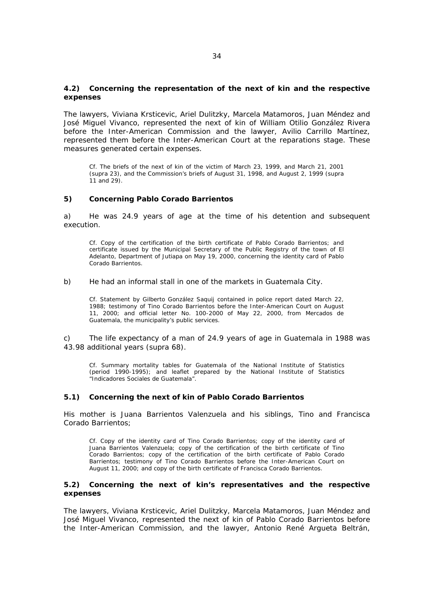### **4.2) Concerning the representation of the next of kin and the respective expenses**

The lawyers, Viviana Krsticevic, Ariel Dulitzky, Marcela Matamoros, Juan Méndez and José Miguel Vivanco, represented the next of kin of William Otilio González Rivera before the Inter-American Commission and the lawyer, Avilio Carrillo Martínez, represented them before the Inter-American Court at the reparations stage. These measures generated certain expenses.

*Cf. The briefs of the next of kin of the victim of March 23, 1999, and March 21, 2001 (supra 23), and the Commission's briefs of August 31, 1998, and August 2, 1999 (supra* 11 and 29*).*

#### **5) Concerning Pablo Corado Barrientos**

a) He was 24.9 years of age at the time of his detention and subsequent execution.

*Cf. Copy of the certification of the birth certificate of Pablo Corado Barrientos; and certificate issued by the Municipal Secretary of the Public Registry of the town of El Adelanto, Department of Jutiapa on May 19, 2000, concerning the identity card of Pablo Corado Barrientos.* 

b) He had an informal stall in one of the markets in Guatemala City.

*Cf. Statement by Gilberto González Saquij contained in police report dated March 22, 1988; testimony of Tino Corado Barrientos before the Inter-American Court on August 11, 2000; and official letter No. 100-2000 of May 22, 2000, from Mercados de Guatemala, the municipality's public services.* 

c) The life expectancy of a man of 24.9 years of age in Guatemala in 1988 was 43.98 additional years (*supra* 68).

*Cf. Summary mortality tables for Guatemala of the National Institute of Statistics (period 1990-1995); and leaflet prepared by the National Institute of Statistics "Indicadores Sociales de Guatemala".* 

#### **5.1) Concerning the next of kin of Pablo Corado Barrientos**

His mother is Juana Barrientos Valenzuela and his siblings, Tino and Francisca Corado Barrientos;

*Cf. Copy of the identity card of Tino Corado Barrientos; copy of the identity card of Juana Barrientos Valenzuela; copy of the certification of the birth certificate of Tino Corado Barrientos; copy of the certification of the birth certificate of Pablo Corado Barrientos; testimony of Tino Corado Barrientos before the Inter-American Court on August 11, 2000; and copy of the birth certificate of Francisca Corado Barrientos.* 

#### **5.2) Concerning the next of kin's representatives and the respective expenses**

The lawyers, Viviana Krsticevic, Ariel Dulitzky, Marcela Matamoros, Juan Méndez and José Miguel Vivanco, represented the next of kin of Pablo Corado Barrientos before the Inter-American Commission, and the lawyer, Antonio René Argueta Beltrán,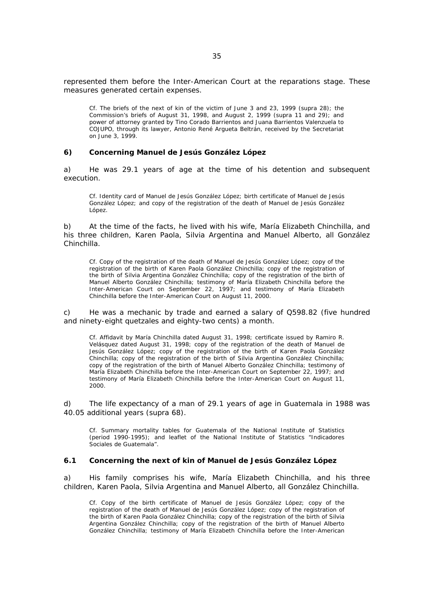represented them before the Inter-American Court at the reparations stage. These measures generated certain expenses.

*Cf. The briefs of the next of kin of the victim of June 3 and 23, 1999 (supra 28); the Commission's briefs of August 31, 1998, and August 2, 1999 (supra 11 and 29); and power of attorney granted by Tino Corado Barrientos and Juana Barrientos Valenzuela to COJUPO, through its lawyer, Antonio René Argueta Beltrán, received by the Secretariat on June 3, 1999.* 

#### **6) Concerning Manuel de Jesús González López**

a) He was 29.1 years of age at the time of his detention and subsequent execution.

*Cf. Identity card of Manuel de Jesús González López; birth certificate of Manuel de Jesús González López; and copy of the registration of the death of Manuel de Jesús González López.* 

b) At the time of the facts, he lived with his wife, María Elizabeth Chinchilla, and his three children, Karen Paola, Silvia Argentina and Manuel Alberto, all González Chinchilla.

*Cf. Copy of the registration of the death of Manuel de Jesús González López; copy of the*  registration of the birth of Karen Paola González Chinchilla; copy of the registration of *the birth of Silvia Argentina González Chinchilla; copy of the registration of the birth of Manuel Alberto González Chinchilla; testimony of María Elizabeth Chinchilla before the Inter-American Court on September 22, 1997; and testimony of María Elizabeth Chinchilla before the Inter-American Court on August 11, 2000.* 

c) He was a mechanic by trade and earned a salary of Q598.82 (five hundred and ninety-eight quetzales and eighty-two cents) a month.

*Cf. Affidavit by María Chinchilla dated August 31, 1998; certificate issued by Ramiro R. Velásquez dated August 31, 1998; copy of the registration of the death of Manuel de*  Jesús González López; copy of the registration of the birth of Karen Paola González *Chinchilla; copy of the registration of the birth of Silvia Argentina González Chinchilla; copy of the registration of the birth of Manuel Alberto González Chinchilla; testimony of María Elizabeth Chinchilla before the Inter-American Court on September 22, 1997; and testimony of María Elizabeth Chinchilla before the Inter-American Court on August 11, 2000.* 

d) The life expectancy of a man of 29.1 years of age in Guatemala in 1988 was 40.05 additional years (*supra* 68).

*Cf. Summary mortality tables for Guatemala of the National Institute of Statistics (period 1990-1995); and leaflet of the National Institute of Statistics "Indicadores Sociales de Guatemala".* 

#### **6.1 Concerning the next of kin of Manuel de Jesús González López**

a) His family comprises his wife, María Elizabeth Chinchilla, and his three children, Karen Paola, Silvia Argentina and Manuel Alberto, all González Chinchilla.

*Cf. Copy of the birth certificate of Manuel de Jesús González López; copy of the*  registration of the death of Manuel de Jesús González López; copy of the registration of *the birth of Karen Paola González Chinchilla; copy of the registration of the birth of Silvia Argentina González Chinchilla; copy of the registration of the birth of Manuel Alberto González Chinchilla; testimony of María Elizabeth Chinchilla before the Inter-American*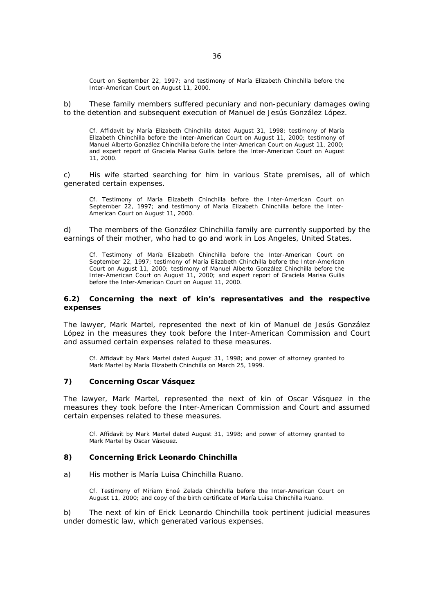*Court on September 22, 1997; and testimony of María Elizabeth Chinchilla before the Inter-American Court on August 11, 2000.* 

b) These family members suffered pecuniary and non-pecuniary damages owing to the detention and subsequent execution of Manuel de Jesús González López.

*Cf. Affidavit by María Elizabeth Chinchilla dated August 31, 1998; testimony of María Elizabeth Chinchilla before the Inter-American Court on August 11, 2000; testimony of Manuel Alberto González Chinchilla before the Inter-American Court on August 11, 2000; and expert report of Graciela Marisa Guilis before the Inter-American Court on August 11, 2000.* 

c) His wife started searching for him in various State premises, all of which generated certain expenses.

*Cf. Testimony of María Elizabeth Chinchilla before the Inter-American Court on September 22, 1997; and testimony of María Elizabeth Chinchilla before the Inter-American Court on August 11, 2000.* 

d) The members of the González Chinchilla family are currently supported by the earnings of their mother, who had to go and work in Los Angeles, United States.

*Cf. Testimony of María Elizabeth Chinchilla before the Inter-American Court on September 22, 1997; testimony of María Elizabeth Chinchilla before the Inter-American Court on August 11, 2000; testimony of Manuel Alberto González Chinchilla before the Inter-American Court on August 11, 2000; and expert report of Graciela Marisa Guilis before the Inter-American Court on August 11, 2000.* 

#### **6.2) Concerning the next of kin's representatives and the respective expenses**

The lawyer, Mark Martel, represented the next of kin of Manuel de Jesús González López in the measures they took before the Inter-American Commission and Court and assumed certain expenses related to these measures.

*Cf. Affidavit by Mark Martel dated August 31, 1998; and power of attorney granted to Mark Martel by María Elizabeth Chinchilla on March 25, 1999.*

#### **7) Concerning Oscar Vásquez**

The lawyer, Mark Martel, represented the next of kin of Oscar Vásquez in the measures they took before the Inter-American Commission and Court and assumed certain expenses related to these measures.

*Cf. Affidavit by Mark Martel dated August 31, 1998; and power of attorney granted to Mark Martel by Oscar Vásquez.* 

#### **8) Concerning Erick Leonardo Chinchilla**

a) His mother is María Luisa Chinchilla Ruano.

*Cf. Testimony of Miriam Enoé Zelada Chinchilla before the Inter-American Court on August 11, 2000; and copy of the birth certificate of María Luisa Chinchilla Ruano.* 

b) The next of kin of Erick Leonardo Chinchilla took pertinent judicial measures under domestic law, which generated various expenses.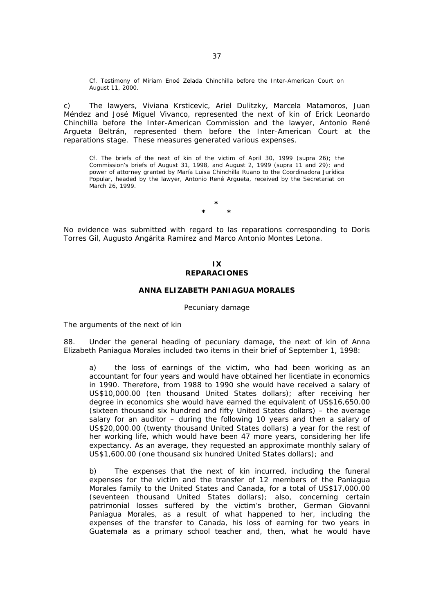*Cf. Testimony of Miriam Enoé Zelada Chinchilla before the Inter-American Court on August 11, 2000.* 

c) The lawyers, Viviana Krsticevic, Ariel Dulitzky, Marcela Matamoros, Juan Méndez and José Miguel Vivanco, represented the next of kin of Erick Leonardo Chinchilla before the Inter-American Commission and the lawyer, Antonio René Argueta Beltrán, represented them before the Inter-American Court at the reparations stage. These measures generated various expenses.

*Cf. The briefs of the next of kin of the victim of April 30, 1999 (supra* 26*); the Commission's briefs of August 31, 1998, and August 2, 1999 (supra* 11 and 29*); and power of attorney granted by María Luisa Chinchilla Ruano to the Coordinadora Jurídica Popular, headed by the lawyer, Antonio René Argueta, received by the Secretariat on March 26, 1999.* 

> **\* \* \***

No evidence was submitted with regard to las reparations corresponding to Doris Torres Gil, Augusto Angárita Ramírez and Marco Antonio Montes Letona.

## **IX REPARACIONES**

#### **ANNA ELIZABETH PANIAGUA MORALES**

### *Pecuniary damage*

*The arguments of the next of kin* 

88. Under the general heading of pecuniary damage, the next of kin of Anna Elizabeth Paniagua Morales included two items in their brief of September 1, 1998:

a) the loss of earnings of the victim, who had been working as an accountant for four years and would have obtained her licentiate in economics in 1990. Therefore, from 1988 to 1990 she would have received a salary of US\$10,000.00 (ten thousand United States dollars); after receiving her degree in economics she would have earned the equivalent of US\$16,650.00 (sixteen thousand six hundred and fifty United States dollars) – the average salary for an auditor – during the following 10 years and then a salary of US\$20,000.00 (twenty thousand United States dollars) a year for the rest of her working life, which would have been 47 more years, considering her life expectancy. As an average, they requested an approximate monthly salary of US\$1,600.00 (one thousand six hundred United States dollars); and

b) The expenses that the next of kin incurred, including the funeral expenses for the victim and the transfer of 12 members of the Paniagua Morales family to the United States and Canada, for a total of US\$17,000.00 (seventeen thousand United States dollars); also, concerning certain patrimonial losses suffered by the victim's brother, German Giovanni Paniagua Morales, as a result of what happened to her, including the expenses of the transfer to Canada, his loss of earning for two years in Guatemala as a primary school teacher and, then, what he would have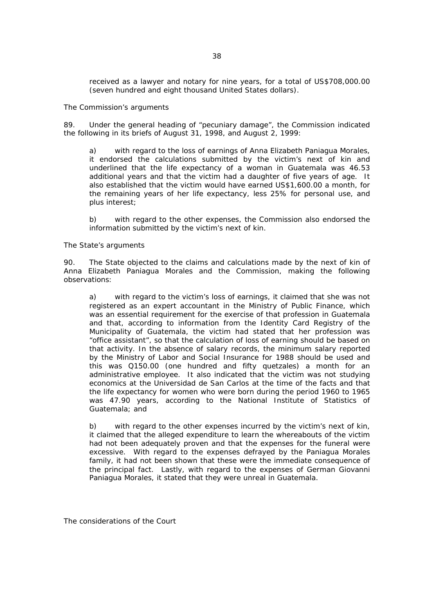received as a lawyer and notary for nine years, for a total of US\$708,000.00 (seven hundred and eight thousand United States dollars).

## *The Commission's arguments*

89. Under the general heading of "pecuniary damage", the Commission indicated the following in its briefs of August 31, 1998, and August 2, 1999:

a) with regard to the loss of earnings of Anna Elizabeth Paniagua Morales, it endorsed the calculations submitted by the victim's next of kin and underlined that the life expectancy of a woman in Guatemala was 46.53 additional years and that the victim had a daughter of five years of age. It also established that the victim would have earned US\$1,600.00 a month, for the remaining years of her life expectancy, less 25% for personal use, and plus interest;

b) with regard to the other expenses, the Commission also endorsed the information submitted by the victim's next of kin.

## *The State's arguments*

90. The State objected to the claims and calculations made by the next of kin of Anna Elizabeth Paniagua Morales and the Commission, making the following observations:

a) with regard to the victim's loss of earnings, it claimed that she was not registered as an expert accountant in the Ministry of Public Finance, which was an essential requirement for the exercise of that profession in Guatemala and that, according to information from the Identity Card Registry of the Municipality of Guatemala, the victim had stated that her profession was "office assistant", so that the calculation of loss of earning should be based on that activity. In the absence of salary records, the minimum salary reported by the Ministry of Labor and Social Insurance for 1988 should be used and this was Q150.00 (one hundred and fifty quetzales) a month for an administrative employee. It also indicated that the victim was not studying economics at the Universidad de San Carlos at the time of the facts and that the life expectancy for women who were born during the period 1960 to 1965 was 47.90 years, according to the National Institute of Statistics of Guatemala; and

b) with regard to the other expenses incurred by the victim's next of kin, it claimed that the alleged expenditure to learn the whereabouts of the victim had not been adequately proven and that the expenses for the funeral were excessive. With regard to the expenses defrayed by the Paniagua Morales family, it had not been shown that these were the immediate consequence of the principal fact. Lastly, with regard to the expenses of German Giovanni Paniagua Morales, it stated that they were unreal in Guatemala.

*The considerations of the Court*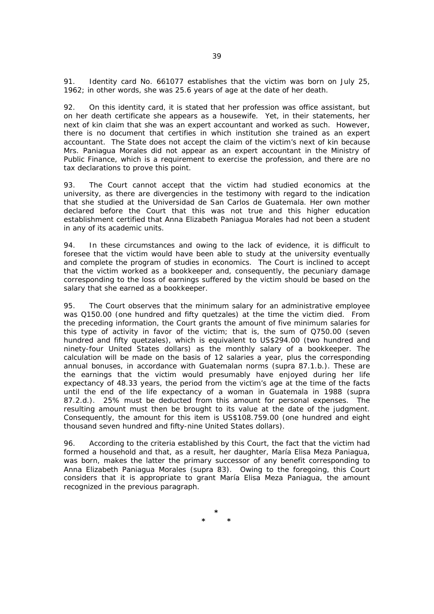91. Identity card No. 661077 establishes that the victim was born on July 25, 1962; in other words, she was 25.6 years of age at the date of her death.

92. On this identity card, it is stated that her profession was office assistant, but on her death certificate she appears as a housewife. Yet, in their statements, her next of kin claim that she was an expert accountant and worked as such. However, there is no document that certifies in which institution she trained as an expert accountant. The State does not accept the claim of the victim's next of kin because Mrs. Paniagua Morales did not appear as an expert accountant in the Ministry of Public Finance, which is a requirement to exercise the profession, and there are no tax declarations to prove this point.

93. The Court cannot accept that the victim had studied economics at the university, as there are divergencies in the testimony with regard to the indication that she studied at the Universidad de San Carlos de Guatemala. Her own mother declared before the Court that this was not true and this higher education establishment certified that Anna Elizabeth Paniagua Morales had not been a student in any of its academic units.

94. In these circumstances and owing to the lack of evidence, it is difficult to foresee that the victim would have been able to study at the university eventually and complete the program of studies in economics. The Court is inclined to accept that the victim worked as a bookkeeper and, consequently, the pecuniary damage corresponding to the loss of earnings suffered by the victim should be based on the salary that she earned as a bookkeeper.

95. The Court observes that the minimum salary for an administrative employee was Q150.00 (one hundred and fifty quetzales) at the time the victim died. From the preceding information, the Court grants the amount of five minimum salaries for this type of activity in favor of the victim; that is, the sum of Q750.00 (seven hundred and fifty quetzales), which is equivalent to US\$294.00 (two hundred and ninety-four United States dollars) as the monthly salary of a bookkeeper. The calculation will be made on the basis of 12 salaries a year, plus the corresponding annual bonuses, in accordance with Guatemalan norms (*supra* 87.1.b.). These are the earnings that the victim would presumably have enjoyed during her life expectancy of 48.33 years, the period from the victim's age at the time of the facts until the end of the life expectancy of a woman in Guatemala in 1988 (*supra* 87.2.d.). 25% must be deducted from this amount for personal expenses. The resulting amount must then be brought to its value at the date of the judgment. Consequently, the amount for this item is US\$108.759.00 (one hundred and eight thousand seven hundred and fifty-nine United States dollars).

96. According to the criteria established by this Court, the fact that the victim had formed a household and that, as a result, her daughter, María Elisa Meza Paniagua, was born, makes the latter the primary successor of any benefit corresponding to Anna Elizabeth Paniagua Morales (*supra* 83). Owing to the foregoing, this Court considers that it is appropriate to grant María Elisa Meza Paniagua, the amount recognized in the previous paragraph.

**\* \* \***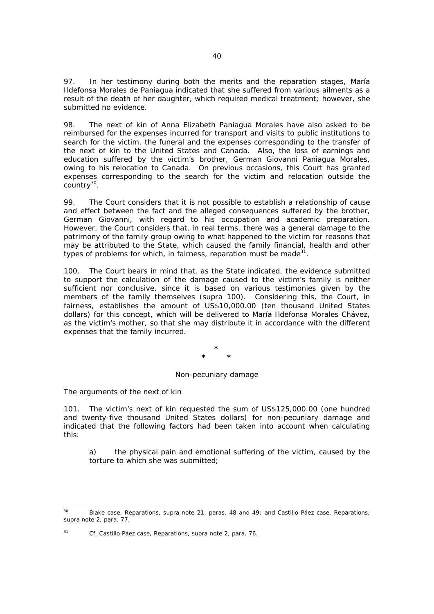97. In her testimony during both the merits and the reparation stages, María Ildefonsa Morales de Paniagua indicated that she suffered from various ailments as a result of the death of her daughter, which required medical treatment; however, she submitted no evidence.

98. The next of kin of Anna Elizabeth Paniagua Morales have also asked to be reimbursed for the expenses incurred for transport and visits to public institutions to search for the victim, the funeral and the expenses corresponding to the transfer of the next of kin to the United States and Canada. Also, the loss of earnings and education suffered by the victim's brother, German Giovanni Paniagua Morales, owing to his relocation to Canada. On previous occasions, this Court has granted expenses corresponding to the search for the victim and relocation outside the  $\frac{30}{20}$ .

99. The Court considers that it is not possible to establish a relationship of cause and effect between the fact and the alleged consequences suffered by the brother, German Giovanni, with regard to his occupation and academic preparation. However, the Court considers that, in real terms, there was a general damage to the patrimony of the family group owing to what happened to the victim for reasons that may be attributed to the State, which caused the family financial, health and other types of problems for which, in fairness, reparation must be made<sup>31</sup>.

100. The Court bears in mind that, as the State indicated, the evidence submitted to support the calculation of the damage caused to the victim's family is neither sufficient nor conclusive, since it is based on various testimonies given by the members of the family themselves (*supra* 100). Considering this, the Court, in fairness, establishes the amount of US\$10,000.00 (ten thousand United States dollars) for this concept, which will be delivered to María Ildefonsa Morales Chávez, as the victim's mother, so that she may distribute it in accordance with the different expenses that the family incurred.

> **\* \* \***

# *Non-pecuniary damage*

## *The arguments of the next of kin*

 $\overline{a}$ 

101. The victim's next of kin requested the sum of US\$125,000.00 (one hundred and twenty-five thousand United States dollars) for non-pecuniary damage and indicated that the following factors had been taken into account when calculating this:

a) the physical pain and emotional suffering of the victim, caused by the torture to which she was submitted;

<sup>30</sup> *Blake case, Reparations, supra* note 21, paras. 48 and 49; and *Castillo Páez case, Reparations, supra* note 2, para. 77.

<sup>31</sup> *Cf. Castillo Páez case, Reparations, supra* note 2, para. 76.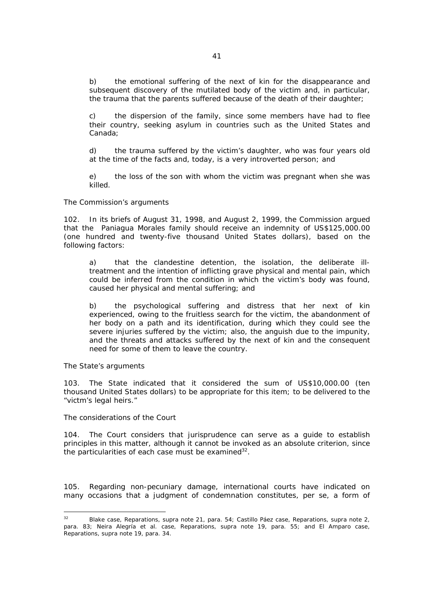b) the emotional suffering of the next of kin for the disappearance and subsequent discovery of the mutilated body of the victim and, in particular, the trauma that the parents suffered because of the death of their daughter;

c) the dispersion of the family, since some members have had to flee their country, seeking asylum in countries such as the United States and Canada;

d) the trauma suffered by the victim's daughter, who was four years old at the time of the facts and, today, is a very introverted person; and

e) the loss of the son with whom the victim was pregnant when she was killed.

## *The Commission's arguments*

102. In its briefs of August 31, 1998, and August 2, 1999, the Commission argued that the Paniagua Morales family should receive an indemnity of US\$125,000.00 (one hundred and twenty-five thousand United States dollars), based on the following factors:

a) that the clandestine detention, the isolation, the deliberate illtreatment and the intention of inflicting grave physical and mental pain, which could be inferred from the condition in which the victim's body was found, caused her physical and mental suffering; and

b) the psychological suffering and distress that her next of kin experienced, owing to the fruitless search for the victim, the abandonment of her body on a path and its identification, during which they could see the severe injuries suffered by the victim; also, the anguish due to the impunity, and the threats and attacks suffered by the next of kin and the consequent need for some of them to leave the country.

#### *The State's arguments*

103. The State indicated that it considered the sum of US\$10,000.00 (ten thousand United States dollars) to be appropriate for this item; to be delivered to the "victm's legal heirs."

## *The considerations of the Court*

104. The Court considers that jurisprudence can serve as a guide to establish principles in this matter, although it cannot be invoked as an absolute criterion, since the particularities of each case must be examined  $32$ .

105. Regarding non-pecuniary damage, international courts have indicated on many occasions that a judgment of condemnation constitutes, *per se*, a form of

 $32$ 32 *Blake case, Reparations, supra* note 21, para. 54; *Castillo Páez case, Reparations, supra* note 2, para. 83; *Neira Alegría et al. case, Reparations, supra* note 19, para. 55; and *El Amparo case, Reparations, supra* note 19, para. 34.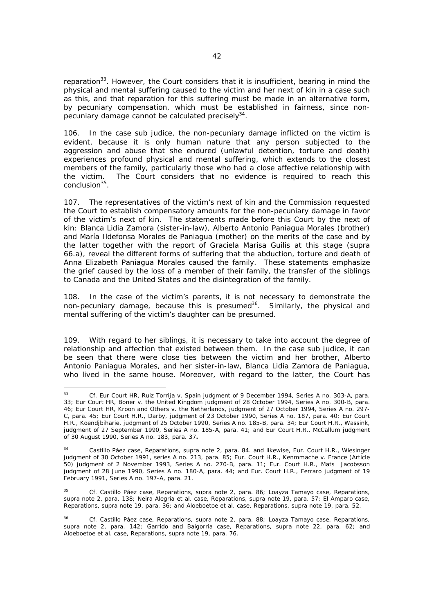reparation<sup>33</sup>. However, the Court considers that it is insufficient, bearing in mind the physical and mental suffering caused to the victim and her next of kin in a case such as this, and that reparation for this suffering must be made in an alternative form, by pecuniary compensation, which must be established in fairness, since nonpecuniary damage cannot be calculated precisely<sup>34</sup>.

106. In the case *sub judice*, the non-pecuniary damage inflicted on the victim is evident, because it is only human nature that any person subjected to the aggression and abuse that she endured (unlawful detention, torture and death) experiences profound physical and mental suffering, which extends to the closest members of the family, particularly those who had a close affective relationship with the victim. The Court considers that no evidence is required to reach this conclusion<sup>35</sup>

107. The representatives of the victim's next of kin and the Commission requested the Court to establish compensatory amounts for the non-pecuniary damage in favor of the victim's next of kin. The statements made before this Court by the next of kin: Blanca Lidia Zamora (sister-in-law), Alberto Antonio Paniagua Morales (brother) and María Ildefonsa Morales de Paniagua (mother) on the merits of the case and by the latter together with the report of Graciela Marisa Guilis at this stage (*supra* 66.a), reveal the different forms of suffering that the abduction, torture and death of Anna Elizabeth Paniagua Morales caused the family. These statements emphasize the grief caused by the loss of a member of their family, the transfer of the siblings to Canada and the United States and the disintegration of the family.

108. In the case of the victim's parents, it is not necessary to demonstrate the non-pecuniary damage, because this is presumed<sup>36</sup>. Similarly, the physical and mental suffering of the victim's daughter can be presumed.

109. With regard to her siblings, it is necessary to take into account the degree of relationship and affection that existed between them. In the case *sub judice*, it can be seen that there were close ties between the victim and her brother, Alberto Antonio Paniagua Morales, and her sister-in-law, Blanca Lidia Zamora de Paniagua, who lived in the same house. Moreover, with regard to the latter, the Court has

 $33<sup>3</sup>$ 33 *Cf. Eur Court HR, Ruiz Torrija v. Spain judgment of 9 December 1994, Series A no. 303-A, para. 33; Eur Court HR, Boner v. the United Kingdom judgment of 28 October 1994, Series A no. 300-B, para. 46; Eur Court HR, Kroon and Others v. the Netherlands, judgment of 27 October 1994, Series A no. 297- C, para. 45; Eur Court H.R., Darby, judgment of 23 October 1990, Series A no. 187, para. 40; Eur Court H.R., Koendjbiharie, judgment of 25 October 1990, Series A no. 185-B, para. 34; Eur Court H.R., Wassink, judgment of 27 September 1990, Series A no. 185-A, para. 41; and Eur Court H.R., McCallum judgment of 30 August 1990, Series A no. 183, para. 37.*

<sup>34</sup> *Castillo Páez case, Reparations, supra* note 2, para. 84. and likewise, Eur. Court H.R., *Wiesinger judgment of 30 October 1991, series A no. 213,* para. 85*; Eur. Court H.R., Kenmmache v. France (Article 50) judgment of 2 November 1993, Series A no. 270-B,* para. 11*; Eur. Court H.R., Mats Jacobsson judgment of 28 June 1990, Series A no. 180-A,* para. 44; *and Eur. Court H.R., Ferraro judgment of 19 February 1991, Series A no. 197-A,* para. 21.

<sup>35</sup> *Cf. Castillo Páez case, Reparations, supra* note 2, para. 86; *Loayza Tamayo case, Reparations, supra* note 2, para. 138; *Neira Alegría et al. case, Reparations, supra* note 19, para. 57; *El Amparo case, Reparations, supra* note 19, para. 36; and *Aloeboetoe et al. case, Reparations*, *supra* note 19, para. 52.

<sup>36</sup> *Cf. Castillo Páez case, Reparations, supra* note 2, para. 88; *Loayza Tamayo case, Reparations, supra* note 2, para. 142; *Garrido and Baigorria case, Reparations, supra* note 22, para. 62; and *Aloeboetoe et al. case, Reparations, supra* note 19, para. 76.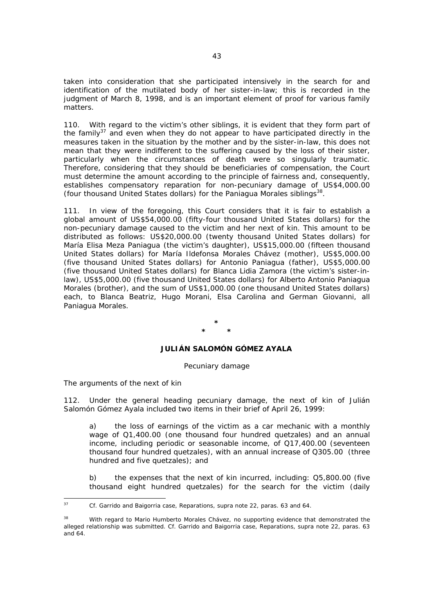taken into consideration that she participated intensively in the search for and identification of the mutilated body of her sister-in-law; this is recorded in the judgment of March 8, 1998, and is an important element of proof for various family matters.

110. With regard to the victim's other siblings, it is evident that they form part of the family<sup>37</sup> and even when they do not appear to have participated directly in the measures taken in the situation by the mother and by the sister-in-law, this does not mean that they were indifferent to the suffering caused by the loss of their sister, particularly when the circumstances of death were so singularly traumatic. Therefore, considering that they should be beneficiaries of compensation, the Court must determine the amount according to the principle of fairness and, consequently, establishes compensatory reparation for non-pecuniary damage of US\$4,000.00 (four thousand United States dollars) for the Paniagua Morales siblings $^{38}$ .

111. In view of the foregoing, this Court considers that it is fair to establish a global amount of US\$54,000.00 (fifty-four thousand United States dollars) for the non-pecuniary damage caused to the victim and her next of kin. This amount to be distributed as follows: US\$20,000.00 (twenty thousand United States dollars) for María Elisa Meza Paniagua (the victim's daughter), US\$15,000.00 (fifteen thousand United States dollars) for María Ildefonsa Morales Chávez (mother), US\$5,000.00 (five thousand United States dollars) for Antonio Paniagua (father), US\$5,000.00 (five thousand United States dollars) for Blanca Lidia Zamora (the victim's sister-inlaw), US\$5,000.00 (five thousand United States dollars) for Alberto Antonio Paniagua Morales (brother), and the sum of US\$1,000.00 (one thousand United States dollars) each, to Blanca Beatriz, Hugo Morani, Elsa Carolina and German Giovanni, all Paniagua Morales.

> **\* \* \***

# **JULIÁN SALOMÓN GÓMEZ AYALA**

#### *Pecuniary damage*

*The arguments of the next of kin* 

112. Under the general heading pecuniary damage, the next of kin of Julián Salomón Gómez Ayala included two items in their brief of April 26, 1999:

a) the loss of earnings of the victim as a car mechanic with a monthly wage of Q1,400.00 (one thousand four hundred quetzales) and an annual income, including periodic or seasonable income, of Q17,400.00 (seventeen thousand four hundred quetzales), with an annual increase of Q305.00 (three hundred and five quetzales); and

b) the expenses that the next of kin incurred, including: Q5,800.00 (five thousand eight hundred quetzales) for the search for the victim (daily

 $37$ 37 *Cf. Garrido and Baigorria case, Reparations, supra* note 22, paras. 63 and 64.

With regard to Mario Humberto Morales Chávez, no supporting evidence that demonstrated the alleged relationship was submitted. *Cf. Garrido and Baigorria case, Reparations, supra* note 22, paras. 63 and  $64$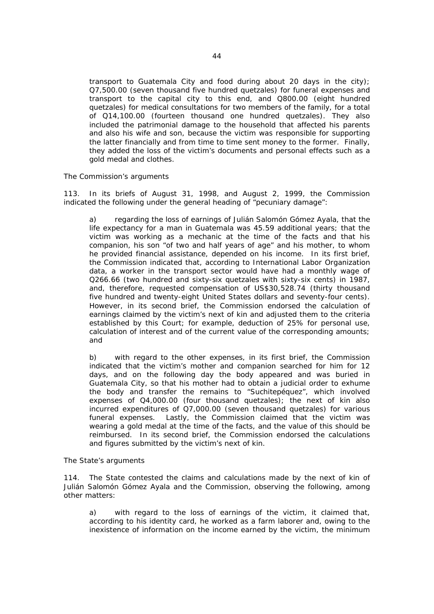transport to Guatemala City and food during about 20 days in the city); Q7,500.00 (seven thousand five hundred quetzales) for funeral expenses and transport to the capital city to this end, and Q800.00 (eight hundred quetzales) for medical consultations for two members of the family, for a total of Q14,100.00 (fourteen thousand one hundred quetzales). They also included the patrimonial damage to the household that affected his parents and also his wife and son, because the victim was responsible for supporting the latter financially and from time to time sent money to the former. Finally, they added the loss of the victim's documents and personal effects such as a gold medal and clothes.

## *The Commission's arguments*

113. In its briefs of August 31, 1998, and August 2, 1999, the Commission indicated the following under the general heading of "pecuniary damage":

a) regarding the loss of earnings of Julián Salomón Gómez Ayala, that the life expectancy for a man in Guatemala was 45.59 additional years; that the victim was working as a mechanic at the time of the facts and that his companion, his son "of two and half years of age" and his mother, to whom he provided financial assistance, depended on his income. In its first brief, the Commission indicated that, according to International Labor Organization data, a worker in the transport sector would have had a monthly wage of Q266.66 (two hundred and sixty-six quetzales with sixty-six cents) in 1987, and, therefore, requested compensation of US\$30,528.74 (thirty thousand five hundred and twenty-eight United States dollars and seventy-four cents). However, in its second brief, the Commission endorsed the calculation of earnings claimed by the victim's next of kin and adjusted them to the criteria established by this Court; for example, deduction of 25% for personal use, calculation of interest and of the current value of the corresponding amounts; and

b) with regard to the other expenses, in its first brief, the Commission indicated that the victim's mother and companion searched for him for 12 days, and on the following day the body appeared and was buried in Guatemala City, so that his mother had to obtain a judicial order to exhume the body and transfer the remains to "Suchitepéquez", which involved expenses of Q4,000.00 (four thousand quetzales); the next of kin also incurred expenditures of Q7,000.00 (seven thousand quetzales) for various funeral expenses. Lastly, the Commission claimed that the victim was wearing a gold medal at the time of the facts, and the value of this should be reimbursed. In its second brief, the Commission endorsed the calculations and figures submitted by the victim's next of kin.

#### *The State's arguments*

114. The State contested the claims and calculations made by the next of kin of Julián Salomón Gómez Ayala and the Commission, observing the following, among other matters:

a) with regard to the loss of earnings of the victim, it claimed that, according to his identity card, he worked as a farm laborer and, owing to the inexistence of information on the income earned by the victim, the minimum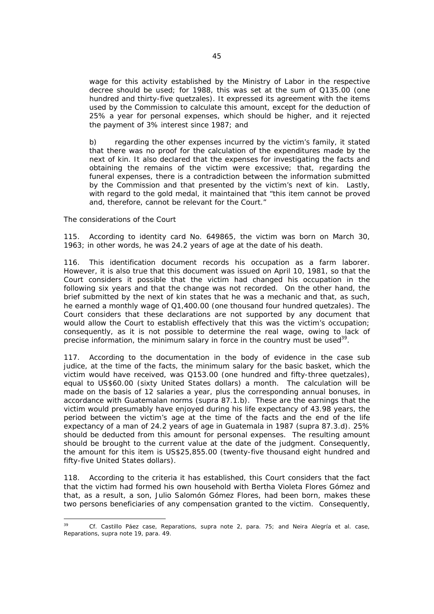wage for this activity established by the Ministry of Labor in the respective decree should be used; for 1988, this was set at the sum of Q135.00 (one hundred and thirty-five quetzales). It expressed its agreement with the items used by the Commission to calculate this amount, except for the deduction of 25% a year for personal expenses, which should be higher, and it rejected the payment of 3% interest since 1987; and

b) regarding the other expenses incurred by the victim's family, it stated that there was no proof for the calculation of the expenditures made by the next of kin. It also declared that the expenses for investigating the facts and obtaining the remains of the victim were excessive; that, regarding the funeral expenses, there is a contradiction between the information submitted by the Commission and that presented by the victim's next of kin. Lastly, with regard to the gold medal, it maintained that "this item cannot be proved and, therefore, cannot be relevant for the Court."

# *The considerations of the Court*

115. According to identity card No. 649865, the victim was born on March 30, 1963; in other words, he was 24.2 years of age at the date of his death.

116. This identification document records his occupation as a farm laborer. However, it is also true that this document was issued on April 10, 1981, so that the Court considers it possible that the victim had changed his occupation in the following six years and that the change was not recorded. On the other hand, the brief submitted by the next of kin states that he was a mechanic and that, as such, he earned a monthly wage of Q1,400.00 (one thousand four hundred quetzales). The Court considers that these declarations are not supported by any document that would allow the Court to establish effectively that this was the victim's occupation; consequently, as it is not possible to determine the real wage, owing to lack of precise information, the minimum salary in force in the country must be used<sup>39</sup>.

117. According to the documentation in the body of evidence in the case *sub judice*, at the time of the facts, the minimum salary for the basic basket, which the victim would have received, was Q153.00 (one hundred and fifty-three quetzales), equal to US\$60.00 (sixty United States dollars) a month. The calculation will be made on the basis of 12 salaries a year, plus the corresponding annual bonuses, in accordance with Guatemalan norms (*supra* 87.1.b). These are the earnings that the victim would presumably have enjoyed during his life expectancy of 43.98 years, the period between the victim's age at the time of the facts and the end of the life expectancy of a man of 24.2 years of age in Guatemala in 1987 (*supra* 87.3.d). 25% should be deducted from this amount for personal expenses. The resulting amount should be brought to the current value at the date of the judgment. Consequently, the amount for this item is US\$25,855.00 (twenty-five thousand eight hundred and fifty-five United States dollars).

118. According to the criteria it has established, this Court considers that the fact that the victim had formed his own household with Bertha Violeta Flores Gómez and that, as a result, a son, Julio Salomón Gómez Flores, had been born, makes these two persons beneficiaries of any compensation granted to the victim. Consequently,

 $39$ 39 *Cf. Castillo Páez case, Reparations, supra* note 2, para. 75; and *Neira Alegría et al. case, Reparations, supra* note 19, para. 49.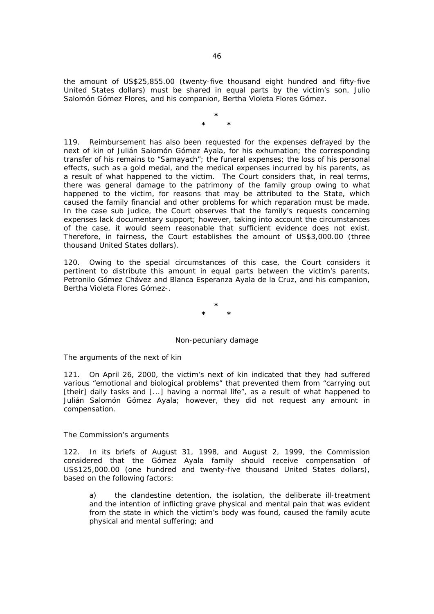the amount of US\$25,855.00 (twenty-five thousand eight hundred and fifty-five United States dollars) must be shared in equal parts by the victim's son, Julio Salomón Gómez Flores, and his companion, Bertha Violeta Flores Gómez.

> **\* \* \***

119. Reimbursement has also been requested for the expenses defrayed by the next of kin of Julián Salomón Gómez Ayala, for his exhumation; the corresponding transfer of his remains to "Samayach"; the funeral expenses; the loss of his personal effects, such as a gold medal, and the medical expenses incurred by his parents, as a result of what happened to the victim. The Court considers that, in real terms, there was general damage to the patrimony of the family group owing to what happened to the victim, for reasons that may be attributed to the State, which caused the family financial and other problems for which reparation must be made. In the case *sub judice*, the Court observes that the family's requests concerning expenses lack documentary support; however, taking into account the circumstances of the case, it would seem reasonable that sufficient evidence does not exist. Therefore, in fairness, the Court establishes the amount of US\$3,000.00 (three thousand United States dollars).

120. Owing to the special circumstances of this case, the Court considers it pertinent to distribute this amount in equal parts between the victim's parents, Petronilo Gómez Chávez and Blanca Esperanza Ayala de la Cruz, and his companion, Bertha Violeta Flores Gómez-.

> **\* \* \***

## *Non-pecuniary damage*

*The arguments of the next of kin* 

121. On April 26, 2000, the victim's next of kin indicated that they had suffered various "emotional and biological problems" that prevented them from "carrying out [their] daily tasks and [...] having a normal life", as a result of what happened to Julián Salomón Gómez Ayala; however, they did not request any amount in compensation.

## *The Commission's arguments*

122. In its briefs of August 31, 1998, and August 2, 1999, the Commission considered that the Gómez Ayala family should receive compensation of US\$125,000.00 (one hundred and twenty-five thousand United States dollars), based on the following factors:

a) the clandestine detention, the isolation, the deliberate ill-treatment and the intention of inflicting grave physical and mental pain that was evident from the state in which the victim's body was found, caused the family acute physical and mental suffering; and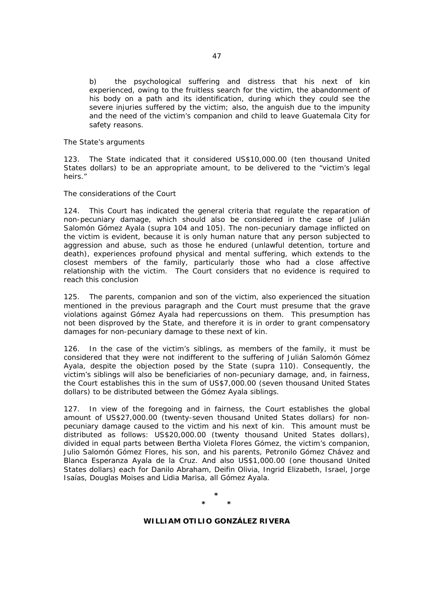b) the psychological suffering and distress that his next of kin experienced, owing to the fruitless search for the victim, the abandonment of his body on a path and its identification, during which they could see the severe injuries suffered by the victim; also, the anguish due to the impunity and the need of the victim's companion and child to leave Guatemala City for safety reasons.

## *The State's arguments*

123. The State indicated that it considered US\$10,000.00 (ten thousand United States dollars) to be an appropriate amount, to be delivered to the "victim's legal heirs."

#### *The considerations of the Court*

124. This Court has indicated the general criteria that regulate the reparation of non-pecuniary damage, which should also be considered in the case of Julián Salomón Gómez Ayala (*supra* 104 and 105). The non-pecuniary damage inflicted on the victim is evident, because it is only human nature that any person subjected to aggression and abuse, such as those he endured (unlawful detention, torture and death), experiences profound physical and mental suffering, which extends to the closest members of the family, particularly those who had a close affective relationship with the victim. The Court considers that no evidence is required to reach this conclusion

125. The parents, companion and son of the victim, also experienced the situation mentioned in the previous paragraph and the Court must presume that the grave violations against Gómez Ayala had repercussions on them. This presumption has not been disproved by the State, and therefore it is in order to grant compensatory damages for non-pecuniary damage to these next of kin.

126. In the case of the victim's siblings, as members of the family, it must be considered that they were not indifferent to the suffering of Julián Salomón Gómez Ayala, despite the objection posed by the State (*supra* 110). Consequently, the victim's siblings will also be beneficiaries of non-pecuniary damage, and, in fairness, the Court establishes this in the sum of US\$7,000.00 (seven thousand United States dollars) to be distributed between the Gómez Ayala siblings.

127. In view of the foregoing and in fairness, the Court establishes the global amount of US\$27,000.00 (twenty-seven thousand United States dollars) for nonpecuniary damage caused to the victim and his next of kin. This amount must be distributed as follows: US\$20,000.00 (twenty thousand United States dollars), divided in equal parts between Bertha Violeta Flores Gómez, the victim's companion, Julio Salomón Gómez Flores, his son, and his parents, Petronilo Gómez Chávez and Blanca Esperanza Ayala de la Cruz. And also US\$1,000.00 (one thousand United States dollars) each for Danilo Abraham, Deifin Olivia, Ingrid Elizabeth, Israel, Jorge Isaías, Douglas Moises and Lidia Marisa, all Gómez Ayala.

> **\* \* \***

### **WILLIAM OTILIO GONZÁLEZ RIVERA**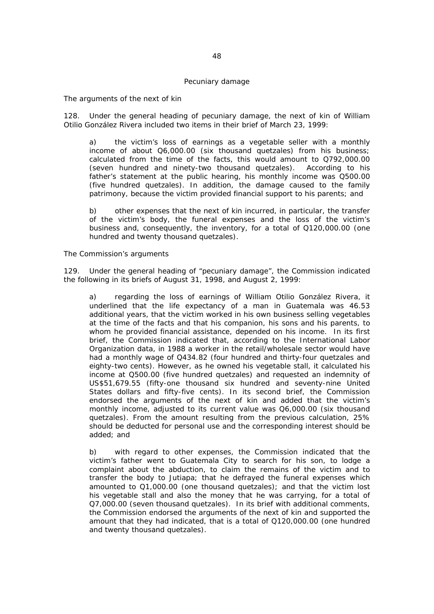#### *Pecuniary damage*

#### *The arguments of the next of kin*

128. Under the general heading of pecuniary damage, the next of kin of William Otilio González Rivera included two items in their brief of March 23, 1999:

a) the victim's loss of earnings as a vegetable seller with a monthly income of about Q6,000.00 (six thousand quetzales) from his business; calculated from the time of the facts, this would amount to Q792,000.00 (seven hundred and ninety-two thousand quetzales). According to his father's statement at the public hearing, his monthly income was Q500.00 (five hundred quetzales). In addition, the damage caused to the family patrimony, because the victim provided financial support to his parents; and

b) other expenses that the next of kin incurred, in particular, the transfer of the victim's body, the funeral expenses and the loss of the victim's business and, consequently, the inventory, for a total of Q120,000.00 (one hundred and twenty thousand quetzales).

## *The Commission's arguments*

129. Under the general heading of "pecuniary damage", the Commission indicated the following in its briefs of August 31, 1998, and August 2, 1999:

a) regarding the loss of earnings of William Otilio González Rivera, it underlined that the life expectancy of a man in Guatemala was 46.53 additional years, that the victim worked in his own business selling vegetables at the time of the facts and that his companion, his sons and his parents, to whom he provided financial assistance, depended on his income. In its first brief, the Commission indicated that, according to the International Labor Organization data, in 1988 a worker in the retail/wholesale sector would have had a monthly wage of Q434.82 (four hundred and thirty-four quetzales and eighty-two cents). However, as he owned his vegetable stall, it calculated his income at Q500.00 (five hundred quetzales) and requested an indemnity of US\$51,679.55 (fifty-one thousand six hundred and seventy-nine United States dollars and fifty-five cents). In its second brief, the Commission endorsed the arguments of the next of kin and added that the victim's monthly income, adjusted to its current value was Q6,000.00 (six thousand quetzales). From the amount resulting from the previous calculation, 25% should be deducted for personal use and the corresponding interest should be added; and

b) with regard to other expenses, the Commission indicated that the victim's father went to Guatemala City to search for his son, to lodge a complaint about the abduction, to claim the remains of the victim and to transfer the body to Jutiapa; that he defrayed the funeral expenses which amounted to Q1,000.00 (one thousand quetzales); and that the victim lost his vegetable stall and also the money that he was carrying, for a total of Q7,000.00 (seven thousand quetzales). In its brief with additional comments, the Commission endorsed the arguments of the next of kin and supported the amount that they had indicated, that is a total of Q120,000.00 (one hundred and twenty thousand quetzales).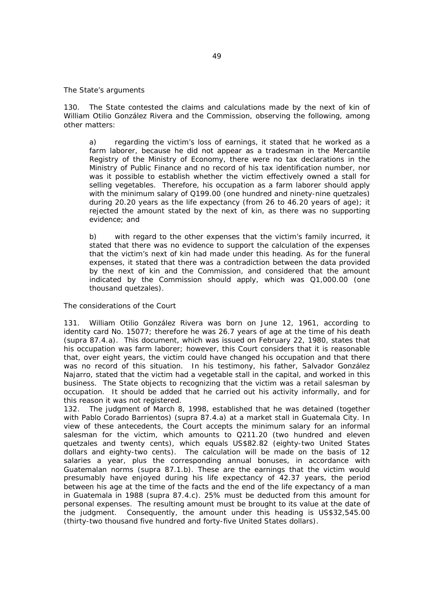#### *The State's arguments*

130. The State contested the claims and calculations made by the next of kin of William Otilio González Rivera and the Commission, observing the following, among other matters:

a) regarding the victim's loss of earnings, it stated that he worked as a farm laborer, because he did not appear as a tradesman in the Mercantile Registry of the Ministry of Economy, there were no tax declarations in the Ministry of Public Finance and no record of his tax identification number, nor was it possible to establish whether the victim effectively owned a stall for selling vegetables. Therefore, his occupation as a farm laborer should apply with the minimum salary of Q199.00 (one hundred and ninety-nine quetzales) during 20.20 years as the life expectancy (from 26 to 46.20 years of age); it rejected the amount stated by the next of kin, as there was no supporting evidence; and

b) with regard to the other expenses that the victim's family incurred, it stated that there was no evidence to support the calculation of the expenses that the victim's next of kin had made under this heading. As for the funeral expenses, it stated that there was a contradiction between the data provided by the next of kin and the Commission, and considered that the amount indicated by the Commission should apply, which was Q1,000.00 (one thousand quetzales).

## *The considerations of the Court*

131. William Otilio González Rivera was born on June 12, 1961, according to identity card No. 15077; therefore he was 26.7 years of age at the time of his death (*supra* 87.4.a). This document, which was issued on February 22, 1980, states that his occupation was farm laborer; however, this Court considers that it is reasonable that, over eight years, the victim could have changed his occupation and that there was no record of this situation. In his testimony, his father, Salvador González Najarro, stated that the victim had a vegetable stall in the capital, and worked in this business. The State objects to recognizing that the victim was a retail salesman by occupation. It should be added that he carried out his activity informally, and for this reason it was not registered.

132. The judgment of March 8, 1998, established that he was detained (together with Pablo Corado Barrientos) (*supra* 87.4.a) at a market stall in Guatemala City. In view of these antecedents, the Court accepts the minimum salary for an informal salesman for the victim, which amounts to Q211.20 (two hundred and eleven quetzales and twenty cents), which equals US\$82.82 (eighty-two United States dollars and eighty-two cents). The calculation will be made on the basis of 12 salaries a year, plus the corresponding annual bonuses, in accordance with Guatemalan norms (*supra* 87.1.b). These are the earnings that the victim would presumably have enjoyed during his life expectancy of 42.37 years, the period between his age at the time of the facts and the end of the life expectancy of a man in Guatemala in 1988 (*supra* 87.4.c). 25% must be deducted from this amount for personal expenses. The resulting amount must be brought to its value at the date of the judgment. Consequently, the amount under this heading is US\$32,545.00 (thirty-two thousand five hundred and forty-five United States dollars).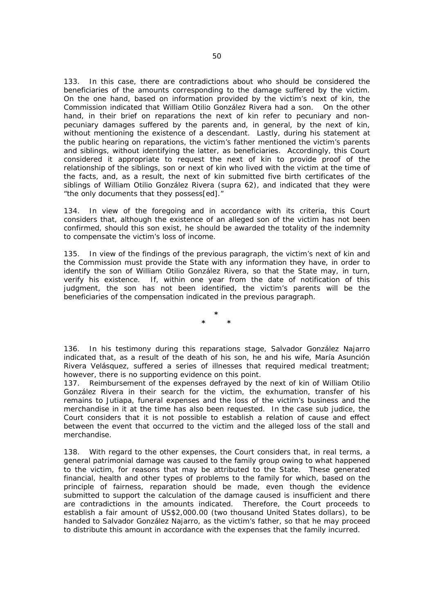133. In this case, there are contradictions about who should be considered the beneficiaries of the amounts corresponding to the damage suffered by the victim. On the one hand, based on information provided by the victim's next of kin, the Commission indicated that William Otilio González Rivera had a son. On the other hand, in their brief on reparations the next of kin refer to pecuniary and nonpecuniary damages suffered by the parents and, in general, by the next of kin, without mentioning the existence of a descendant. Lastly, during his statement at the public hearing on reparations, the victim's father mentioned the victim's parents and siblings, without identifying the latter, as beneficiaries. Accordingly, this Court considered it appropriate to request the next of kin to provide proof of the relationship of the siblings, son or next of kin who lived with the victim at the time of the facts, and, as a result, the next of kin submitted five birth certificates of the siblings of William Otilio González Rivera (*supra* 62), and indicated that they were "the only documents that they possess[ed]."

134. In view of the foregoing and in accordance with its criteria, this Court considers that, although the existence of an alleged son of the victim has not been confirmed, should this son exist, he should be awarded the totality of the indemnity to compensate the victim's loss of income.

135. In view of the findings of the previous paragraph, the victim's next of kin and the Commission must provide the State with any information they have, in order to identify the son of William Otilio González Rivera, so that the State may, in turn, verify his existence. If, within one year from the date of notification of this judgment, the son has not been identified, the victim's parents will be the beneficiaries of the compensation indicated in the previous paragraph.

> **\* \* \***

136. In his testimony during this reparations stage, Salvador González Najarro indicated that, as a result of the death of his son, he and his wife, María Asunción Rivera Velásquez, suffered a series of illnesses that required medical treatment; however, there is no supporting evidence on this point.

137. Reimbursement of the expenses defrayed by the next of kin of William Otilio González Rivera in their search for the victim, the exhumation, transfer of his remains to Jutiapa, funeral expenses and the loss of the victim's business and the merchandise in it at the time has also been requested. In the case *sub judice,* the Court considers that it is not possible to establish a relation of cause and effect between the event that occurred to the victim and the alleged loss of the stall and merchandise.

138. With regard to the other expenses, the Court considers that, in real terms, a general patrimonial damage was caused to the family group owing to what happened to the victim, for reasons that may be attributed to the State. These generated financial, health and other types of problems to the family for which, based on the principle of fairness, reparation should be made, even though the evidence submitted to support the calculation of the damage caused is insufficient and there are contradictions in the amounts indicated. Therefore, the Court proceeds to establish a fair amount of US\$2,000.00 (two thousand United States dollars), to be handed to Salvador González Najarro, as the victim's father, so that he may proceed to distribute this amount in accordance with the expenses that the family incurred.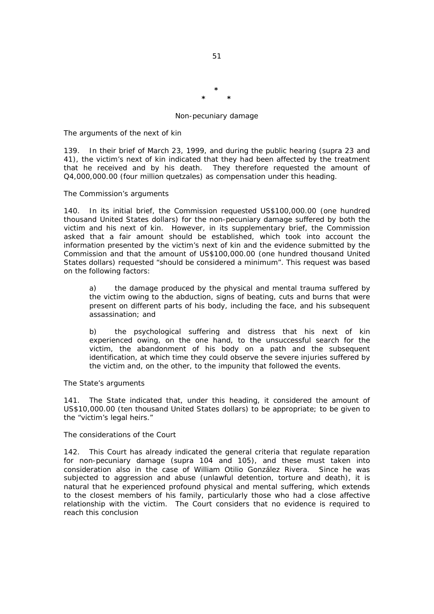### *Non-pecuniary damage*

**\* \* \*** 

## *The arguments of the next of kin*

139. In their brief of March 23, 1999, and during the public hearing (*supra* 23 and 41), the victim's next of kin indicated that they had been affected by the treatment that he received and by his death. They therefore requested the amount of Q4,000,000.00 (four million quetzales) as compensation under this heading.

## *The Commission's arguments*

140. In its initial brief, the Commission requested US\$100,000.00 (one hundred thousand United States dollars) for the non-pecuniary damage suffered by both the victim and his next of kin. However, in its supplementary brief, the Commission asked that a fair amount should be established, which took into account the information presented by the victim's next of kin and the evidence submitted by the Commission and that the amount of US\$100,000.00 (one hundred thousand United States dollars) requested "should be considered a minimum". This request was based on the following factors:

a) the damage produced by the physical and mental trauma suffered by the victim owing to the abduction, signs of beating, cuts and burns that were present on different parts of his body, including the face, and his subsequent assassination; and

b) the psychological suffering and distress that his next of kin experienced owing, on the one hand, to the unsuccessful search for the victim, the abandonment of his body on a path and the subsequent identification, at which time they could observe the severe injuries suffered by the victim and, on the other, to the impunity that followed the events.

## *The State's arguments*

141. The State indicated that, under this heading, it considered the amount of US\$10,000.00 (ten thousand United States dollars) to be appropriate; to be given to the "victim's legal heirs."

# *The considerations of the Court*

142. This Court has already indicated the general criteria that regulate reparation for non-pecuniary damage (*supra* 104 and 105), and these must taken into consideration also in the case of William Otilio González Rivera. Since he was subjected to aggression and abuse (unlawful detention, torture and death), it is natural that he experienced profound physical and mental suffering, which extends to the closest members of his family, particularly those who had a close affective relationship with the victim. The Court considers that no evidence is required to reach this conclusion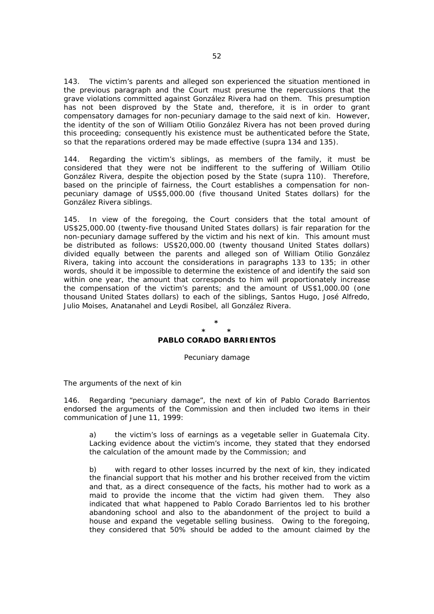143. The victim's parents and alleged son experienced the situation mentioned in the previous paragraph and the Court must presume the repercussions that the grave violations committed against González Rivera had on them. This presumption has not been disproved by the State and, therefore, it is in order to grant compensatory damages for non-pecuniary damage to the said next of kin. However, the identity of the son of William Otilio González Rivera has not been proved during this proceeding; consequently his existence must be authenticated before the State, so that the reparations ordered may be made effective (*supra* 134 and 135).

144. Regarding the victim's siblings, as members of the family, it must be considered that they were not be indifferent to the suffering of William Otilio González Rivera, despite the objection posed by the State (*supra* 110). Therefore, based on the principle of fairness, the Court establishes a compensation for nonpecuniary damage of US\$5,000.00 (five thousand United States dollars) for the González Rivera siblings.

145. In view of the foregoing, the Court considers that the total amount of US\$25,000.00 (twenty-five thousand United States dollars) is fair reparation for the non-pecuniary damage suffered by the victim and his next of kin. This amount must be distributed as follows: US\$20,000.00 (twenty thousand United States dollars) divided equally between the parents and alleged son of William Otilio González Rivera, taking into account the considerations in paragraphs 133 to 135; in other words, should it be impossible to determine the existence of and identify the said son within one year, the amount that corresponds to him will proportionately increase the compensation of the victim's parents; and the amount of US\$1,000.00 (one thousand United States dollars) to each of the siblings, Santos Hugo, José Alfredo, Julio Moises, Anatanahel and Leydi Rosibel, all González Rivera.

## **\***

#### **\* \* PABLO CORADO BARRIENTOS**

#### *Pecuniary damage*

*The arguments of the next of kin* 

146. Regarding "pecuniary damage", the next of kin of Pablo Corado Barrientos endorsed the arguments of the Commission and then included two items in their communication of June 11, 1999:

a) the victim's loss of earnings as a vegetable seller in Guatemala City. Lacking evidence about the victim's income, they stated that they endorsed the calculation of the amount made by the Commission; and

b) with regard to other losses incurred by the next of kin, they indicated the financial support that his mother and his brother received from the victim and that, as a direct consequence of the facts, his mother had to work as a maid to provide the income that the victim had given them. They also indicated that what happened to Pablo Corado Barrientos led to his brother abandoning school and also to the abandonment of the project to build a house and expand the vegetable selling business. Owing to the foregoing, they considered that 50% should be added to the amount claimed by the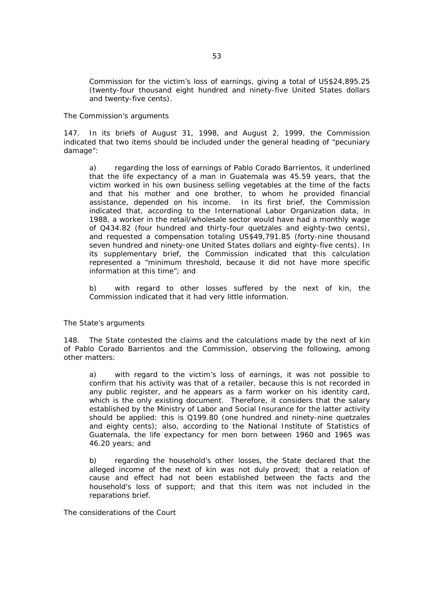Commission for the victim's loss of earnings, giving a total of US\$24,895.25 (twenty-four thousand eight hundred and ninety-five United States dollars and twenty-five cents).

## *The Commission's arguments*

147. In its briefs of August 31, 1998, and August 2, 1999, the Commission indicated that two items should be included under the general heading of "pecuniary damage":

a) regarding the loss of earnings of Pablo Corado Barrientos, it underlined that the life expectancy of a man in Guatemala was 45.59 years, that the victim worked in his own business selling vegetables at the time of the facts and that his mother and one brother, to whom he provided financial assistance, depended on his income. In its first brief, the Commission indicated that, according to the International Labor Organization data, in 1988, a worker in the retail/wholesale sector would have had a monthly wage of Q434.82 (four hundred and thirty-four quetzales and eighty-two cents), and requested a compensation totaling US\$49,791.85 (forty-nine thousand seven hundred and ninety-one United States dollars and eighty-five cents). In its supplementary brief, the Commission indicated that this calculation represented a "minimum threshold, because it did not have more specific information at this time"; and

b) with regard to other losses suffered by the next of kin, the Commission indicated that it had very little information.

## *The State's arguments*

148. The State contested the claims and the calculations made by the next of kin of Pablo Corado Barrientos and the Commission, observing the following, among other matters:

a) with regard to the victim's loss of earnings, it was not possible to confirm that his activity was that of a retailer, because this is not recorded in any public register, and he appears as a farm worker on his identity card, which is the only existing document. Therefore, it considers that the salary established by the Ministry of Labor and Social Insurance for the latter activity should be applied: this is Q199.80 (one hundred and ninety-nine quetzales and eighty cents); also, according to the National Institute of Statistics of Guatemala, the life expectancy for men born between 1960 and 1965 was 46.20 years; and

b) regarding the household's other losses, the State declared that the alleged income of the next of kin was not duly proved; that a relation of cause and effect had not been established between the facts and the household's loss of support; and that this item was not included in the reparations brief.

*The considerations of the Court*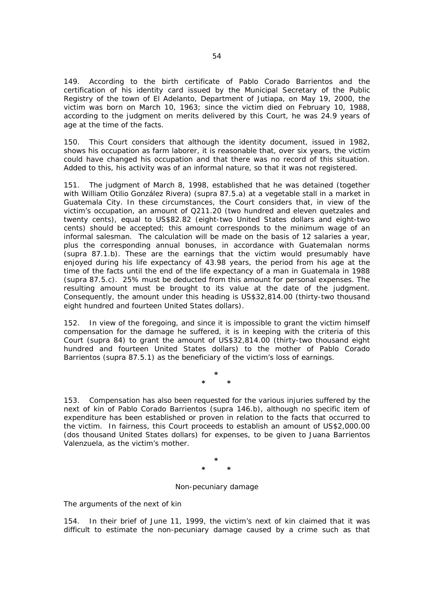149. According to the birth certificate of Pablo Corado Barrientos and the certification of his identity card issued by the Municipal Secretary of the Public Registry of the town of El Adelanto, Department of Jutiapa, on May 19, 2000, the victim was born on March 10, 1963; since the victim died on February 10, 1988, according to the judgment on merits delivered by this Court, he was 24.9 years of age at the time of the facts.

150. This Court considers that although the identity document, issued in 1982, shows his occupation as farm laborer, it is reasonable that, over six years, the victim could have changed his occupation and that there was no record of this situation. Added to this, his activity was of an informal nature, so that it was not registered.

151. The judgment of March 8, 1998, established that he was detained (together with William Otilio González Rivera) (*supra* 87.5.a) at a vegetable stall in a market in Guatemala City. In these circumstances, the Court considers that, in view of the victim's occupation, an amount of Q211.20 (two hundred and eleven quetzales and twenty cents), equal to US\$82.82 (eight-two United States dollars and eight-two cents) should be accepted; this amount corresponds to the minimum wage of an informal salesman. The calculation will be made on the basis of 12 salaries a year, plus the corresponding annual bonuses, in accordance with Guatemalan norms (*supra* 87.1.b). These are the earnings that the victim would presumably have enjoyed during his life expectancy of 43.98 years, the period from his age at the time of the facts until the end of the life expectancy of a man in Guatemala in 1988 (*supra* 87.5.c). 25% must be deducted from this amount for personal expenses. The resulting amount must be brought to its value at the date of the judgment. Consequently, the amount under this heading is US\$32,814.00 (thirty-two thousand eight hundred and fourteen United States dollars).

152. In view of the foregoing, and since it is impossible to grant the victim himself compensation for the damage he suffered, it is in keeping with the criteria of this Court (*supra* 84) to grant the amount of US\$32,814.00 (thirty-two thousand eight hundred and fourteen United States dollars) to the mother of Pablo Corado Barrientos (*supra* 87.5.1) as the beneficiary of the victim's loss of earnings.

> **\* \* \***

153. Compensation has also been requested for the various injuries suffered by the next of kin of Pablo Corado Barrientos (*supra* 146.b), although no specific item of expenditure has been established or proven in relation to the facts that occurred to the victim. In fairness, this Court proceeds to establish an amount of US\$2,000.00 (dos thousand United States dollars) for expenses, to be given to Juana Barrientos Valenzuela, as the victim's mother.

> **\* \* \***

## *Non-pecuniary damage*

*The arguments of the next of kin* 

154. In their brief of June 11, 1999, the victim's next of kin claimed that it was difficult to estimate the non-pecuniary damage caused by a crime such as that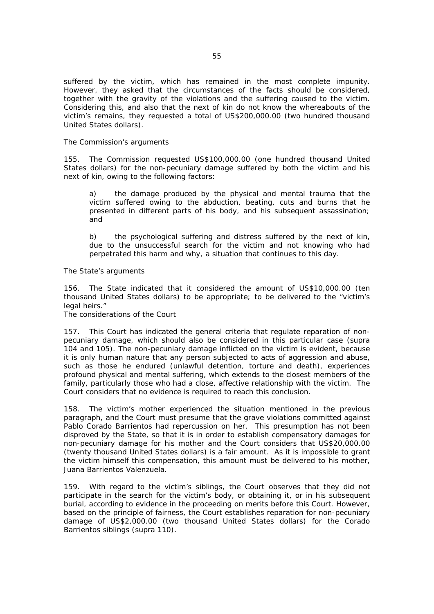suffered by the victim, which has remained in the most complete impunity. However, they asked that the circumstances of the facts should be considered, together with the gravity of the violations and the suffering caused to the victim. Considering this, and also that the next of kin do not know the whereabouts of the victim's remains, they requested a total of US\$200,000.00 (two hundred thousand United States dollars).

## *The Commission's arguments*

155. The Commission requested US\$100,000.00 (one hundred thousand United States dollars) for the non-pecuniary damage suffered by both the victim and his next of kin, owing to the following factors:

a) the damage produced by the physical and mental trauma that the victim suffered owing to the abduction, beating, cuts and burns that he presented in different parts of his body, and his subsequent assassination; and

b) the psychological suffering and distress suffered by the next of kin, due to the unsuccessful search for the victim and not knowing who had perpetrated this harm and why, a situation that continues to this day.

## *The State's arguments*

156. The State indicated that it considered the amount of US\$10,000.00 (ten thousand United States dollars) to be appropriate; to be delivered to the "victim's legal heirs."

*The considerations of the Court* 

157. This Court has indicated the general criteria that regulate reparation of nonpecuniary damage, which should also be considered in this particular case (*supra* 104 and 105). The non-pecuniary damage inflicted on the victim is evident, because it is only human nature that any person subjected to acts of aggression and abuse, such as those he endured (unlawful detention, torture and death), experiences profound physical and mental suffering, which extends to the closest members of the family, particularly those who had a close, affective relationship with the victim. The Court considers that no evidence is required to reach this conclusion.

158. The victim's mother experienced the situation mentioned in the previous paragraph, and the Court must presume that the grave violations committed against Pablo Corado Barrientos had repercussion on her. This presumption has not been disproved by the State, so that it is in order to establish compensatory damages for non-pecuniary damage for his mother and the Court considers that US\$20,000.00 (twenty thousand United States dollars) is a fair amount. As it is impossible to grant the victim himself this compensation, this amount must be delivered to his mother, Juana Barrientos Valenzuela.

159. With regard to the victim's siblings, the Court observes that they did not participate in the search for the victim's body, or obtaining it, or in his subsequent burial, according to evidence in the proceeding on merits before this Court. However, based on the principle of fairness, the Court establishes reparation for non-pecuniary damage of US\$2,000.00 (two thousand United States dollars) for the Corado Barrientos siblings (*supra* 110).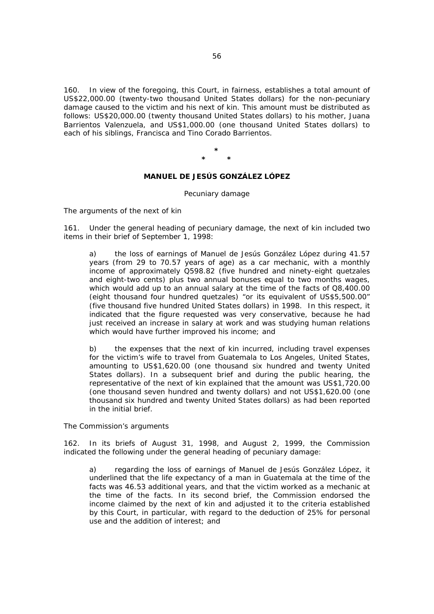160. In view of the foregoing, this Court, in fairness, establishes a total amount of US\$22,000.00 (twenty-two thousand United States dollars) for the non-pecuniary damage caused to the victim and his next of kin. This amount must be distributed as follows: US\$20,000.00 (twenty thousand United States dollars) to his mother, Juana Barrientos Valenzuela, and US\$1,000.00 (one thousand United States dollars) to each of his siblings, Francisca and Tino Corado Barrientos.

> **\* \* \***

# **MANUEL DE JESÚS GONZÁLEZ LÓPEZ**

#### *Pecuniary damage*

*The arguments of the next of kin* 

161. Under the general heading of pecuniary damage, the next of kin included two items in their brief of September 1, 1998:

a) the loss of earnings of Manuel de Jesús González López during 41.57 years (from 29 to 70.57 years of age) as a car mechanic, with a monthly income of approximately Q598.82 (five hundred and ninety-eight quetzales and eight-two cents) plus two annual bonuses equal to two months wages, which would add up to an annual salary at the time of the facts of Q8,400.00 (eight thousand four hundred quetzales) "or its equivalent of US\$5,500.00" (five thousand five hundred United States dollars) in 1998. In this respect, it indicated that the figure requested was very conservative, because he had just received an increase in salary at work and was studying human relations which would have further improved his income; and

b) the expenses that the next of kin incurred, including travel expenses for the victim's wife to travel from Guatemala to Los Angeles, United States, amounting to US\$1,620.00 (one thousand six hundred and twenty United States dollars). In a subsequent brief and during the public hearing, the representative of the next of kin explained that the amount was US\$1,720.00 (one thousand seven hundred and twenty dollars) and not US\$1,620.00 (one thousand six hundred and twenty United States dollars) as had been reported in the initial brief.

*The Commission's arguments* 

162. In its briefs of August 31, 1998, and August 2, 1999, the Commission indicated the following under the general heading of pecuniary damage:

a) regarding the loss of earnings of Manuel de Jesús González López, it underlined that the life expectancy of a man in Guatemala at the time of the facts was 46.53 additional years, and that the victim worked as a mechanic at the time of the facts. In its second brief, the Commission endorsed the income claimed by the next of kin and adjusted it to the criteria established by this Court, in particular, with regard to the deduction of 25% for personal use and the addition of interest; and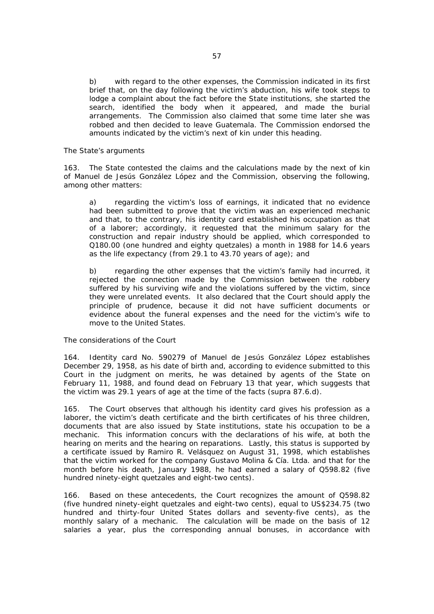b) with regard to the other expenses, the Commission indicated in its first brief that, on the day following the victim's abduction, his wife took steps to lodge a complaint about the fact before the State institutions, she started the search, identified the body when it appeared, and made the burial arrangements. The Commission also claimed that some time later she was robbed and then decided to leave Guatemala. The Commission endorsed the amounts indicated by the victim's next of kin under this heading.

### *The State's arguments*

163. The State contested the claims and the calculations made by the next of kin of Manuel de Jesús González López and the Commission, observing the following, among other matters:

a) regarding the victim's loss of earnings, it indicated that no evidence had been submitted to prove that the victim was an experienced mechanic and that, to the contrary, his identity card established his occupation as that of a laborer; accordingly, it requested that the minimum salary for the construction and repair industry should be applied, which corresponded to Q180.00 (one hundred and eighty quetzales) a month in 1988 for 14.6 years as the life expectancy (from 29.1 to 43.70 years of age); and

b) regarding the other expenses that the victim's family had incurred, it rejected the connection made by the Commission between the robbery suffered by his surviving wife and the violations suffered by the victim, since they were unrelated events. It also declared that the Court should apply the principle of prudence, because it did not have sufficient documents or evidence about the funeral expenses and the need for the victim's wife to move to the United States.

# *The considerations of the Court*

164. Identity card No. 590279 of Manuel de Jesús González López establishes December 29, 1958, as his date of birth and, according to evidence submitted to this Court in the judgment on merits, he was detained by agents of the State on February 11, 1988, and found dead on February 13 that year, which suggests that the victim was 29.1 years of age at the time of the facts (*supra* 87.6.d).

165. The Court observes that although his identity card gives his profession as a laborer, the victim's death certificate and the birth certificates of his three children, documents that are also issued by State institutions, state his occupation to be a mechanic. This information concurs with the declarations of his wife, at both the hearing on merits and the hearing on reparations. Lastly, this status is supported by a certificate issued by Ramiro R. Velásquez on August 31, 1998, which establishes that the victim worked for the company *Gustavo Molina & Cía. Ltda*. and that for the month before his death, January 1988, he had earned a salary of Q598.82 (five hundred ninety-eight quetzales and eight-two cents).

166. Based on these antecedents, the Court recognizes the amount of Q598.82 (five hundred ninety-eight quetzales and eight-two cents), equal to US\$234.75 (two hundred and thirty-four United States dollars and seventy-five cents), as the monthly salary of a mechanic. The calculation will be made on the basis of 12 salaries a year, plus the corresponding annual bonuses, in accordance with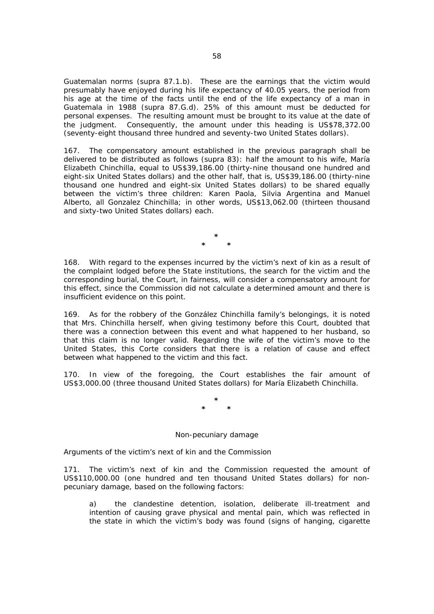Guatemalan norms (*supra* 87.1.b). These are the earnings that the victim would presumably have enjoyed during his life expectancy of 40.05 years, the period from his age at the time of the facts until the end of the life expectancy of a man in Guatemala in 1988 (*supra* 87.G.d). 25% of this amount must be deducted for personal expenses. The resulting amount must be brought to its value at the date of the judgment. Consequently, the amount under this heading is US\$78,372.00 (seventy-eight thousand three hundred and seventy-two United States dollars).

167. The compensatory amount established in the previous paragraph shall be delivered to be distributed as follows (*supra* 83): half the amount to his wife, María Elizabeth Chinchilla, equal to US\$39,186.00 (thirty-nine thousand one hundred and eight-six United States dollars) and the other half, that is, US\$39,186.00 (thirty-nine thousand one hundred and eight-six United States dollars) to be shared equally between the victim's three children: Karen Paola, Silvia Argentina and Manuel Alberto, all Gonzalez Chinchilla; in other words, US\$13,062.00 (thirteen thousand and sixty-two United States dollars) each.

> **\* \* \***

168. With regard to the expenses incurred by the victim's next of kin as a result of the complaint lodged before the State institutions, the search for the victim and the corresponding burial, the Court, in fairness, will consider a compensatory amount for this effect, since the Commission did not calculate a determined amount and there is insufficient evidence on this point.

169. As for the robbery of the González Chinchilla family's belongings, it is noted that Mrs. Chinchilla herself, when giving testimony before this Court, doubted that there was a connection between this event and what happened to her husband, so that this claim is no longer valid. Regarding the wife of the victim's move to the United States, this Corte considers that there is a relation of cause and effect between what happened to the victim and this fact.

170. In view of the foregoing, the Court establishes the fair amount of US\$3,000.00 (three thousand United States dollars) for María Elizabeth Chinchilla.

> **\* \* \***

## *Non-pecuniary damage*

*Arguments of the victim's next of kin and the Commission* 

171. The victim's next of kin and the Commission requested the amount of US\$110,000.00 (one hundred and ten thousand United States dollars) for nonpecuniary damage, based on the following factors:

a) the clandestine detention, isolation, deliberate ill-treatment and intention of causing grave physical and mental pain, which was reflected in the state in which the victim's body was found (signs of hanging, cigarette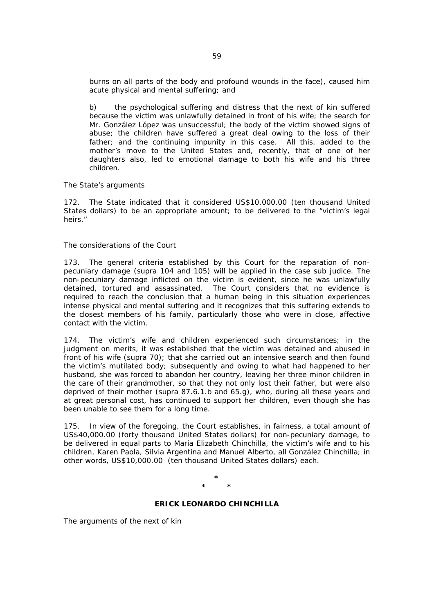burns on all parts of the body and profound wounds in the face), caused him acute physical and mental suffering; and

b) the psychological suffering and distress that the next of kin suffered because the victim was unlawfully detained in front of his wife; the search for Mr. González López was unsuccessful; the body of the victim showed signs of abuse; the children have suffered a great deal owing to the loss of their father; and the continuing impunity in this case. All this, added to the mother's move to the United States and, recently, that of one of her daughters also, led to emotional damage to both his wife and his three children.

## *The State's arguments*

172. The State indicated that it considered US\$10,000.00 (ten thousand United States dollars) to be an appropriate amount; to be delivered to the "victim's legal heirs."

## *The considerations of the Court*

173. The general criteria established by this Court for the reparation of nonpecuniary damage (*supra* 104 and 105) will be applied in the case *sub judice.* The non-pecuniary damage inflicted on the victim is evident, since he was unlawfully detained, tortured and assassinated. The Court considers that no evidence is required to reach the conclusion that a human being in this situation experiences intense physical and mental suffering and it recognizes that this suffering extends to the closest members of his family, particularly those who were in close, affective contact with the victim.

174. The victim's wife and children experienced such circumstances; in the judgment on merits, it was established that the victim was detained and abused in front of his wife (*supra* 70); that she carried out an intensive search and then found the victim's mutilated body; subsequently and owing to what had happened to her husband, she was forced to abandon her country, leaving her three minor children in the care of their grandmother, so that they not only lost their father, but were also deprived of their mother (*supra* 87.6.1.b and 65.g), who, during all these years and at great personal cost, has continued to support her children, even though she has been unable to see them for a long time.

175. In view of the foregoing, the Court establishes, in fairness, a total amount of US\$40,000.00 (forty thousand United States dollars) for non-pecuniary damage, to be delivered in equal parts to María Elizabeth Chinchilla, the victim's wife and to his children, Karen Paola, Silvia Argentina and Manuel Alberto, all González Chinchilla; in other words, US\$10,000.00 (ten thousand United States dollars) each.

### **\* \* \***

## **ERICK LEONARDO CHINCHILLA**

*The arguments of the next of kin*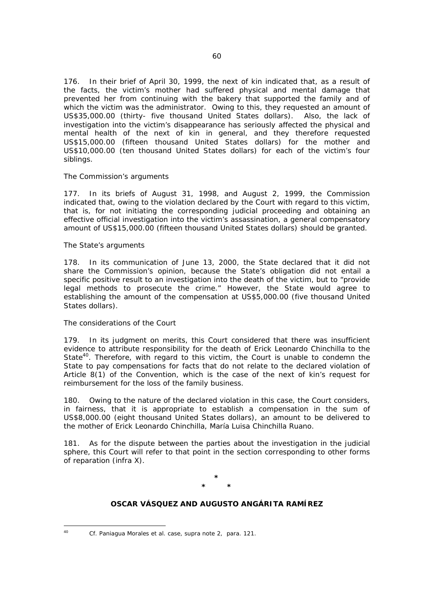176. In their brief of April 30, 1999, the next of kin indicated that, as a result of the facts, the victim's mother had suffered physical and mental damage that prevented her from continuing with the bakery that supported the family and of which the victim was the administrator. Owing to this, they requested an amount of US\$35,000.00 (thirty- five thousand United States dollars). Also, the lack of investigation into the victim's disappearance has seriously affected the physical and mental health of the next of kin in general, and they therefore requested US\$15,000.00 (fifteen thousand United States dollars) for the mother and US\$10,000.00 (ten thousand United States dollars) for each of the victim's four siblings.

## *The Commission's arguments*

177. In its briefs of August 31, 1998, and August 2, 1999, the Commission indicated that, owing to the violation declared by the Court with regard to this victim, that is, for not initiating the corresponding judicial proceeding and obtaining an effective official investigation into the victim's assassination, a general compensatory amount of US\$15,000.00 (fifteen thousand United States dollars) should be granted.

## *The State's arguments*

178. In its communication of June 13, 2000, the State declared that it did not share the Commission's opinion, because the State's obligation did not entail a specific positive result to an investigation into the death of the victim, but to "provide legal methods to prosecute the crime." However, the State would agree to establishing the amount of the compensation at US\$5,000.00 (five thousand United States dollars).

# *The considerations of the Court*

179. In its judgment on merits, this Court considered that there was insufficient evidence to attribute responsibility for the death of Erick Leonardo Chinchilla to the State<sup>40</sup>. Therefore, with regard to this victim, the Court is unable to condemn the State to pay compensations for facts that do not relate to the declared violation of Article 8(1) of the Convention, which is the case of the next of kin's request for reimbursement for the loss of the family business.

180. Owing to the nature of the declared violation in this case, the Court considers, in fairness, that it is appropriate to establish a compensation in the sum of US\$8,000.00 (eight thousand United States dollars), an amount to be delivered to the mother of Erick Leonardo Chinchilla, María Luisa Chinchilla Ruano.

181. As for the dispute between the parties about the investigation in the judicial sphere, this Court will refer to that point in the section corresponding to other forms of reparation (*infra* X).

> **\* \* \***

## **OSCAR VÁSQUEZ AND AUGUSTO ANGÁRITA RAMÍREZ**

 $40<sup>1</sup>$ 

<sup>40</sup> *Cf. Paniagua Morales et al. case, supra* note 2, para. 121.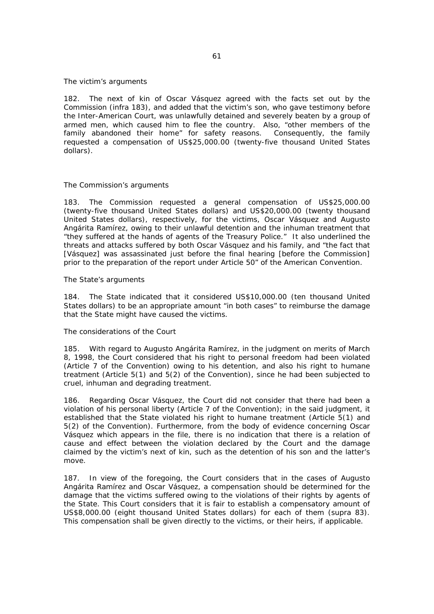#### *The victim's arguments*

182. The next of kin of Oscar Vásquez agreed with the facts set out by the Commission (*infra* 183), and added that the victim's son, who gave testimony before the Inter-American Court, was unlawfully detained and severely beaten by a group of armed men, which caused him to flee the country. Also, "other members of the family abandoned their home" for safety reasons. Consequently, the family requested a compensation of US\$25,000.00 (twenty-five thousand United States dollars).

## *The Commission's arguments*

183. The Commission requested a general compensation of US\$25,000.00 (twenty-five thousand United States dollars) and US\$20,000.00 (twenty thousand United States dollars), respectively, for the victims, Oscar Vásquez and Augusto Angárita Ramírez, owing to their unlawful detention and the inhuman treatment that "they suffered at the hands of agents of the Treasury Police." It also underlined the threats and attacks suffered by both Oscar Vásquez and his family, and "the fact that [Vásquez] was assassinated just before the final hearing [before the Commission] prior to the preparation of the report under Article 50" of the American Convention.

## *The State's arguments*

184. The State indicated that it considered US\$10,000.00 (ten thousand United States dollars) to be an appropriate amount "in both cases" to reimburse the damage that the State might have caused the victims.

## *The considerations of the Court*

185. With regard to Augusto Angárita Ramírez, in the judgment on merits of March 8, 1998, the Court considered that his right to personal freedom had been violated (Article 7 of the Convention) owing to his detention, and also his right to humane treatment (Article 5(1) and 5(2) of the Convention), since he had been subjected to cruel, inhuman and degrading treatment.

186. Regarding Oscar Vásquez, the Court did not consider that there had been a violation of his personal liberty (Article 7 of the Convention); in the said judgment, it established that the State violated his right to humane treatment (Article 5(1) and 5(2) of the Convention). Furthermore, from the body of evidence concerning Oscar Vásquez which appears in the file, there is no indication that there is a relation of cause and effect between the violation declared by the Court and the damage claimed by the victim's next of kin, such as the detention of his son and the latter's move.

187. In view of the foregoing, the Court considers that in the cases of Augusto Angárita Ramírez and Oscar Vásquez, a compensation should be determined for the damage that the victims suffered owing to the violations of their rights by agents of the State. This Court considers that it is fair to establish a compensatory amount of US\$8,000.00 (eight thousand United States dollars) for each of them (*supra* 83). This compensation shall be given directly to the victims, or their heirs, if applicable.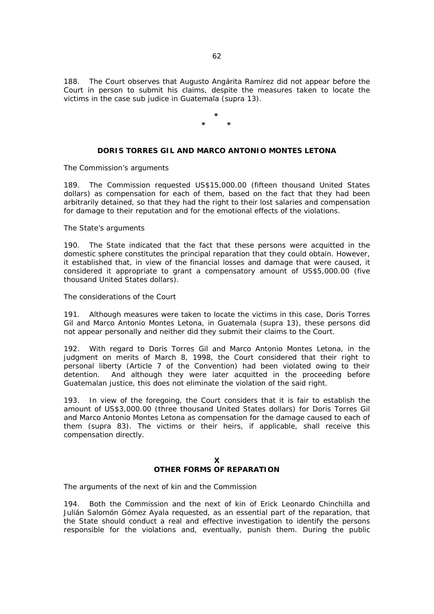188. The Court observes that Augusto Angárita Ramírez did not appear before the Court in person to submit his claims, despite the measures taken to locate the victims in the case *sub judice* in Guatemala (*supra* 13).

> **\* \* \***

# **DORIS TORRES GIL AND MARCO ANTONIO MONTES LETONA**

#### *The Commission's arguments*

189. The Commission requested US\$15,000.00 (fifteen thousand United States dollars) as compensation for each of them, based on the fact that they had been arbitrarily detained, so that they had the right to their lost salaries and compensation for damage to their reputation and for the emotional effects of the violations.

## *The State's arguments*

190. The State indicated that the fact that these persons were acquitted in the domestic sphere constitutes the principal reparation that they could obtain. However, it established that, in view of the financial losses and damage that were caused, it considered it appropriate to grant a compensatory amount of US\$5,000.00 (five thousand United States dollars).

## *The considerations of the Court*

191. Although measures were taken to locate the victims in this case, Doris Torres Gil and Marco Antonio Montes Letona, in Guatemala (*supra* 13), these persons did not appear personally and neither did they submit their claims to the Court.

192. With regard to Doris Torres Gil and Marco Antonio Montes Letona, in the judgment on merits of March 8, 1998, the Court considered that their right to personal liberty (Article 7 of the Convention) had been violated owing to their detention. And although they were later acquitted in the proceeding before Guatemalan justice, this does not eliminate the violation of the said right.

193. In view of the foregoing, the Court considers that it is fair to establish the amount of US\$3,000.00 (three thousand United States dollars) for Doris Torres Gil and Marco Antonio Montes Letona as compensation for the damage caused to each of them (*supra* 83). The victims or their heirs, if applicable, shall receive this compensation directly.

# **X OTHER FORMS OF REPARATION**

*The arguments of the next of kin and the Commission* 

194. Both the Commission and the next of kin of Erick Leonardo Chinchilla and Julián Salomón Gómez Ayala requested, as an essential part of the reparation, that the State should conduct a real and effective investigation to identify the persons responsible for the violations and, eventually, punish them. During the public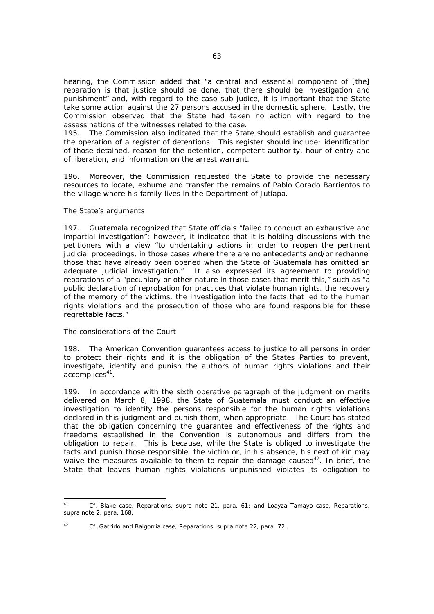hearing, the Commission added that "a central and essential component of [the] reparation is that justice should be done, that there should be investigation and punishment" and, with regard to the caso *sub judice*, it is important that the State take some action against the 27 persons accused in the domestic sphere. Lastly, the Commission observed that the State had taken no action with regard to the assassinations of the witnesses related to the case.

195. The Commission also indicated that the State should establish and guarantee the operation of a register of detentions. This register should include: identification of those detained, reason for the detention, competent authority, hour of entry and of liberation, and information on the arrest warrant.

196. Moreover, the Commission requested the State to provide the necessary resources to locate, exhume and transfer the remains of Pablo Corado Barrientos to the village where his family lives in the Department of Jutiapa.

## *The State's arguments*

197. Guatemala recognized that State officials "failed to conduct an exhaustive and impartial investigation"; however, it indicated that it is holding discussions with the petitioners with a view "to undertaking actions in order to reopen the pertinent judicial proceedings, in those cases where there are no antecedents and/or rechannel those that have already been opened when the State of Guatemala has omitted an adequate judicial investigation." It also expressed its agreement to providing reparations of a "pecuniary or other nature in those cases that merit this," such as "a public declaration of reprobation for practices that violate human rights, the recovery of the memory of the victims, the investigation into the facts that led to the human rights violations and the prosecution of those who are found responsible for these regrettable facts."

## *The considerations of the Court*

198. The American Convention guarantees access to justice to all persons in order to protect their rights and it is the obligation of the States Parties to prevent, investigate, identify and punish the authors of human rights violations and their accomplices<sup>41</sup>.

199. In accordance with the sixth operative paragraph of the judgment on merits delivered on March 8, 1998, the State of Guatemala must conduct an effective investigation to identify the persons responsible for the human rights violations declared in this judgment and punish them, when appropriate. The Court has stated that the obligation concerning the guarantee and effectiveness of the rights and freedoms established in the Convention is autonomous and differs from the obligation to repair. This is because, while the State is obliged to investigate the facts and punish those responsible, the victim or, in his absence, his next of kin may waive the measures available to them to repair the damage caused<sup>42</sup>. In brief, the State that leaves human rights violations unpunished violates its obligation to

42 *Cf. Garrido and Baigorria case*, *Reparations, supra* note 22, para. 72.

 $41$ 41 *Cf. Blake case, Reparations, supra* note 21, para. 61; and *Loayza Tamayo case, Reparations, supra* note 2, para. 168.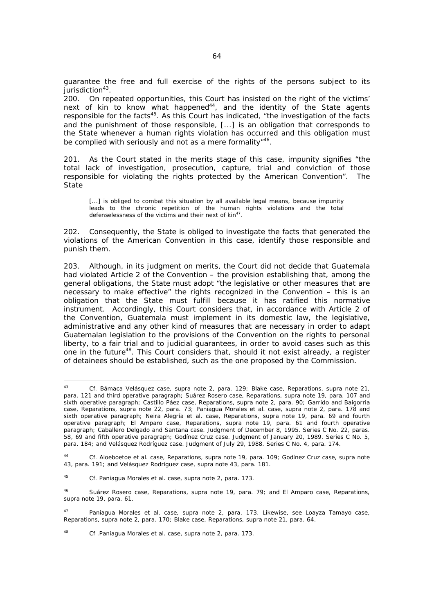guarantee the free and full exercise of the rights of the persons subject to its jurisdiction $43$ .

200. On repeated opportunities, this Court has insisted on the right of the victims' next of kin to know what happened<sup>44</sup>, and the identity of the State agents responsible for the facts<sup>45</sup>. As this Court has indicated, "the investigation of the facts and the punishment of those responsible, [...] is an obligation that corresponds to the State whenever a human rights violation has occurred and this obligation must be complied with seriously and not as a mere formality<sup>"46</sup>.

201. As the Court stated in the merits stage of this case, impunity signifies "the total lack of investigation, prosecution, capture, trial and conviction of those responsible for violating the rights protected by the American Convention". The State

[...] is obliged to combat this situation by all available legal means, because impunity leads to the chronic repetition of the human rights violations and the total defenselessness of the victims and their next of kin<sup>47</sup>.

202. Consequently, the State is obliged to investigate the facts that generated the violations of the American Convention in this case, identify those responsible and punish them.

203. Although, in its judgment on merits, the Court did not decide that Guatemala had violated Article 2 of the Convention – the provision establishing that, among the general obligations, the State must adopt "the legislative or other measures that are necessary to make effective" the rights recognized in the Convention – this is an obligation that the State must fulfill because it has ratified this normative instrument. Accordingly, this Court considers that, in accordance with Article 2 of the Convention, Guatemala must implement in its domestic law, the legislative, administrative and any other kind of measures that are necessary in order to adapt Guatemalan legislation to the provisions of the Convention on the rights to personal liberty, to a fair trial and to judicial guarantees, in order to avoid cases such as this one in the future<sup>48</sup>. This Court considers that, should it not exist already, a register of detainees should be established, such as the one proposed by the Commission.

48 *Cf .Paniagua Morales et al. case, supra* note 2, para. 173.

 $43$ 43 *Cf. Bámaca Velásquez case, supra* note 2, para. 129; *Blake case, Reparations, supra* note 21, para. 121 and third operative paragraph; *Suárez Rosero case, Reparations, supra* note 19, para. 107 and sixth operative paragraph; *Castillo Páez case, Reparations, supra* note 2, para. 90; *Garrido and Baigorria case, Reparations, supra* note 22, para. 73; *Paniagua Morales et al. case, supra* note 2, para. 178 and sixth operative paragraph; *Neira Alegría et al. case, Reparations, supra* note 19, para. 69 and fourth operative paragraph; *El Amparo case, Reparations, supra* note 19, para. 61 and fourth operative paragraph; *Caballero Delgado and Santana case*. Judgment of December 8, 1995. Series C No. 22, paras. 58, 69 and fifth operative paragraph; *Godínez Cruz case*. Judgment of January 20, 1989. Series C No. 5, para. 184; and *Velásquez Rodríguez case*. Judgment of July 29, 1988. Series C No. 4, para. 174.

<sup>44</sup> *Cf. Aloeboetoe et al. case, Reparations, supra* note 19, para. 109; *Godínez Cruz case, supra* note 43, para. 191; and *Velásquez Rodríguez case, supra* note 43, para. 181.

<sup>45</sup> *Cf. Paniagua Morales et al. case*, *supra* note 2, para. 173.

<sup>46</sup> *Suárez Rosero case, Reparations, supra* note 19, para. 79; and *El Amparo case, Reparations, supra* note 19, para. 61.

<sup>47</sup> *Paniagua Morales et al. case, supra* note 2, para. 173. Likewise, see *Loayza Tamayo case, Reparations, supra* note 2, para. 170; *Blake case, Reparations, supra* note 21, para. 64.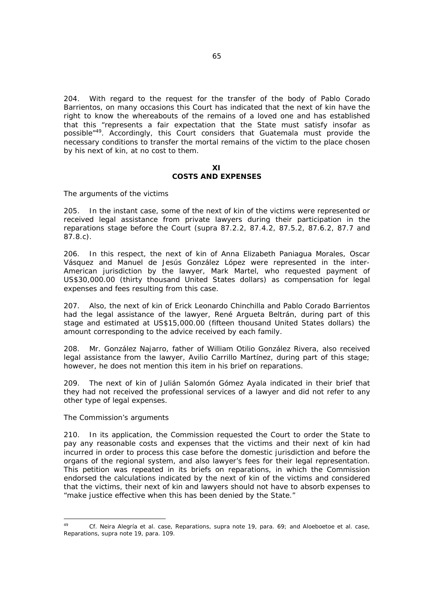204. With regard to the request for the transfer of the body of Pablo Corado Barrientos, on many occasions this Court has indicated that the next of kin have the right to know the whereabouts of the remains of a loved one and has established that this "represents a fair expectation that the State must satisfy insofar as possible"49. Accordingly, this Court considers that Guatemala must provide the necessary conditions to transfer the mortal remains of the victim to the place chosen by his next of kin, at no cost to them.

## **XI COSTS AND EXPENSES**

## *The arguments of the victims*

205. In the instant case, some of the next of kin of the victims were represented or received legal assistance from private lawyers during their participation in the reparations stage before the Court (*supra* 87.2.2, 87.4.2, 87.5.2, 87.6.2, 87.7 and 87.8.c).

206. In this respect, the next of kin of Anna Elizabeth Paniagua Morales, Oscar Vásquez and Manuel de Jesús González López were represented in the inter-American jurisdiction by the lawyer, Mark Martel, who requested payment of US\$30,000.00 (thirty thousand United States dollars) as compensation for legal expenses and fees resulting from this case.

207. Also, the next of kin of Erick Leonardo Chinchilla and Pablo Corado Barrientos had the legal assistance of the lawyer, René Argueta Beltrán, during part of this stage and estimated at US\$15,000.00 (fifteen thousand United States dollars) the amount corresponding to the advice received by each family.

208. Mr. González Najarro, father of William Otilio González Rivera, also received legal assistance from the lawyer, Avilio Carrillo Martínez, during part of this stage; however, he does not mention this item in his brief on reparations.

209. The next of kin of Julián Salomón Gómez Ayala indicated in their brief that they had not received the professional services of a lawyer and did not refer to any other type of legal expenses.

#### *The Commission's arguments*

210. In its application, the Commission requested the Court to order the State to pay any reasonable costs and expenses that the victims and their next of kin had incurred in order to process this case before the domestic jurisdiction and before the organs of the regional system, and also lawyer's fees for their legal representation. This petition was repeated in its briefs on reparations, in which the Commission endorsed the calculations indicated by the next of kin of the victims and considered that the victims, their next of kin and lawyers should not have to absorb expenses to "make justice effective when this has been denied by the State."

 $\overline{49}$ 49 *Cf. Neira Alegría et al. case, Reparations, supra* note 19, para. 69; and *Aloeboetoe et al. case, Reparations, supra* note 19, para. 109.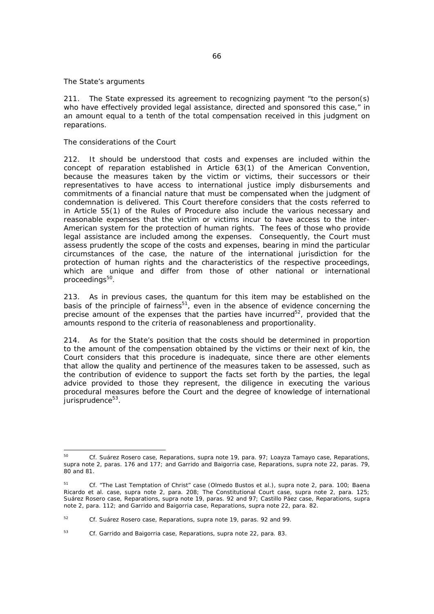## *The State's arguments*

211. The State expressed its agreement to recognizing payment "to the person(s) who have effectively provided legal assistance, directed and sponsored this case," in an amount equal to a tenth of the total compensation received in this judgment on reparations.

## *The considerations of the Court*

212. It should be understood that costs and expenses are included within the concept of reparation established in Article 63(1) of the American Convention, because the measures taken by the victim or victims, their successors or their representatives to have access to international justice imply disbursements and commitments of a financial nature that must be compensated when the judgment of condemnation is delivered. This Court therefore considers that the costs referred to in Article 55(1) of the Rules of Procedure also include the various necessary and reasonable expenses that the victim or victims incur to have access to the inter-American system for the protection of human rights. The fees of those who provide legal assistance are included among the expenses. Consequently, the Court must assess prudently the scope of the costs and expenses, bearing in mind the particular circumstances of the case, the nature of the international jurisdiction for the protection of human rights and the characteristics of the respective proceedings, which are unique and differ from those of other national or international proceedings $50$ .

213. As in previous cases, the *quantum* for this item may be established on the basis of the principle of fairness $51$ , even in the absence of evidence concerning the precise amount of the expenses that the parties have incurred<sup>52</sup>, provided that the amounts respond to the criteria of reasonableness and proportionality.

214. As for the State's position that the costs should be determined in proportion to the amount of the compensation obtained by the victims or their next of kin, the Court considers that this procedure is inadequate, since there are other elements that allow the quality and pertinence of the measures taken to be assessed, such as the contribution of evidence to support the facts set forth by the parties, the legal advice provided to those they represent, the diligence in executing the various procedural measures before the Court and the degree of knowledge of international jurisprudence<sup>53</sup>.

<sup>50</sup> 50 *Cf. Suárez Rosero case, Reparations, supra* note 19, para. 97; *Loayza Tamayo case, Reparations, supra* note 2, paras. 176 and 177; and *Garrido and Baigorria case, Reparations, supra* note 22, paras. 79, 80 and 81.

<sup>51</sup> *Cf. "The Last Temptation of Christ" case (Olmedo Bustos et al.), supra* note 2, para. 100; *Baena Ricardo et al. case, supra* note 2, para. 208; *The Constitutional Court case, supra* note 2, para. 125; *Suárez Rosero case, Reparations, supra* note 19, paras. 92 and 97; *Castillo Páez case, Reparations, supra* note 2, para. 112; and *Garrido and Baigorria case, Reparations, supra* note 22, para. 82.

<sup>52</sup> *Cf. Suárez Rosero case*, *Reparations, supra* note 19, paras. 92 and 99.

<sup>53</sup> *Cf. Garrido and Baigorria case*, *Reparations, supra* note 22, para. 83.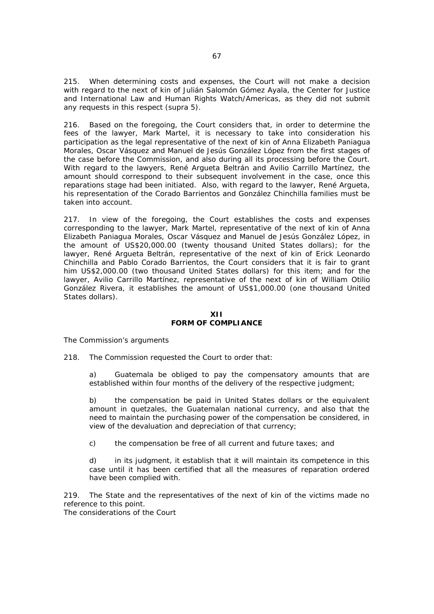215. When determining costs and expenses, the Court will not make a decision with regard to the next of kin of Julián Salomón Gómez Ayala, the Center for Justice and International Law and Human Rights Watch/Americas, as they did not submit any requests in this respect (*supra* 5).

216. Based on the foregoing, the Court considers that, in order to determine the fees of the lawyer, Mark Martel, it is necessary to take into consideration his participation as the legal representative of the next of kin of Anna Elizabeth Paniagua Morales, Oscar Vásquez and Manuel de Jesús González López from the first stages of the case before the Commission, and also during all its processing before the Court. With regard to the lawyers, René Argueta Beltrán and Avilio Carrillo Martínez, the amount should correspond to their subsequent involvement in the case, once this reparations stage had been initiated. Also, with regard to the lawyer, René Argueta, his representation of the Corado Barrientos and González Chinchilla families must be taken into account.

217. In view of the foregoing, the Court establishes the costs and expenses corresponding to the lawyer, Mark Martel, representative of the next of kin of Anna Elizabeth Paniagua Morales, Oscar Vásquez and Manuel de Jesús González López, in the amount of US\$20,000.00 (twenty thousand United States dollars); for the lawyer, René Argueta Beltrán, representative of the next of kin of Erick Leonardo Chinchilla and Pablo Corado Barrientos, the Court considers that it is fair to grant him US\$2,000.00 (two thousand United States dollars) for this item; and for the lawyer, Avilio Carrillo Martínez, representative of the next of kin of William Otilio González Rivera, it establishes the amount of US\$1,000.00 (one thousand United States dollars).

**XII FORM OF COMPLIANCE** 

*The Commission's arguments*

218. The Commission requested the Court to order that:

a) Guatemala be obliged to pay the compensatory amounts that are established within four months of the delivery of the respective judgment;

b) the compensation be paid in United States dollars or the equivalent amount in quetzales, the Guatemalan national currency, and also that the need to maintain the purchasing power of the compensation be considered, in view of the devaluation and depreciation of that currency;

c) the compensation be free of all current and future taxes; and

d) in its judgment, it establish that it will maintain its competence in this case until it has been certified that all the measures of reparation ordered have been complied with.

219. The State and the representatives of the next of kin of the victims made no reference to this point.

*The considerations of the Court*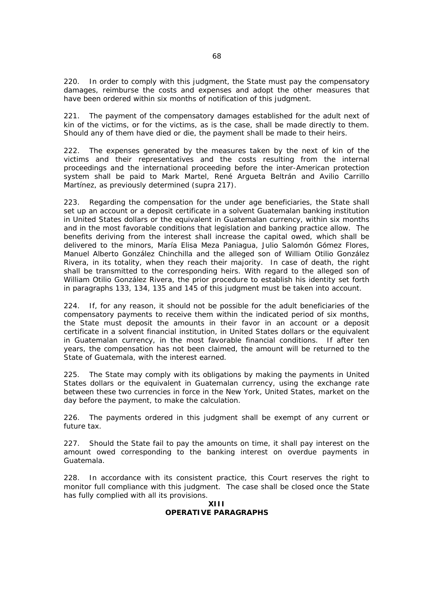220. In order to comply with this judgment, the State must pay the compensatory damages, reimburse the costs and expenses and adopt the other measures that have been ordered within six months of notification of this judgment.

221. The payment of the compensatory damages established for the adult next of kin of the victims, or for the victims, as is the case, shall be made directly to them. Should any of them have died or die, the payment shall be made to their heirs.

222. The expenses generated by the measures taken by the next of kin of the victims and their representatives and the costs resulting from the internal proceedings and the international proceeding before the inter-American protection system shall be paid to Mark Martel, René Argueta Beltrán and Avilio Carrillo Martínez, as previously determined (*supra* 217).

223. Regarding the compensation for the under age beneficiaries, the State shall set up an account or a deposit certificate in a solvent Guatemalan banking institution in United States dollars or the equivalent in Guatemalan currency, within six months and in the most favorable conditions that legislation and banking practice allow. The benefits deriving from the interest shall increase the capital owed, which shall be delivered to the minors, María Elisa Meza Paniagua, Julio Salomón Gómez Flores, Manuel Alberto González Chinchilla and the alleged son of William Otilio González Rivera, in its totality, when they reach their majority. In case of death, the right shall be transmitted to the corresponding heirs. With regard to the alleged son of William Otilio González Rivera, the prior procedure to establish his identity set forth in paragraphs 133, 134, 135 and 145 of this judgment must be taken into account.

224. If, for any reason, it should not be possible for the adult beneficiaries of the compensatory payments to receive them within the indicated period of six months, the State must deposit the amounts in their favor in an account or a deposit certificate in a solvent financial institution, in United States dollars or the equivalent in Guatemalan currency, in the most favorable financial conditions. If after ten years, the compensation has not been claimed, the amount will be returned to the State of Guatemala, with the interest earned.

225. The State may comply with its obligations by making the payments in United States dollars or the equivalent in Guatemalan currency, using the exchange rate between these two currencies in force in the New York, United States, market on the day before the payment, to make the calculation.

226. The payments ordered in this judgment shall be exempt of any current or future tax.

227. Should the State fail to pay the amounts on time, it shall pay interest on the amount owed corresponding to the banking interest on overdue payments in Guatemala.

228. In accordance with its consistent practice, this Court reserves the right to monitor full compliance with this judgment. The case shall be closed once the State has fully complied with all its provisions.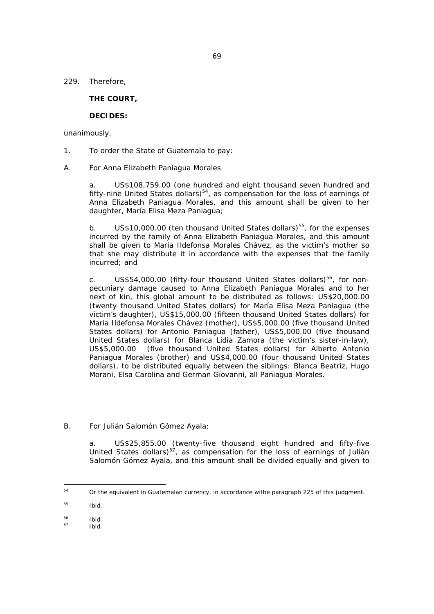69

229. Therefore,

## **THE COURT,**

# **DECIDES:**

unanimously,

- 1. To order the State of Guatemala to pay:
- A. For Anna Elizabeth Paniagua Morales

a. US\$108,759.00 (one hundred and eight thousand seven hundred and fifty-nine United States dollars) $54$ , as compensation for the loss of earnings of Anna Elizabeth Paniagua Morales, and this amount shall be given to her daughter, María Elisa Meza Paniagua;

b. US\$10,000.00 (ten thousand United States dollars)<sup>55</sup>, for the expenses incurred by the family of Anna Elizabeth Paniagua Morales, and this amount shall be given to María Ildefonsa Morales Chávez, as the victim's mother so that she may distribute it in accordance with the expenses that the family incurred; and

c. US\$54,000.00 (fifty-four thousand United States dollars)<sup>56</sup>, for nonpecuniary damage caused to Anna Elizabeth Paniagua Morales and to her next of kin, this global amount to be distributed as follows: US\$20,000.00 (twenty thousand United States dollars) for María Elisa Meza Paniagua (the victim's daughter), US\$15,000.00 (fifteen thousand United States dollars) for María Ildefonsa Morales Chávez (mother), US\$5,000.00 (five thousand United States dollars) for Antonio Paniagua (father), US\$5,000.00 (five thousand United States dollars) for Blanca Lidia Zamora (the victim's sister-in-law), US\$5,000.00 (five thousand United States dollars) for Alberto Antonio Paniagua Morales (brother) and US\$4,000.00 (four thousand United States dollars), to be distributed equally between the siblings: Blanca Beatriz, Hugo Morani, Elsa Carolina and German Giovanni, all Paniagua Morales.

B. For Julián Salomón Gómez Ayala:

a. US\$25,855.00 (twenty-five thousand eight hundred and fifty-five United States dollars)<sup>57</sup>, as compensation for the loss of earnings of Julián Salomón Gómez Ayala, and this amount shall be divided equally and given to

 $54$ Or the equivalent in Guatemalan currency, in accordance withe paragraph 225 of this judgment.

<sup>55</sup> *Ibid.*

<sup>56</sup> *Ibid.*

<sup>57</sup> *Ibid.*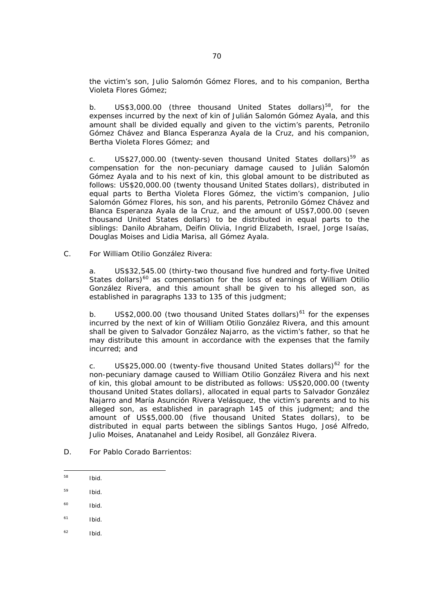the victim's son, Julio Salomón Gómez Flores, and to his companion, Bertha Violeta Flores Gómez;

b.  $US$3,000.00$  (three thousand United States dollars)<sup>58</sup>, for the expenses incurred by the next of kin of Julián Salomón Gómez Ayala, and this amount shall be divided equally and given to the victim's parents, Petronilo Gómez Chávez and Blanca Esperanza Ayala de la Cruz, and his companion, Bertha Violeta Flores Gómez; and

c. US\$27,000.00 (twenty-seven thousand United States dollars)<sup>59</sup> as compensation for the non-pecuniary damage caused to Julián Salomón Gómez Ayala and to his next of kin, this global amount to be distributed as follows: US\$20,000.00 (twenty thousand United States dollars), distributed in equal parts to Bertha Violeta Flores Gómez, the victim's companion, Julio Salomón Gómez Flores, his son, and his parents, Petronilo Gómez Chávez and Blanca Esperanza Ayala de la Cruz, and the amount of US\$7,000.00 (seven thousand United States dollars) to be distributed in equal parts to the siblings: Danilo Abraham, Deifin Olivia, Ingrid Elizabeth, Israel, Jorge Isaías, Douglas Moises and Lidia Marisa, all Gómez Ayala.

C. For William Otilio González Rivera:

a. US\$32,545.00 (thirty-two thousand five hundred and forty-five United States dollars) $60$  as compensation for the loss of earnings of William Otilio González Rivera, and this amount shall be given to his alleged son, as established in paragraphs 133 to 135 of this judgment;

b. US\$2,000.00 (two thousand United States dollars) $61$  for the expenses incurred by the next of kin of William Otilio González Rivera, and this amount shall be given to Salvador González Najarro, as the victim's father, so that he may distribute this amount in accordance with the expenses that the family incurred; and

c. US\$25,000.00 (twenty-five thousand United States dollars)<sup>62</sup> for the non-pecuniary damage caused to William Otilio González Rivera and his next of kin, this global amount to be distributed as follows: US\$20,000.00 (twenty thousand United States dollars), allocated in equal parts to Salvador González Najarro and María Asunción Rivera Velásquez, the victim's parents and to his alleged son, as established in paragraph 145 of this judgment; and the amount of US\$5,000.00 (five thousand United States dollars), to be distributed in equal parts between the siblings Santos Hugo, José Alfredo, Julio Moises, Anatanahel and Leidy Rosibel, all González Rivera.

- D. For Pablo Corado Barrientos:
- 58 58 *Ibid.*
- 59 *Ibid.*
- 60 *Ibid.*
- 61 *Ibid.*
- 62 *Ibid.*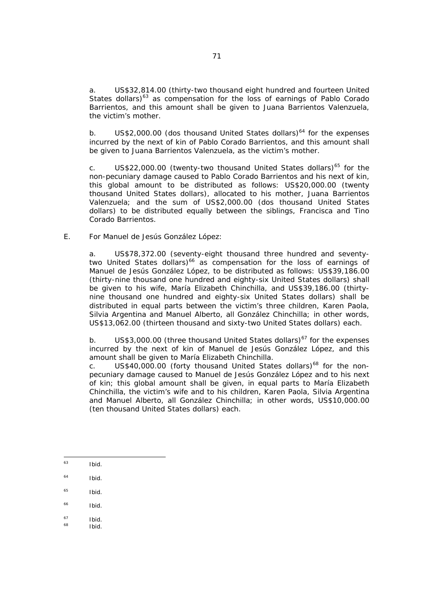a. US\$32,814.00 (thirty-two thousand eight hundred and fourteen United States dollars)<sup>63</sup> as compensation for the loss of earnings of Pablo Corado Barrientos, and this amount shall be given to Juana Barrientos Valenzuela, the victim's mother.

b. US\$2,000.00 (dos thousand United States dollars)<sup>64</sup> for the expenses incurred by the next of kin of Pablo Corado Barrientos, and this amount shall be given to Juana Barrientos Valenzuela, as the victim's mother.

c. US\$22,000.00 (twenty-two thousand United States dollars)<sup>65</sup> for the non-pecuniary damage caused to Pablo Corado Barrientos and his next of kin, this global amount to be distributed as follows: US\$20,000.00 (twenty thousand United States dollars), allocated to his mother, Juana Barrientos Valenzuela; and the sum of US\$2,000.00 (dos thousand United States dollars) to be distributed equally between the siblings, Francisca and Tino Corado Barrientos.

## E. For Manuel de Jesús González López:

a. US\$78,372.00 (seventy-eight thousand three hundred and seventytwo United States dollars)<sup>66</sup> as compensation for the loss of earnings of Manuel de Jesús González López, to be distributed as follows: US\$39,186.00 (thirty-nine thousand one hundred and eighty-six United States dollars) shall be given to his wife, María Elizabeth Chinchilla, and US\$39,186.00 (thirtynine thousand one hundred and eighty-six United States dollars) shall be distributed in equal parts between the victim's three children, Karen Paola, Silvia Argentina and Manuel Alberto, all González Chinchilla; in other words, US\$13,062.00 (thirteen thousand and sixty-two United States dollars) each.

b. US\$3,000.00 (three thousand United States dollars) $67$  for the expenses incurred by the next of kin of Manuel de Jesús González López, and this amount shall be given to María Elizabeth Chinchilla.

c. US\$40,000.00 (forty thousand United States dollars)<sup>68</sup> for the nonpecuniary damage caused to Manuel de Jesús González López and to his next of kin; this global amount shall be given, in equal parts to María Elizabeth Chinchilla, the victim's wife and to his children, Karen Paola, Silvia Argentina and Manuel Alberto, all González Chinchilla; in other words, US\$10,000.00 (ten thousand United States dollars) each.

- $63$ 63 *Ibid.*
- 64 *Ibid.*
- 65 *Ibid.*
- 66 *Ibid.*
- 
- 67 *Ibid. Ibid.*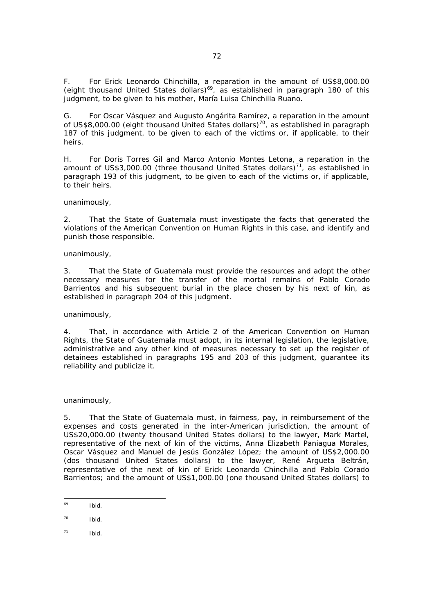F. For Erick Leonardo Chinchilla, a reparation in the amount of US\$8,000.00 (eight thousand United States dollars)69, as established in paragraph 180 of this judgment, to be given to his mother, María Luisa Chinchilla Ruano.

G. For Oscar Vásquez and Augusto Angárita Ramírez, a reparation in the amount of US\$8,000.00 (eight thousand United States dollars)<sup>70</sup>, as established in paragraph 187 of this judgment, to be given to each of the victims or, if applicable, to their heirs.

H. For Doris Torres Gil and Marco Antonio Montes Letona, a reparation in the amount of US\$3,000.00 (three thousand United States dollars)<sup>71</sup>, as established in paragraph 193 of this judgment, to be given to each of the victims or, if applicable, to their heirs.

unanimously,

2. That the State of Guatemala must investigate the facts that generated the violations of the American Convention on Human Rights in this case, and identify and punish those responsible.

unanimously,

3. That the State of Guatemala must provide the resources and adopt the other necessary measures for the transfer of the mortal remains of Pablo Corado Barrientos and his subsequent burial in the place chosen by his next of kin, as established in paragraph 204 of this judgment.

unanimously,

4. That, in accordance with Article 2 of the American Convention on Human Rights, the State of Guatemala must adopt, in its internal legislation, the legislative, administrative and any other kind of measures necessary to set up the register of detainees established in paragraphs 195 and 203 of this judgment, guarantee its reliability and publicize it.

unanimously,

5. That the State of Guatemala must, in fairness, pay, in reimbursement of the expenses and costs generated in the inter-American jurisdiction, the amount of US\$20,000.00 (twenty thousand United States dollars) to the lawyer, Mark Martel, representative of the next of kin of the victims, Anna Elizabeth Paniagua Morales, Oscar Vásquez and Manuel de Jesús González López; the amount of US\$2,000.00 (dos thousand United States dollars) to the lawyer, René Argueta Beltrán, representative of the next of kin of Erick Leonardo Chinchilla and Pablo Corado Barrientos; and the amount of US\$1,000.00 (one thousand United States dollars) to

 $69$ *Ibid.* 

<sup>70</sup> *Ibid.*

<sup>71</sup> *Ibid.*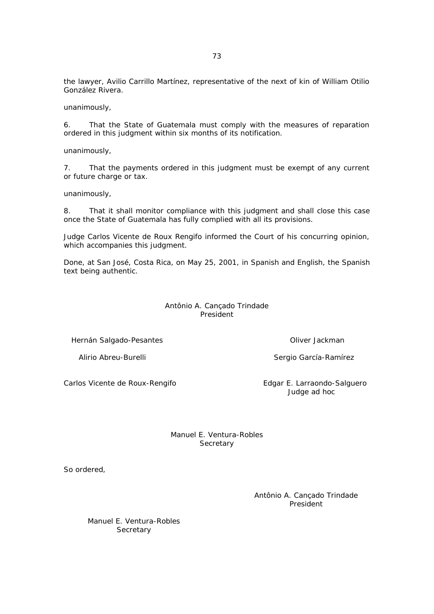the lawyer, Avilio Carrillo Martínez, representative of the next of kin of William Otilio González Rivera.

unanimously,

6. That the State of Guatemala must comply with the measures of reparation ordered in this judgment within six months of its notification.

unanimously,

7. That the payments ordered in this judgment must be exempt of any current or future charge or tax.

unanimously,

8. That it shall monitor compliance with this judgment and shall close this case once the State of Guatemala has fully complied with all its provisions.

Judge Carlos Vicente de Roux Rengifo informed the Court of his concurring opinion, which accompanies this judgment.

Done, at San José, Costa Rica, on May 25, 2001, in Spanish and English, the Spanish text being authentic.

> Antônio A. Cançado Trindade President

Hernán Salgado-Pesantes **Oliver Jackman** 

Carlos Vicente de Roux-Rengifo **Edgar E. Larraondo-Salguero** 

Alirio Abreu-Burelli Sergio García-Ramírez

Judge *ad hoc*

Manuel E. Ventura-Robles **Secretary** 

So ordered,

Antônio A. Cançado Trindade President

Manuel E. Ventura-Robles **Secretary**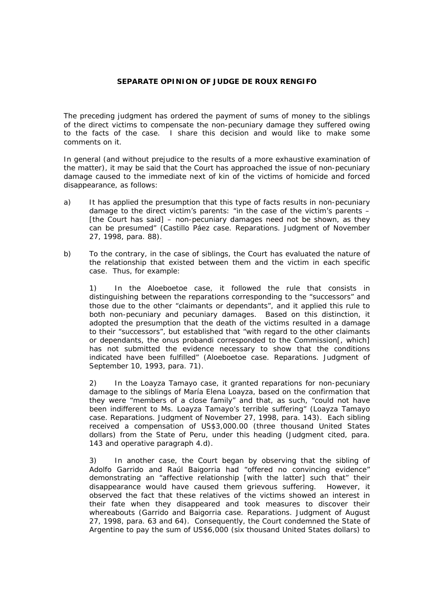## **SEPARATE OPINION OF JUDGE DE ROUX RENGIFO**

The preceding judgment has ordered the payment of sums of money to the siblings of the direct victims to compensate the non-pecuniary damage they suffered owing to the facts of the case. I share this decision and would like to make some comments on it.

In general (and without prejudice to the results of a more exhaustive examination of the matter), it may be said that the Court has approached the issue of non-pecuniary damage caused to the immediate next of kin of the victims of homicide and forced disappearance, as follows:

- a) It has applied the presumption that this type of facts results in non-pecuniary damage to the direct victim's parents: "in the case of the victim's parents – [the Court has said] – non-pecuniary damages need not be shown, as they can be presumed" (Castillo Páez case. Reparations. Judgment of November 27, 1998, para. 88).
- b) To the contrary, in the case of siblings, the Court has evaluated the nature of the relationship that existed between them and the victim in each specific case. Thus, for example:

1) In the Aloeboetoe case, it followed the rule that consists in distinguishing between the reparations corresponding to the "successors" and those due to the other "claimants or dependants", and it applied this rule to both non-pecuniary and pecuniary damages. Based on this distinction, it adopted the presumption that the death of the victims resulted in a damage to their "successors", but established that "with regard to the other claimants or dependants, the *onus probandi* corresponded to the Commission[, which] has not submitted the evidence necessary to show that the conditions indicated have been fulfilled" (Aloeboetoe case. Reparations. Judgment of September 10, 1993, para. 71).

2) In the Loayza Tamayo case, it granted reparations for non-pecuniary damage to the siblings of María Elena Loayza, based on the confirmation that they were "members of a close family" and that, as such, "could not have been indifferent to Ms. Loayza Tamayo's terrible suffering" (Loayza Tamayo case. Reparations. Judgment of November 27, 1998, para. 143). Each sibling received a compensation of US\$3,000.00 (three thousand United States dollars) from the State of Peru, under this heading (Judgment cited, para. 143 and operative paragraph 4.d).

3) In another case, the Court began by observing that the sibling of Adolfo Garrido and Raúl Baigorria had "offered no convincing evidence" demonstrating an "affective relationship [with the latter] such that" their disappearance would have caused them grievous suffering. However, it observed the fact that these relatives of the victims showed an interest in their fate when they disappeared and took measures to discover their whereabouts (Garrido and Baigorria case. Reparations. Judgment of August 27, 1998, para. 63 and 64). Consequently, the Court condemned the State of Argentine to pay the sum of US\$6,000 (six thousand United States dollars) to